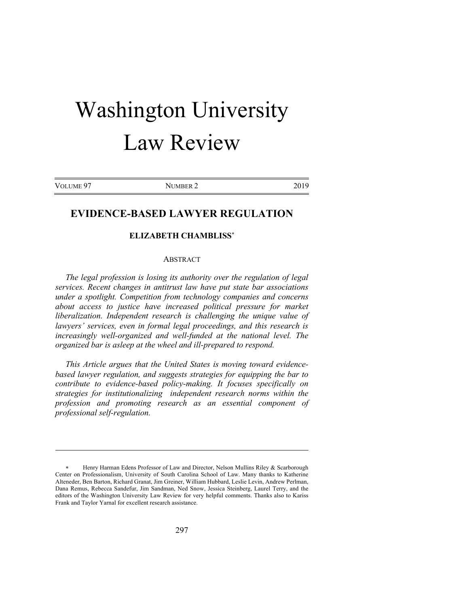# Washington University Law Review

VOLUME 97 NUMBER 2 2019

# **EVIDENCE-BASED LAWYER REGULATION**

# **ELIZABETH CHAMBLISS**\*

#### ABSTRACT

*The legal profession is losing its authority over the regulation of legal services. Recent changes in antitrust law have put state bar associations under a spotlight. Competition from technology companies and concerns about access to justice have increased political pressure for market liberalization. Independent research is challenging the unique value of lawyers' services, even in formal legal proceedings, and this research is increasingly well-organized and well-funded at the national level. The organized bar is asleep at the wheel and ill-prepared to respond.* 

*This Article argues that the United States is moving toward evidencebased lawyer regulation, and suggests strategies for equipping the bar to contribute to evidence-based policy-making. It focuses specifically on strategies for institutionalizing independent research norms within the profession and promoting research as an essential component of professional self-regulation.*

<sup>\*</sup> Henry Harman Edens Professor of Law and Director, Nelson Mullins Riley & Scarborough Center on Professionalism, University of South Carolina School of Law. Many thanks to Katherine Alteneder, Ben Barton, Richard Granat, Jim Greiner, William Hubbard, Leslie Levin, Andrew Perlman, Dana Remus, Rebecca Sandefur, Jim Sandman, Ned Snow, Jessica Steinberg, Laurel Terry, and the editors of the Washington University Law Review for very helpful comments. Thanks also to Kariss Frank and Taylor Yarnal for excellent research assistance.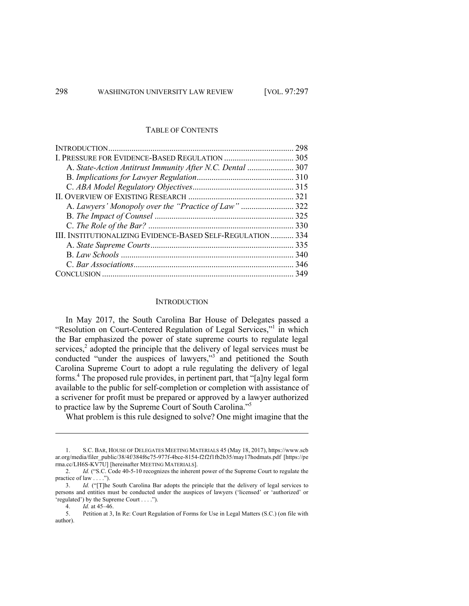# TABLE OF CONTENTS

|                                                            | 298 |
|------------------------------------------------------------|-----|
|                                                            |     |
| A. State-Action Antitrust Immunity After N.C. Dental  307  |     |
|                                                            |     |
|                                                            |     |
|                                                            |     |
|                                                            |     |
|                                                            |     |
|                                                            |     |
| III. INSTITUTIONALIZING EVIDENCE-BASED SELF-REGULATION 334 |     |
|                                                            |     |
|                                                            |     |
|                                                            |     |
|                                                            |     |

#### **INTRODUCTION**

In May 2017, the South Carolina Bar House of Delegates passed a "Resolution on Court-Centered Regulation of Legal Services,"<sup>1</sup> in which the Bar emphasized the power of state supreme courts to regulate legal services, <sup>2</sup> adopted the principle that the delivery of legal services must be conducted "under the auspices of lawyers,"<sup>3</sup> and petitioned the South Carolina Supreme Court to adopt a rule regulating the delivery of legal forms.4 The proposed rule provides, in pertinent part, that "[a]ny legal form available to the public for self-completion or completion with assistance of a scrivener for profit must be prepared or approved by a lawyer authorized to practice law by the Supreme Court of South Carolina."<sup>5</sup>

What problem is this rule designed to solve? One might imagine that the

<sup>1.</sup> S.C. BAR, HOUSE OF DELEGATES MEETING MATERIALS 45 (May 18, 2017), https://www.scb ar.org/media/filer\_public/38/4f/384f6c75-977f-4bce-8154-f2f2f1fb2b35/may17hodmats.pdf [https://pe rma.cc/LH6S-KV7U] [hereinafter MEETING MATERIALS].

<sup>2.</sup> *Id.* ("S.C. Code 40-5-10 recognizes the inherent power of the Supreme Court to regulate the practice of law . . . .").

<sup>3.</sup> *Id.* ("[T]he South Carolina Bar adopts the principle that the delivery of legal services to persons and entities must be conducted under the auspices of lawyers ('licensed' or 'authorized' or 'regulated') by the Supreme Court . . . .").

<sup>4.</sup> *Id.* at 45–46.

<sup>5.</sup> Petition at 3, In Re: Court Regulation of Forms for Use in Legal Matters (S.C.) (on file with author).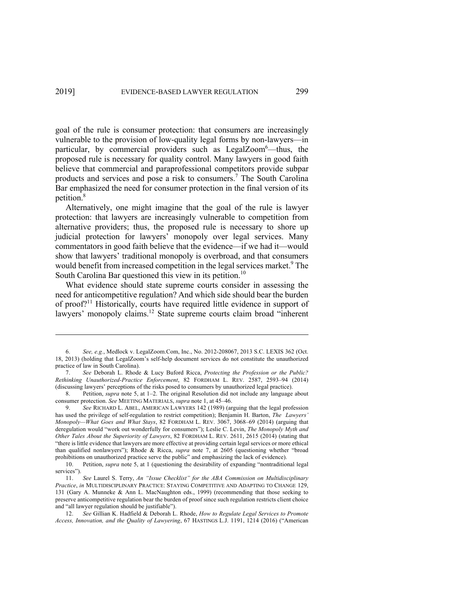goal of the rule is consumer protection: that consumers are increasingly vulnerable to the provision of low-quality legal forms by non-lawyers—in particular, by commercial providers such as LegalZoom<sup>6</sup>—thus, the proposed rule is necessary for quality control. Many lawyers in good faith believe that commercial and paraprofessional competitors provide subpar products and services and pose a risk to consumers.<sup>7</sup> The South Carolina Bar emphasized the need for consumer protection in the final version of its petition.<sup>8</sup>

Alternatively, one might imagine that the goal of the rule is lawyer protection: that lawyers are increasingly vulnerable to competition from alternative providers; thus, the proposed rule is necessary to shore up judicial protection for lawyers' monopoly over legal services. Many commentators in good faith believe that the evidence—if we had it—would show that lawyers' traditional monopoly is overbroad, and that consumers would benefit from increased competition in the legal services market.<sup>9</sup> The South Carolina Bar questioned this view in its petition.<sup>10</sup>

What evidence should state supreme courts consider in assessing the need for anticompetitive regulation? And which side should bear the burden of proof?11 Historically, courts have required little evidence in support of lawyers' monopoly claims.<sup>12</sup> State supreme courts claim broad "inherent"

<sup>6.</sup> *See, e.g.*, Medlock v. LegalZoom.Com, Inc., No. 2012-208067, 2013 S.C. LEXIS 362 (Oct. 18, 2013) (holding that LegalZoom's self-help document services do not constitute the unauthorized practice of law in South Carolina).

<sup>7.</sup> *See* Deborah L. Rhode & Lucy Buford Ricca, *Protecting the Profession or the Public? Rethinking Unauthorized-Practice Enforcement*, 82 FORDHAM L. REV. 2587, 2593–94 (2014) (discussing lawyers' perceptions of the risks posed to consumers by unauthorized legal practice).

<sup>8.</sup> Petition, *supra* note 5, at 1–2. The original Resolution did not include any language about consumer protection. *See* MEETING MATERIALS, *supra* note 1, at 45–46.

<sup>9.</sup> *See* RICHARD L. ABEL, AMERICAN LAWYERS 142 (1989) (arguing that the legal profession has used the privilege of self-regulation to restrict competition); Benjamin H. Barton, *The Lawyers' Monopoly—What Goes and What Stays*, 82 FORDHAM L. REV. 3067, 3068–69 (2014) (arguing that deregulation would "work out wonderfully for consumers"); Leslie C. Levin, *The Monopoly Myth and Other Tales About the Superiority of Lawyers*, 82 FORDHAM L. REV. 2611, 2615 (2014) (stating that "there is little evidence that lawyers are more effective at providing certain legal services or more ethical than qualified nonlawyers"); Rhode & Ricca, *supra* note 7, at 2605 (questioning whether "broad prohibitions on unauthorized practice serve the public" and emphasizing the lack of evidence).

<sup>10.</sup> Petition, *supra* note 5, at 1 (questioning the desirability of expanding "nontraditional legal services").

<sup>11.</sup> *See* Laurel S. Terry, *An "Issue Checklist" for the ABA Commission on Multidisciplinary Practice*, *in* MULTIDISCIPLINARY PRACTICE: STAYING COMPETITIVE AND ADAPTING TO CHANGE 129, 131 (Gary A. Munneke & Ann L. MacNaughton eds., 1999) (recommending that those seeking to preserve anticompetitive regulation bear the burden of proof since such regulation restricts client choice and "all lawyer regulation should be justifiable").

<sup>12.</sup> *See* Gillian K. Hadfield & Deborah L. Rhode, *How to Regulate Legal Services to Promote Access, Innovation, and the Quality of Lawyering*, 67 HASTINGS L.J. 1191, 1214 (2016) ("American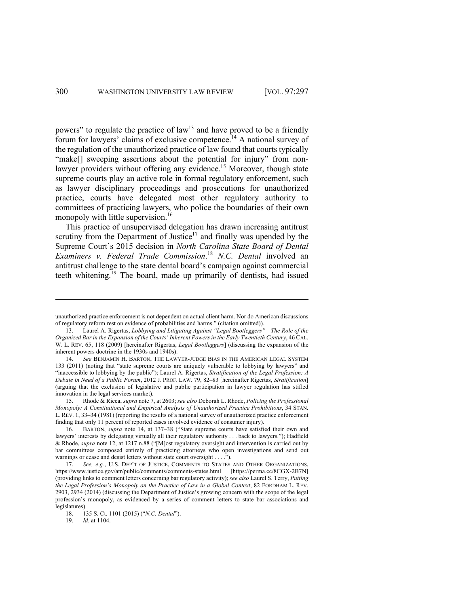powers" to regulate the practice of law<sup>13</sup> and have proved to be a friendly forum for lawyers' claims of exclusive competence.<sup>14</sup> A national survey of the regulation of the unauthorized practice of law found that courts typically "make<sup>[]</sup> sweeping assertions about the potential for injury" from nonlawyer providers without offering any evidence.<sup>15</sup> Moreover, though state supreme courts play an active role in formal regulatory enforcement, such as lawyer disciplinary proceedings and prosecutions for unauthorized practice, courts have delegated most other regulatory authority to committees of practicing lawyers, who police the boundaries of their own monopoly with little supervision.<sup>16</sup>

This practice of unsupervised delegation has drawn increasing antitrust scrutiny from the Department of Justice<sup>17</sup> and finally was upended by the Supreme Court's 2015 decision in *North Carolina State Board of Dental Examiners v. Federal Trade Commission*. <sup>18</sup> *N.C. Dental* involved an antitrust challenge to the state dental board's campaign against commercial teeth whitening.<sup>19</sup> The board, made up primarily of dentists, had issued

unauthorized practice enforcement is not dependent on actual client harm. Nor do American discussions of regulatory reform rest on evidence of probabilities and harms." (citation omitted)).

<sup>13.</sup> Laurel A. Rigertas, *Lobbying and Litigating Against "Legal Bootleggers"—The Role of the Organized Bar in the Expansion of the Courts' Inherent Powers in the Early Twentieth Century*, 46 CAL. W. L. REV. 65, 118 (2009) [hereinafter Rigertas, *Legal Bootleggers*] (discussing the expansion of the inherent powers doctrine in the 1930s and 1940s).

<sup>14.</sup> *See* BENJAMIN H. BARTON, THE LAWYER-JUDGE BIAS IN THE AMERICAN LEGAL SYSTEM 133 (2011) (noting that "state supreme courts are uniquely vulnerable to lobbying by lawyers" and "inaccessible to lobbying by the public"); Laurel A. Rigertas, *Stratification of the Legal Profession: A Debate in Need of a Public Forum*, 2012 J. PROF. LAW. 79, 82–83 [hereinafter Rigertas, *Stratification*] (arguing that the exclusion of legislative and public participation in lawyer regulation has stifled innovation in the legal services market).

<sup>15.</sup> Rhode & Ricca, *supra* note 7, at 2603; *see also* Deborah L. Rhode, *Policing the Professional Monopoly: A Constitutional and Empirical Analysis of Unauthorized Practice Prohibitions*, 34 STAN. L. REV. 1, 33–34 (1981) (reporting the results of a national survey of unauthorized practice enforcement finding that only 11 percent of reported cases involved evidence of consumer injury).

<sup>16.</sup> BARTON, *supra* note 14, at 137–38 ("State supreme courts have satisfied their own and lawyers' interests by delegating virtually all their regulatory authority . . . back to lawyers."); Hadfield & Rhode, *supra* note 12, at 1217 n.88 ("[M]ost regulatory oversight and intervention is carried out by bar committees composed entirely of practicing attorneys who open investigations and send out warnings or cease and desist letters without state court oversight . . . .").

See, e.g., U.S. DEP'T OF JUSTICE, COMMENTS TO STATES AND OTHER ORGANIZATIONS, https://www.justice.gov/atr/public/comments/comments-states.html [https://perma.cc/8CGX-2B7N] (providing links to comment letters concerning bar regulatory activity); *see also* Laurel S. Terry, *Putting the Legal Profession's Monopoly on the Practice of Law in a Global Context*, 82 FORDHAM L. REV. 2903, 2934 (2014) (discussing the Department of Justice's growing concern with the scope of the legal profession's monopoly, as evidenced by a series of comment letters to state bar associations and legislatures).<br> $18. 13$ 

<sup>18.</sup> 135 S. Ct. 1101 (2015) ("*N.C. Dental*").

<sup>19.</sup> *Id.* at 1104.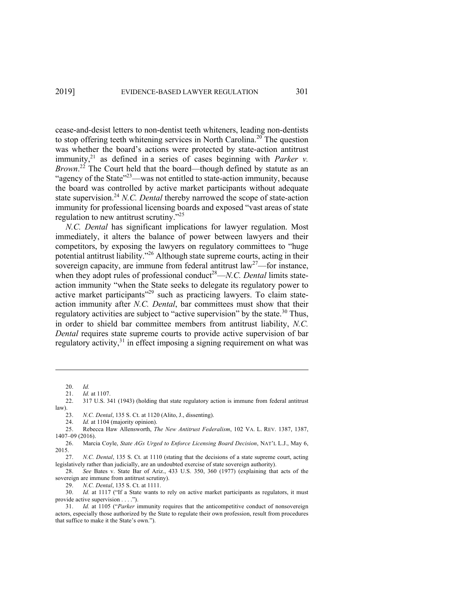cease-and-desist letters to non-dentist teeth whiteners, leading non-dentists to stop offering teeth whitening services in North Carolina.<sup>20</sup> The question was whether the board's actions were protected by state-action antitrust immunity,  $2^1$  as defined in a series of cases beginning with *Parker v. Brown*. <sup>22</sup> The Court held that the board—though defined by statute as an "agency of the State"<sup>23</sup>—was not entitled to state-action immunity, because the board was controlled by active market participants without adequate state supervision. <sup>24</sup> *N.C. Dental* thereby narrowed the scope of state-action immunity for professional licensing boards and exposed "vast areas of state regulation to new antitrust scrutiny."<sup>25</sup>

*N.C. Dental* has significant implications for lawyer regulation. Most immediately, it alters the balance of power between lawyers and their competitors, by exposing the lawyers on regulatory committees to "huge potential antitrust liability."26 Although state supreme courts, acting in their sovereign capacity, are immune from federal antitrust  $law^{27}$ —for instance, when they adopt rules of professional conduct<sup>28</sup>—*N.C. Dental* limits stateaction immunity "when the State seeks to delegate its regulatory power to active market participants"<sup>29</sup> such as practicing lawyers. To claim stateaction immunity after *N.C. Dental*, bar committees must show that their regulatory activities are subject to "active supervision" by the state.<sup>30</sup> Thus, in order to shield bar committee members from antitrust liability, *N.C. Dental* requires state supreme courts to provide active supervision of bar regulatory activity, $31$  in effect imposing a signing requirement on what was

21. *Id.* at 1107.

<sup>20.</sup> *Id.*

<sup>22.</sup> 317 U.S. 341 (1943) (holding that state regulatory action is immune from federal antitrust law).

<sup>23.</sup> *N.C. Dental*, 135 S. Ct. at 1120 (Alito, J., dissenting).

<sup>24.</sup> *Id.* at 1104 (majority opinion).

<sup>25.</sup> Rebecca Haw Allensworth, *The New Antitrust Federalism*, 102 VA. L. REV. 1387, 1387, 1407–09 (2016).

<sup>26.</sup> Marcia Coyle, *State AGs Urged to Enforce Licensing Board Decision*, NAT'L L.J., May 6, 2015.

<sup>27.</sup> *N.C. Dental*, 135 S. Ct. at 1110 (stating that the decisions of a state supreme court, acting legislatively rather than judicially, are an undoubted exercise of state sovereign authority).

<sup>28.</sup> *See* Bates v. State Bar of Ariz., 433 U.S. 350, 360 (1977) (explaining that acts of the sovereign are immune from antitrust scrutiny).

<sup>29.</sup> *N.C. Dental*, 135 S. Ct. at 1111.

<sup>30.</sup> *Id.* at 1117 ("If a State wants to rely on active market participants as regulators, it must provide active supervision . . . .").

<sup>31.</sup> *Id.* at 1105 ("*Parker* immunity requires that the anticompetitive conduct of nonsovereign actors, especially those authorized by the State to regulate their own profession, result from procedures that suffice to make it the State's own.").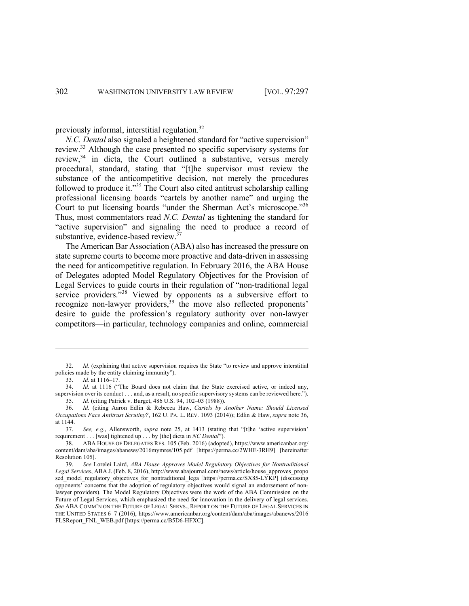previously informal, interstitial regulation.32

*N.C. Dental* also signaled a heightened standard for "active supervision" review.<sup>33</sup> Although the case presented no specific supervisory systems for review, $34$  in dicta, the Court outlined a substantive, versus merely procedural, standard, stating that "[t]he supervisor must review the substance of the anticompetitive decision, not merely the procedures followed to produce it."<sup>35</sup> The Court also cited antitrust scholarship calling professional licensing boards "cartels by another name" and urging the Court to put licensing boards "under the Sherman Act's microscope."<sup>36</sup> Thus, most commentators read *N.C. Dental* as tightening the standard for "active supervision" and signaling the need to produce a record of substantive, evidence-based review.<sup>37</sup>

The American Bar Association (ABA) also has increased the pressure on state supreme courts to become more proactive and data-driven in assessing the need for anticompetitive regulation. In February 2016, the ABA House of Delegates adopted Model Regulatory Objectives for the Provision of Legal Services to guide courts in their regulation of "non-traditional legal service providers."<sup>38</sup> Viewed by opponents as a subversive effort to recognize non-lawyer providers,<sup>39</sup> the move also reflected proponents' desire to guide the profession's regulatory authority over non-lawyer competitors—in particular, technology companies and online, commercial

<sup>32.</sup> *Id.* (explaining that active supervision requires the State "to review and approve interstitial policies made by the entity claiming immunity").

<sup>33.</sup> *Id.* at 1116–17.

<sup>34.</sup> *Id.* at 1116 ("The Board does not claim that the State exercised active, or indeed any, supervision over its conduct . . . and, as a result, no specific supervisory systems can be reviewed here."). 35. *Id.* (citing Patrick v. Burget, 486 U.S. 94, 102–03 (1988)).

<sup>36.</sup> *Id.* (citing Aaron Edlin & Rebecca Haw, *Cartels by Another Name: Should Licensed Occupations Face Antitrust Scrutiny?*, 162 U. PA. L. REV. 1093 (2014)); Edlin & Haw, *supra* note 36, at 1144.

<sup>37.</sup> *See, e.g.*, Allensworth, *supra* note 25, at 1413 (stating that "[t]he 'active supervision' requirement . . . [was] tightened up . . . by [the] dicta in *NC Dental*").

<sup>38.</sup> ABA HOUSE OF DELEGATES RES. 105 (Feb. 2016) (adopted), https://www.americanbar.org/ content/dam/aba/images/abanews/2016mymres/105.pdf [https://perma.cc/2WHE-3RH9] [hereinafter Resolution 105].

<sup>39.</sup> *See* Lorelei Laird, *ABA House Approves Model Regulatory Objectives for Nontraditional Legal Services*, ABA J. (Feb. 8, 2016), http://www.abajournal.com/news/article/house\_approves\_propo sed\_model\_regulatory\_objectives\_for\_nontraditional\_lega [https://perma.cc/SX85-LYKP] (discussing opponents' concerns that the adoption of regulatory objectives would signal an endorsement of nonlawyer providers). The Model Regulatory Objectives were the work of the ABA Commission on the Future of Legal Services, which emphasized the need for innovation in the delivery of legal services. *See* ABA COMM'N ON THE FUTURE OF LEGAL SERVS., REPORT ON THE FUTURE OF LEGAL SERVICES IN THE UNITED STATES 6–7 (2016), https://www.americanbar.org/content/dam/aba/images/abanews/2016 FLSReport\_FNL\_WEB.pdf [https://perma.cc/B5D6-HFXC].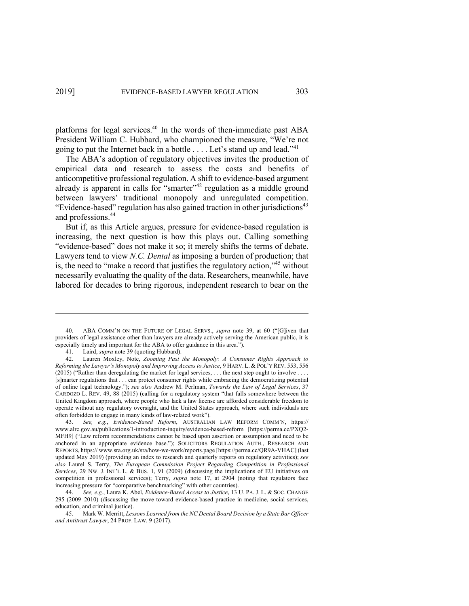platforms for legal services.<sup>40</sup> In the words of then-immediate past ABA President William C. Hubbard, who championed the measure, "We're not going to put the Internet back in a bottle  $\dots$ . Let's stand up and lead."<sup>41</sup>

The ABA's adoption of regulatory objectives invites the production of empirical data and research to assess the costs and benefits of anticompetitive professional regulation. A shift to evidence-based argument already is apparent in calls for "smarter"<sup>42</sup> regulation as a middle ground between lawyers' traditional monopoly and unregulated competition. "Evidence-based" regulation has also gained traction in other jurisdictions<sup>43</sup> and professions.<sup>44</sup>

But if, as this Article argues, pressure for evidence-based regulation is increasing, the next question is how this plays out. Calling something "evidence-based" does not make it so; it merely shifts the terms of debate. Lawyers tend to view *N.C. Dental* as imposing a burden of production; that is, the need to "make a record that justifies the regulatory action,"45 without necessarily evaluating the quality of the data. Researchers, meanwhile, have labored for decades to bring rigorous, independent research to bear on the

<sup>40.</sup> ABA COMM'N ON THE FUTURE OF LEGAL SERVS., *supra* note 39, at 60 ("[G]iven that providers of legal assistance other than lawyers are already actively serving the American public, it is especially timely and important for the ABA to offer guidance in this area.").

<sup>41.</sup> Laird, *supra* note 39 (quoting Hubbard).

<sup>42.</sup> Lauren Moxley, Note, *Zooming Past the Monopoly: A Consumer Rights Approach to Reforming the Lawyer's Monopoly and Improving Access to Justice*, 9 HARV. L. & POL'Y REV. 553, 556 (2015) ("Rather than deregulating the market for legal services, . . . the next step ought to involve . . . . [s]marter regulations that . . . can protect consumer rights while embracing the democratizing potential of online legal technology."); *see also* Andrew M. Perlman, *Towards the Law of Legal Services*, 37 CARDOZO L. REV. 49, 88 (2015) (calling for a regulatory system "that falls somewhere between the United Kingdom approach, where people who lack a law license are afforded considerable freedom to operate without any regulatory oversight, and the United States approach, where such individuals are often forbidden to engage in many kinds of law-related work").

<sup>43.</sup> *See, e.g.*, *Evidence-Based Reform*, AUSTRALIAN LAW REFORM COMM'N, https:// www.alrc.gov.au/publications/1-introduction-inquiry/evidence-based-reform [https://perma.cc/PXQ2- MFH9] ("Law reform recommendations cannot be based upon assertion or assumption and need to be anchored in an appropriate evidence base."); SOLICITORS REGULATION AUTH., RESEARCH AND REPORTS, https:// www.sra.org.uk/sra/how-we-work/reports.page [https://perma.cc/QR9A-VHAC] (last updated May 2019) (providing an index to research and quarterly reports on regulatory activities); *see also* Laurel S. Terry, *The European Commission Project Regarding Competition in Professional Services*, 29 NW. J. INT'L L. & BUS. 1, 91 (2009) (discussing the implications of EU initiatives on competition in professional services); Terry, *supra* note 17, at 2904 (noting that regulators face increasing pressure for "comparative benchmarking" with other countries).

<sup>44.</sup> *See, e.g.*, Laura K. Abel, *Evidence-Based Access to Justice*, 13 U. PA. J. L. & SOC. CHANGE 295 (2009–2010) (discussing the move toward evidence-based practice in medicine, social services, education, and criminal justice).

<sup>45.</sup> Mark W. Merritt, *Lessons Learned from the NC Dental Board Decision by a State Bar Officer and Antitrust Lawyer*, 24 PROF. LAW. 9 (2017).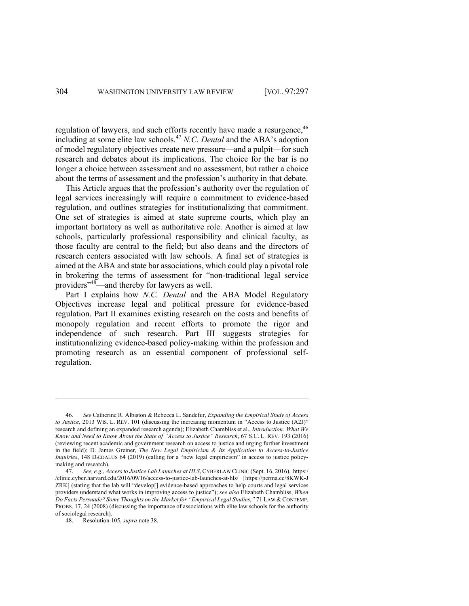regulation of lawyers, and such efforts recently have made a resurgence, <sup>46</sup> including at some elite law schools.<sup>47</sup> *N.C. Dental* and the ABA's adoption of model regulatory objectives create new pressure—and a pulpit—for such research and debates about its implications. The choice for the bar is no longer a choice between assessment and no assessment, but rather a choice about the terms of assessment and the profession's authority in that debate.

This Article argues that the profession's authority over the regulation of legal services increasingly will require a commitment to evidence-based regulation, and outlines strategies for institutionalizing that commitment. One set of strategies is aimed at state supreme courts, which play an important hortatory as well as authoritative role. Another is aimed at law schools, particularly professional responsibility and clinical faculty, as those faculty are central to the field; but also deans and the directors of research centers associated with law schools. A final set of strategies is aimed at the ABA and state bar associations, which could play a pivotal role in brokering the terms of assessment for "non-traditional legal service providers<sup>"48</sup>—and thereby for lawyers as well.

Part I explains how *N.C. Dental* and the ABA Model Regulatory Objectives increase legal and political pressure for evidence-based regulation. Part II examines existing research on the costs and benefits of monopoly regulation and recent efforts to promote the rigor and independence of such research. Part III suggests strategies for institutionalizing evidence-based policy-making within the profession and promoting research as an essential component of professional selfregulation.

<sup>46.</sup> *See* Catherine R. Albiston & Rebecca L. Sandefur, *Expanding the Empirical Study of Access to Justice*, 2013 WIS. L. REV. 101 (discussing the increasing momentum in "Access to Justice (A2J)" research and defining an expanded research agenda); Elizabeth Chambliss et al., *Introduction: What We Know and Need to Know About the State of "Access to Justice" Research*, 67 S.C. L. REV. 193 (2016) (reviewing recent academic and government research on access to justice and urging further investment in the field); D. James Greiner, *The New Legal Empiricism & Its Application to Access-to-Justice Inquiries*, 148 DÆDALUS 64 (2019) (calling for a "new legal empiricism" in access to justice policymaking and research).

<sup>47.</sup> *See, e.g.*, *Access to Justice Lab Launches at HLS*, CYBERLAW CLINIC (Sept. 16, 2016), https:/ /clinic.cyber.harvard.edu/2016/09/16/access-to-justice-lab-launches-at-hls/ [https://perma.cc/8KWK-J ZRK] (stating that the lab will "develop[] evidence-based approaches to help courts and legal services providers understand what works in improving access to justice"); *see also* Elizabeth Chambliss, *When Do Facts Persuade? Some Thoughts on the Market for "Empirical Legal Studies*,*"* 71 LAW & CONTEMP. PROBS. 17, 24 (2008) (discussing the importance of associations with elite law schools for the authority of sociolegal research).

<sup>48.</sup> Resolution 105, *supra* note 38.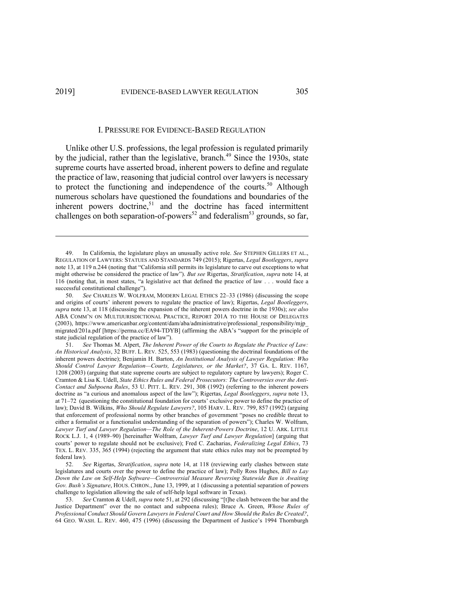#### I. PRESSURE FOR EVIDENCE-BASED REGULATION

Unlike other U.S. professions, the legal profession is regulated primarily by the judicial, rather than the legislative, branch.<sup>49</sup> Since the 1930s, state supreme courts have asserted broad, inherent powers to define and regulate the practice of law, reasoning that judicial control over lawyers is necessary to protect the functioning and independence of the courts.<sup>50</sup> Although numerous scholars have questioned the foundations and boundaries of the inherent powers doctrine,<sup>51</sup> and the doctrine has faced intermittent challenges on both separation-of-powers<sup>52</sup> and federalism<sup>53</sup> grounds, so far,

<sup>49.</sup> In California, the legislature plays an unusually active role. *See* STEPHEN GILLERS ET AL., REGULATION OF LAWYERS: STATUES AND STANDARDS 749 (2015); Rigertas, *Legal Bootleggers*, *supra* note 13, at 119 n.244 (noting that "California still permits its legislature to carve out exceptions to what might otherwise be considered the practice of law"). *But see* Rigertas, *Stratification*, *supra* note 14, at 116 (noting that, in most states, "a legislative act that defined the practice of law . . . would face a successful constitutional challenge").

<sup>50.</sup> *See* CHARLES W. WOLFRAM, MODERN LEGAL ETHICS 22–33 (1986) (discussing the scope and origins of courts' inherent powers to regulate the practice of law); Rigertas, *Legal Bootleggers*, *supra* note 13, at 118 (discussing the expansion of the inherent powers doctrine in the 1930s); *see also* ABA COMM'N ON MULTIJURISDICTIONAL PRACTICE, REPORT 201A TO THE HOUSE OF DELEGATES (2003), https://www.americanbar.org/content/dam/aba/administrative/professional\_responsibility/mjp\_ migrated/201a.pdf [https://perma.cc/EA94-TDYB] (affirming the ABA's "support for the principle of state judicial regulation of the practice of law").

<sup>51.</sup> *See* Thomas M. Alpert, *The Inherent Power of the Courts to Regulate the Practice of Law: An Historical Analysis*, 32 BUFF. L. REV. 525, 553 (1983) (questioning the doctrinal foundations of the inherent powers doctrine); Benjamin H. Barton, *An Institutional Analysis of Lawyer Regulation: Who Should Control Lawyer Regulation—Courts, Legislatures, or the Market?*, 37 GA. L. REV. 1167, 1208 (2003) (arguing that state supreme courts are subject to regulatory capture by lawyers); Roger C. Cramton & Lisa K. Udell, *State Ethics Rules and Federal Prosecutors: The Controversies over the Anti-Contact and Subpoena Rules*, 53 U. PITT. L. REV. 291, 308 (1992) (referring to the inherent powers doctrine as "a curious and anomalous aspect of the law"); Rigertas, *Legal Bootleggers*, *supra* note 13, at 71–72 (questioning the constitutional foundation for courts' exclusive power to define the practice of law); David B. Wilkins, *Who Should Regulate Lawyers?*, 105 HARV. L. REV. 799, 857 (1992) (arguing that enforcement of professional norms by other branches of government "poses no credible threat to either a formalist or a functionalist understanding of the separation of powers"); Charles W. Wolfram, *Lawyer Turf and Lawyer Regulation—The Role of the Inherent-Powers Doctrine*, 12 U. ARK. LITTLE ROCK L.J. 1, 4 (1989–90) [hereinafter Wolfram, *Lawyer Turf and Lawyer Regulation*] (arguing that courts' power to regulate should not be exclusive); Fred C. Zacharias, *Federalizing Legal Ethics*, 73 TEX. L. REV. 335, 365 (1994) (rejecting the argument that state ethics rules may not be preempted by federal law).

<sup>52.</sup> *See* Rigertas, *Stratification*, *supra* note 14, at 118 (reviewing early clashes between state legislatures and courts over the power to define the practice of law); Polly Ross Hughes, *Bill to Lay Down the Law on Self-Help Software—Controversial Measure Reversing Statewide Ban is Awaiting Gov. Bush's Signature*, HOUS. CHRON., June 13, 1999, at 1 (discussing a potential separation of powers challenge to legislation allowing the sale of self-help legal software in Texas).

<sup>53.</sup> *See* Cramton & Udell, *supra* note 51, at 292 (discussing "[t]he clash between the bar and the Justice Department" over the no contact and subpoena rules); Bruce A. Green, *Whose Rules of Professional Conduct Should Govern Lawyers in Federal Court and How Should the Rules Be Created?*, 64 GEO. WASH. L. REV. 460, 475 (1996) (discussing the Department of Justice's 1994 Thornburgh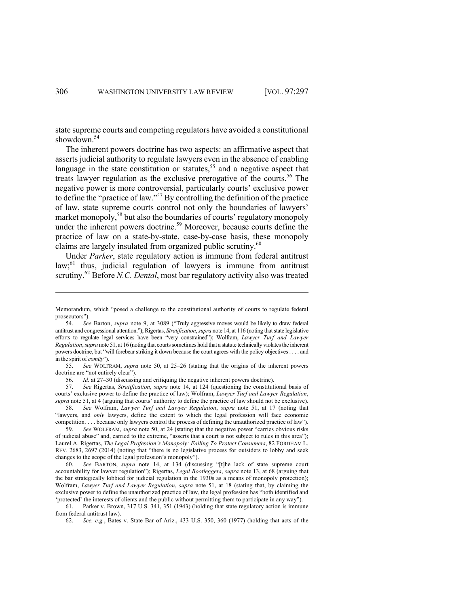state supreme courts and competing regulators have avoided a constitutional showdown.<sup>54</sup>

The inherent powers doctrine has two aspects: an affirmative aspect that asserts judicial authority to regulate lawyers even in the absence of enabling language in the state constitution or statutes,<sup>55</sup> and a negative aspect that treats lawyer regulation as the exclusive prerogative of the courts.<sup>56</sup> The negative power is more controversial, particularly courts' exclusive power to define the "practice of law."<sup>57</sup> By controlling the definition of the practice of law, state supreme courts control not only the boundaries of lawyers' market monopoly,<sup>58</sup> but also the boundaries of courts' regulatory monopoly under the inherent powers doctrine.<sup>59</sup> Moreover, because courts define the practice of law on a state-by-state, case-by-case basis, these monopoly claims are largely insulated from organized public scrutiny.<sup>60</sup>

Under *Parker*, state regulatory action is immune from federal antitrust law;<sup>61</sup> thus, judicial regulation of lawyers is immune from antitrust scrutiny.<sup>62</sup> Before *N.C. Dental*, most bar regulatory activity also was treated

Memorandum, which "posed a challenge to the constitutional authority of courts to regulate federal prosecutors").

<sup>54.</sup> *See* Barton, *supra* note 9, at 3089 ("Truly aggressive moves would be likely to draw federal antitrust and congressional attention."); Rigertas, *Stratification*, *supra* note 14, at 116 (noting that state legislative efforts to regulate legal services have been "very constrained"); Wolfram, *Lawyer Turf and Lawyer Regulation*,*supra* note 51, at 16 (noting that courts sometimes hold that a statute technically violates the inherent powers doctrine, but "will forebear striking it down because the court agrees with the policy objectives . . . . and in the spirit of *comity*").

<sup>55.</sup> *See* WOLFRAM, *supra* note 50, at 25–26 (stating that the origins of the inherent powers doctrine are "not entirely clear").

<sup>56.</sup> *Id.* at 27–30 (discussing and critiquing the negative inherent powers doctrine).

<sup>57.</sup> *See* Rigertas, *Stratification*, *supra* note 14, at 124 (questioning the constitutional basis of courts' exclusive power to define the practice of law); Wolfram, *Lawyer Turf and Lawyer Regulation*, *supra* note 51, at 4 (arguing that courts' authority to define the practice of law should not be exclusive).

<sup>58.</sup> *See* Wolfram, *Lawyer Turf and Lawyer Regulation*, *supra* note 51, at 17 (noting that "lawyers, and *only* lawyers, define the extent to which the legal profession will face economic competition. . . . because only lawyers control the process of defining the unauthorized practice of law").

<sup>59.</sup> *See* WOLFRAM, *supra* note 50, at 24 (stating that the negative power "carries obvious risks of judicial abuse" and, carried to the extreme, "asserts that a court is not subject to rules in this area"); Laurel A. Rigertas, *The Legal Profession's Monopoly: Failing To Protect Consumers*, 82 FORDHAM L. REV. 2683, 2697 (2014) (noting that "there is no legislative process for outsiders to lobby and seek changes to the scope of the legal profession's monopoly").

<sup>60.</sup> *See* BARTON, *supra* note 14, at 134 (discussing "[t]he lack of state supreme court accountability for lawyer regulation"); Rigertas, *Legal Bootleggers*, *supra* note 13, at 68 (arguing that the bar strategically lobbied for judicial regulation in the 1930s as a means of monopoly protection); Wolfram, *Lawyer Turf and Lawyer Regulation*, *supra* note 51, at 18 (stating that, by claiming the exclusive power to define the unauthorized practice of law, the legal profession has "both identified and 'protected' the interests of clients and the public without permitting them to participate in any way").

<sup>61.</sup> Parker v. Brown, 317 U.S. 341, 351 (1943) (holding that state regulatory action is immune from federal antitrust law).

<sup>62.</sup> *See, e.g.*, Bates v. State Bar of Ariz., 433 U.S. 350, 360 (1977) (holding that acts of the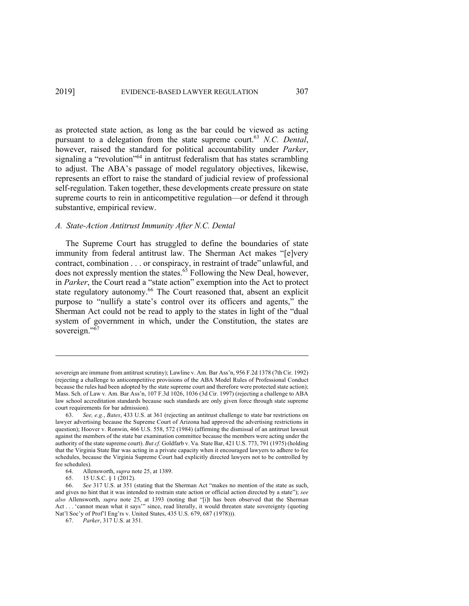as protected state action, as long as the bar could be viewed as acting pursuant to a delegation from the state supreme court.63 *N.C. Dental*, however, raised the standard for political accountability under *Parker*, signaling a "revolution"<sup>64</sup> in antitrust federalism that has states scrambling to adjust. The ABA's passage of model regulatory objectives, likewise, represents an effort to raise the standard of judicial review of professional self-regulation. Taken together, these developments create pressure on state supreme courts to rein in anticompetitive regulation—or defend it through substantive, empirical review.

# *A. State-Action Antitrust Immunity After N.C. Dental*

The Supreme Court has struggled to define the boundaries of state immunity from federal antitrust law. The Sherman Act makes "[e]very contract, combination . . . or conspiracy, in restraint of trade" unlawful, and does not expressly mention the states.<sup>65</sup> Following the New Deal, however, in *Parker*, the Court read a "state action" exemption into the Act to protect state regulatory autonomy.<sup>66</sup> The Court reasoned that, absent an explicit purpose to "nullify a state's control over its officers and agents," the Sherman Act could not be read to apply to the states in light of the "dual system of government in which, under the Constitution, the states are sovereign."<sup>67</sup>

sovereign are immune from antitrust scrutiny); Lawline v. Am. Bar Ass'n, 956 F.2d 1378 (7th Cir. 1992) (rejecting a challenge to anticompetitive provisions of the ABA Model Rules of Professional Conduct because the rules had been adopted by the state supreme court and therefore were protected state action); Mass. Sch. of Law v. Am. Bar Ass'n, 107 F.3d 1026, 1036 (3d Cir. 1997) (rejecting a challenge to ABA law school accreditation standards because such standards are only given force through state supreme court requirements for bar admission).

<sup>63.</sup> *See, e.g.*, *Bates*, 433 U.S. at 361 (rejecting an antitrust challenge to state bar restrictions on lawyer advertising because the Supreme Court of Arizona had approved the advertising restrictions in question); Hoover v. Ronwin, 466 U.S. 558, 572 (1984) (affirming the dismissal of an antitrust lawsuit against the members of the state bar examination committee because the members were acting under the authority of the state supreme court). *But cf.* Goldfarb v. Va. State Bar, 421 U.S. 773, 791 (1975) (holding that the Virginia State Bar was acting in a private capacity when it encouraged lawyers to adhere to fee schedules, because the Virginia Supreme Court had explicitly directed lawyers not to be controlled by fee schedules).

<sup>64.</sup> Allensworth, *supra* note 25, at 1389.

<sup>65.</sup> 15 U.S.C. § 1 (2012).

<sup>66.</sup> *See* 317 U.S. at 351 (stating that the Sherman Act "makes no mention of the state as such, and gives no hint that it was intended to restrain state action or official action directed by a state"); *see also* Allensworth, *supra* note 25, at 1393 (noting that "[i]t has been observed that the Sherman Act . . . 'cannot mean what it says'" since, read literally, it would threaten state sovereignty (quoting Nat'l Soc'y of Prof'l Eng'rs v. United States, 435 U.S. 679, 687 (1978))).

<sup>67.</sup> *Parker*, 317 U.S. at 351.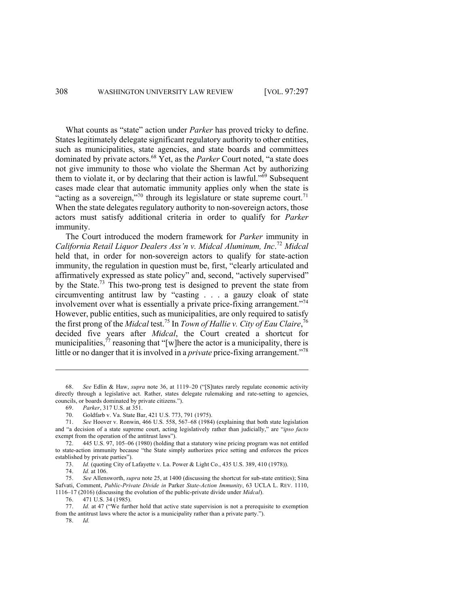What counts as "state" action under *Parker* has proved tricky to define. States legitimately delegate significant regulatory authority to other entities, such as municipalities, state agencies, and state boards and committees dominated by private actors.68 Yet, as the *Parker* Court noted, "a state does not give immunity to those who violate the Sherman Act by authorizing them to violate it, or by declaring that their action is lawful." $69$  Subsequent cases made clear that automatic immunity applies only when the state is "acting as a sovereign,"<sup>70</sup> through its legislature or state supreme court.<sup>71</sup> When the state delegates regulatory authority to non-sovereign actors, those actors must satisfy additional criteria in order to qualify for *Parker* immunity.

The Court introduced the modern framework for *Parker* immunity in *California Retail Liquor Dealers Ass'n v. Midcal Aluminum, Inc*. <sup>72</sup> *Midcal* held that, in order for non-sovereign actors to qualify for state-action immunity, the regulation in question must be, first, "clearly articulated and affirmatively expressed as state policy" and, second, "actively supervised" by the State.<sup>73</sup> This two-prong test is designed to prevent the state from circumventing antitrust law by "casting . . . a gauzy cloak of state involvement over what is essentially a private price-fixing arrangement."<sup>74</sup> However, public entities, such as municipalities, are only required to satisfy the first prong of the *Midcal* test.<sup>75</sup> In *Town of Hallie v. City of Eau Claire*, 76 decided five years after *Midcal*, the Court created a shortcut for municipalities,<sup> $77$ </sup> reasoning that "[w]here the actor is a municipality, there is little or no danger that it is involved in a *private* price-fixing arrangement."<sup>78</sup>

69. *Parker*, 317 U.S. at 351.

70. Goldfarb v. Va. State Bar, 421 U.S. 773, 791 (1975).

71. *See* Hoover v. Ronwin, 466 U.S. 558, 567–68 (1984) (explaining that both state legislation and "a decision of a state supreme court, acting legislatively rather than judicially," are "*ipso facto* exempt from the operation of the antitrust laws").

72. 445 U.S. 97, 105–06 (1980) (holding that a statutory wine pricing program was not entitled to state-action immunity because "the State simply authorizes price setting and enforces the prices established by private parties").

73. *Id.* (quoting City of Lafayette v. La. Power & Light Co., 435 U.S. 389, 410 (1978)).

74. *Id.* at 106.

75. *See* Allensworth, *supra* note 25, at 1400 (discussing the shortcut for sub-state entities); Sina Safvati, Comment, *Public-Private Divide in* Parker *State-Action Immunity*, 63 UCLA L. REV. 1110, 1116–17 (2016) (discussing the evolution of the public-private divide under *Midcal*).

76. 471 U.S. 34 (1985).

77. *Id.* at 47 ("We further hold that active state supervision is not a prerequisite to exemption from the antitrust laws where the actor is a municipality rather than a private party.").

78. *Id.*

<sup>68.</sup> *See* Edlin & Haw, *supra* note 36, at 1119–20 ("[S]tates rarely regulate economic activity directly through a legislative act. Rather, states delegate rulemaking and rate-setting to agencies, councils, or boards dominated by private citizens.").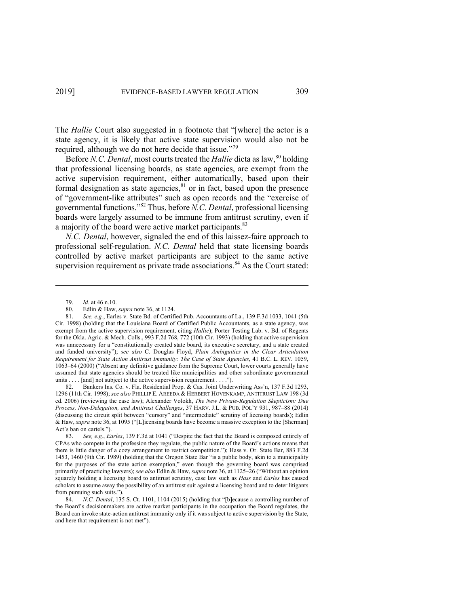The *Hallie* Court also suggested in a footnote that "[where] the actor is a state agency, it is likely that active state supervision would also not be required, although we do not here decide that issue."<sup>79</sup>

Before *N.C. Dental*, most courts treated the *Hallie* dicta as law, <sup>80</sup> holding that professional licensing boards, as state agencies, are exempt from the active supervision requirement, either automatically, based upon their formal designation as state agencies,<sup>81</sup> or in fact, based upon the presence of "government-like attributes" such as open records and the "exercise of governmental functions."82 Thus, before *N.C. Dental*, professional licensing boards were largely assumed to be immune from antitrust scrutiny, even if a majority of the board were active market participants.<sup>83</sup>

*N.C. Dental*, however, signaled the end of this laissez-faire approach to professional self-regulation. *N.C. Dental* held that state licensing boards controlled by active market participants are subject to the same active supervision requirement as private trade associations.<sup>84</sup> As the Court stated:

82. Bankers Ins. Co. v. Fla. Residential Prop. & Cas. Joint Underwriting Ass'n, 137 F.3d 1293, 1296 (11th Cir. 1998); *see also* PHILLIP E. AREEDA & HERBERT HOVENKAMP, ANTITRUST LAW 198 (3d ed. 2006) (reviewing the case law); Alexander Volokh, *The New Private-Regulation Skepticism: Due Process, Non-Delegation, and Antitrust Challenges*, 37 HARV. J.L. & PUB. POL'Y 931, 987–88 (2014) (discussing the circuit split between "cursory" and "intermediate" scrutiny of licensing boards); Edlin & Haw, *supra* note 36, at 1095 ("[L]icensing boards have become a massive exception to the [Sherman] Act's ban on cartels.").

<sup>79.</sup> *Id.* at 46 n.10.

<sup>80.</sup> Edlin & Haw, *supra* note 36, at 1124.

<sup>81.</sup> *See, e.g.*, Earles v. State Bd. of Certified Pub. Accountants of La., 139 F.3d 1033, 1041 (5th Cir. 1998) (holding that the Louisiana Board of Certified Public Accountants, as a state agency, was exempt from the active supervision requirement, citing *Hallie*); Porter Testing Lab. v. Bd. of Regents for the Okla. Agric. & Mech. Colls., 993 F.2d 768, 772 (10th Cir. 1993) (holding that active supervision was unnecessary for a "constitutionally created state board, its executive secretary, and a state created and funded university"); *see also* C. Douglas Floyd, *Plain Ambiguities in the Clear Articulation Requirement for State Action Antitrust Immunity: The Case of State Agencies*, 41 B.C. L. REV. 1059, 1063–64 (2000) ("Absent any definitive guidance from the Supreme Court, lower courts generally have assumed that state agencies should be treated like municipalities and other subordinate governmental units . . . . [and] not subject to the active supervision requirement . . . .").

<sup>83.</sup> *See, e.g.*, *Earles*, 139 F.3d at 1041 ("Despite the fact that the Board is composed entirely of CPAs who compete in the profession they regulate, the public nature of the Board's actions means that there is little danger of a cozy arrangement to restrict competition."); Hass v. Or. State Bar, 883 F.2d 1453, 1460 (9th Cir. 1989) (holding that the Oregon State Bar "is a public body, akin to a municipality for the purposes of the state action exemption," even though the governing board was comprised primarily of practicing lawyers); *see also* Edlin & Haw, *supra* note 36, at 1125–26 ("Without an opinion squarely holding a licensing board to antitrust scrutiny, case law such as *Hass* and *Earles* has caused scholars to assume away the possibility of an antitrust suit against a licensing board and to deter litigants from pursuing such suits.").

<sup>84.</sup> *N.C. Dental*, 135 S. Ct. 1101, 1104 (2015) (holding that "[b]ecause a controlling number of the Board's decisionmakers are active market participants in the occupation the Board regulates, the Board can invoke state-action antitrust immunity only if it was subject to active supervision by the State, and here that requirement is not met").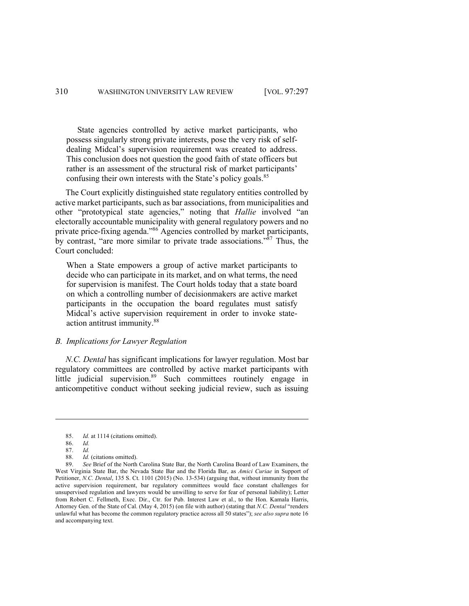State agencies controlled by active market participants, who possess singularly strong private interests, pose the very risk of selfdealing Midcal's supervision requirement was created to address. This conclusion does not question the good faith of state officers but rather is an assessment of the structural risk of market participants' confusing their own interests with the State's policy goals.<sup>85</sup>

The Court explicitly distinguished state regulatory entities controlled by active market participants, such as bar associations, from municipalities and other "prototypical state agencies," noting that *Hallie* involved "an electorally accountable municipality with general regulatory powers and no private price-fixing agenda."<sup>86</sup> Agencies controlled by market participants, by contrast, "are more similar to private trade associations."<sup>87</sup> Thus, the Court concluded:

When a State empowers a group of active market participants to decide who can participate in its market, and on what terms, the need for supervision is manifest. The Court holds today that a state board on which a controlling number of decisionmakers are active market participants in the occupation the board regulates must satisfy Midcal's active supervision requirement in order to invoke stateaction antitrust immunity.88

# *B. Implications for Lawyer Regulation*

*N.C. Dental* has significant implications for lawyer regulation. Most bar regulatory committees are controlled by active market participants with little judicial supervision.<sup>89</sup> Such committees routinely engage in anticompetitive conduct without seeking judicial review, such as issuing

<sup>85.</sup> *Id.* at 1114 (citations omitted).

<sup>86.</sup> *Id.*

<sup>87.</sup> *Id.* 88. *Id.* (citations omitted).

<sup>89.</sup> *See* Brief of the North Carolina State Bar, the North Carolina Board of Law Examiners, the West Virginia State Bar, the Nevada State Bar and the Florida Bar, as *Amici Curiae* in Support of Petitioner, *N.C. Dental*, 135 S. Ct. 1101 (2015) (No. 13-534) (arguing that, without immunity from the active supervision requirement, bar regulatory committees would face constant challenges for unsupervised regulation and lawyers would be unwilling to serve for fear of personal liability); Letter from Robert C. Fellmeth, Exec. Dir., Ctr. for Pub. Interest Law et al., to the Hon. Kamala Harris, Attorney Gen. of the State of Cal. (May 4, 2015) (on file with author) (stating that *N.C. Dental* "renders unlawful what has become the common regulatory practice across all 50 states"); *see also supra* note 16 and accompanying text.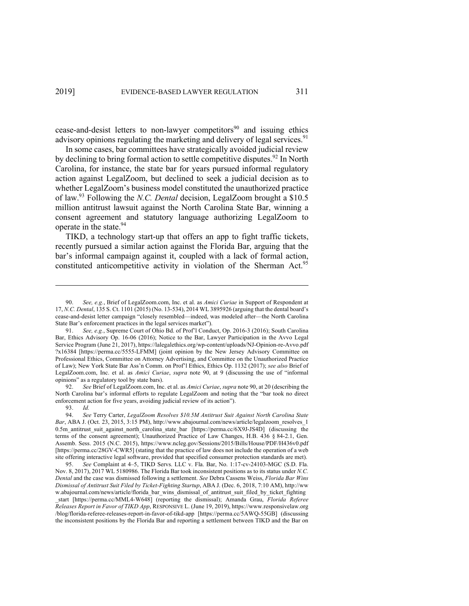cease-and-desist letters to non-lawyer competitors<sup>90</sup> and issuing ethics advisory opinions regulating the marketing and delivery of legal services.<sup>91</sup>

In some cases, bar committees have strategically avoided judicial review by declining to bring formal action to settle competitive disputes.<sup>92</sup> In North Carolina, for instance, the state bar for years pursued informal regulatory action against LegalZoom, but declined to seek a judicial decision as to whether LegalZoom's business model constituted the unauthorized practice of law.93 Following the *N.C. Dental* decision, LegalZoom brought a \$10.5 million antitrust lawsuit against the North Carolina State Bar, winning a consent agreement and statutory language authorizing LegalZoom to operate in the state.<sup>94</sup>

TIKD, a technology start-up that offers an app to fight traffic tickets, recently pursued a similar action against the Florida Bar, arguing that the bar's informal campaign against it, coupled with a lack of formal action, constituted anticompetitive activity in violation of the Sherman Act.<sup>95</sup>

92. *See* Brief of LegalZoom.com, Inc. et al. as *Amici Curiae*, *supra* note 90, at 20 (describing the North Carolina bar's informal efforts to regulate LegalZoom and noting that the "bar took no direct enforcement action for five years, avoiding judicial review of its action").

93. *Id.*

<sup>90.</sup> *See, e.g.*, Brief of LegalZoom.com, Inc. et al. as *Amici Curiae* in Support of Respondent at 17, *N.C. Dental*, 135 S. Ct. 1101 (2015) (No. 13-534), 2014 WL 3895926 (arguing that the dental board's cease-and-desist letter campaign "closely resembled—indeed, was modeled after—the North Carolina State Bar's enforcement practices in the legal services market").

<sup>91.</sup> *See, e.g.*, Supreme Court of Ohio Bd. of Prof'l Conduct, Op. 2016-3 (2016); South Carolina Bar, Ethics Advisory Op. 16-06 (2016); Notice to the Bar, Lawyer Participation in the Avvo Legal Service Program (June 21, 2017), https://lalegalethics.org/wp-content/uploads/NJ-Opinion-re-Avvo.pdf ?x16384 [https://perma.cc/5555-LFMM] (joint opinion by the New Jersey Advisory Committee on Professional Ethics, Committee on Attorney Advertising, and Committee on the Unauthorized Practice of Law); New York State Bar Ass'n Comm. on Prof'l Ethics, Ethics Op. 1132 (2017); *see also* Brief of LegalZoom.com, Inc. et al. as *Amici Curiae*, *supra* note 90, at 9 (discussing the use of "informal opinions" as a regulatory tool by state bars).

<sup>94.</sup> *See* Terry Carter, *LegalZoom Resolves \$10.5M Antitrust Suit Against North Carolina State Bar*, ABA J. (Oct. 23, 2015, 3:15 PM), http://www.abajournal.com/news/article/legalzoom\_resolves\_1 0.5m antitrust suit against north carolina state bar [https://perma.cc/6X9J-JS4D] (discussing the terms of the consent agreement); Unauthorized Practice of Law Changes, H.B. 436 § 84-2.1, Gen. Assemb. Sess. 2015 (N.C. 2015), https://www.ncleg.gov/Sessions/2015/Bills/House/PDF/H436v0.pdf [https://perma.cc/28GV-CWR5] (stating that the practice of law does not include the operation of a web site offering interactive legal software, provided that specified consumer protection standards are met).

<sup>95.</sup> *See* Complaint at 4–5, TIKD Servs. LLC v. Fla. Bar, No. 1:17-cv-24103-MGC (S.D. Fla. Nov. 8, 2017), 2017 WL 5180986. The Florida Bar took inconsistent positions as to its status under *N.C. Dental* and the case was dismissed following a settlement. *See* Debra Cassens Weiss, *Florida Bar Wins Dismissal of Antitrust Suit Filed by Ticket-Fighting Startup*, ABA J. (Dec. 6, 2018, 7:10 AM), http://ww w.abajournal.com/news/article/florida\_bar\_wins\_dismissal\_of\_antitrust\_suit\_filed\_by\_ticket\_fighting \_start [https://perma.cc/MML4-W648] (reporting the dismissal); Amanda Grau, *Florida Referee Releases Report in Favor of TIKD App*, RESPONSIVE L. (June 19, 2019), https://www.responsivelaw.org /blog/florida-referee-releases-report-in-favor-of-tikd-app [https://perma.cc/5AWQ-55GB] (discussing the inconsistent positions by the Florida Bar and reporting a settlement between TIKD and the Bar on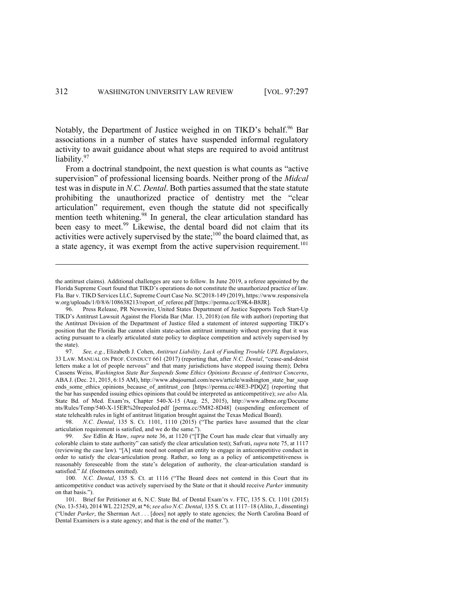Notably, the Department of Justice weighed in on TIKD's behalf.<sup>96</sup> Bar associations in a number of states have suspended informal regulatory activity to await guidance about what steps are required to avoid antitrust liability.97

From a doctrinal standpoint, the next question is what counts as "active supervision" of professional licensing boards. Neither prong of the *Midcal* test was in dispute in *N.C. Dental*. Both parties assumed that the state statute prohibiting the unauthorized practice of dentistry met the "clear articulation" requirement, even though the statute did not specifically mention teeth whitening.<sup>98</sup> In general, the clear articulation standard has been easy to meet.<sup>99</sup> Likewise, the dental board did not claim that its activities were actively supervised by the state;<sup>100</sup> the board claimed that, as a state agency, it was exempt from the active supervision requirement.<sup>101</sup>

the antitrust claims). Additional challenges are sure to follow. In June 2019, a referee appointed by the Florida Supreme Court found that TIKD's operations do not constitute the unauthorized practice of law. Fla. Bar v. TIKD Services LLC, Supreme Court Case No. SC2018-149 (2019), https://www.responsivela w.org/uploads/1/0/8/6/108638213/report\_of\_referee.pdf [https://perma.cc/E9K4-B8JR].

<sup>96.</sup> Press Release, PR Newswire, United States Department of Justice Supports Tech Start-Up TIKD's Antitrust Lawsuit Against the Florida Bar (Mar. 13, 2018) (on file with author) (reporting that the Antitrust Division of the Department of Justice filed a statement of interest supporting TIKD's position that the Florida Bar cannot claim state-action antitrust immunity without proving that it was acting pursuant to a clearly articulated state policy to displace competition and actively supervised by the state).

<sup>97.</sup> *See, e.g.*, Elizabeth J. Cohen, *Antitrust Liability, Lack of Funding Trouble UPL Regulators*, 33 LAW. MANUAL ON PROF. CONDUCT 661 (2017) (reporting that, after *N.C. Dental*, "cease-and-desist letters make a lot of people nervous" and that many jurisdictions have stopped issuing them); Debra Cassens Weiss, *Washington State Bar Suspends Some Ethics Opinions Because of Antitrust Concerns*, ABA J. (Dec. 21, 2015, 6:15 AM), http://www.abajournal.com/news/article/washington\_state\_bar\_susp ends\_some\_ethics\_opinions\_because\_of\_antitrust\_con [https://perma.cc/48E3-PDQZ] (reporting that the bar has suspended issuing ethics opinions that could be interpreted as anticompetitive); *see also* Ala. State Bd. of Med. Exam'rs, Chapter 540-X-15 (Aug. 25, 2015), http://www.albme.org/Docume nts/Rules/Temp/540-X-15ER%20repealed.pdf [perma.cc/5M82-8D48] (suspending enforcement of state telehealth rules in light of antitrust litigation brought against the Texas Medical Board).

<sup>98.</sup> *N.C. Dental*, 135 S. Ct. 1101, 1110 (2015) ("The parties have assumed that the clear articulation requirement is satisfied, and we do the same.").

<sup>99.</sup> *See* Edlin & Haw, *supra* note 36, at 1120 ("[T]he Court has made clear that virtually any colorable claim to state authority" can satisfy the clear articulation test); Safvati, *supra* note 75, at 1117 (reviewing the case law). "[A] state need not compel an entity to engage in anticompetitive conduct in order to satisfy the clear-articulation prong. Rather, so long as a policy of anticompetitiveness is reasonably foreseeable from the state's delegation of authority, the clear-articulation standard is satisfied." *Id.* (footnotes omitted).

<sup>100.</sup> *N.C. Dental*, 135 S. Ct. at 1116 ("The Board does not contend in this Court that its anticompetitive conduct was actively supervised by the State or that it should receive *Parker* immunity on that basis.").

<sup>101.</sup> Brief for Petitioner at 6, N.C. State Bd. of Dental Exam'rs v. FTC, 135 S. Ct. 1101 (2015) (No. 13-534), 2014 WL 2212529, at \*6; *see also N.C. Dental*, 135 S. Ct. at 1117–18 (Alito, J., dissenting) ("Under *Parker*, the Sherman Act . . . [does] not apply to state agencies; the North Carolina Board of Dental Examiners is a state agency; and that is the end of the matter.").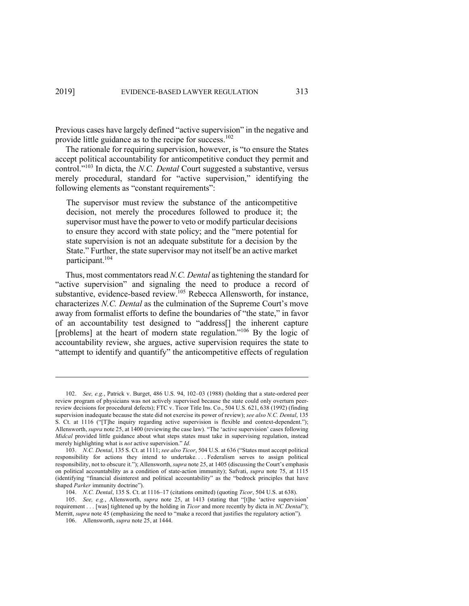Previous cases have largely defined "active supervision" in the negative and provide little guidance as to the recipe for success.<sup>102</sup>

The rationale for requiring supervision, however, is "to ensure the States accept political accountability for anticompetitive conduct they permit and control."<sup>103</sup> In dicta, the *N.C. Dental* Court suggested a substantive, versus merely procedural, standard for "active supervision," identifying the following elements as "constant requirements":

The supervisor must review the substance of the anticompetitive decision, not merely the procedures followed to produce it; the supervisor must have the power to veto or modify particular decisions to ensure they accord with state policy; and the "mere potential for state supervision is not an adequate substitute for a decision by the State." Further, the state supervisor may not itself be an active market participant.104

Thus, most commentators read *N.C. Dental* as tightening the standard for "active supervision" and signaling the need to produce a record of substantive, evidence-based review.<sup>105</sup> Rebecca Allensworth, for instance, characterizes *N.C. Dental* as the culmination of the Supreme Court's move away from formalist efforts to define the boundaries of "the state," in favor of an accountability test designed to "address[] the inherent capture [problems] at the heart of modern state regulation."<sup>106</sup> By the logic of accountability review, she argues, active supervision requires the state to "attempt to identify and quantify" the anticompetitive effects of regulation

105. *See, e.g.*, Allensworth, *supra* note 25, at 1413 (stating that "[t]he 'active supervision' requirement . . . [was] tightened up by the holding in *Ticor* and more recently by dicta in *NC Dental*"); Merritt, *supra* note 45 (emphasizing the need to "make a record that justifies the regulatory action").

106. Allensworth, *supra* note 25, at 1444.

<sup>102.</sup> *See, e.g.*, Patrick v. Burget, 486 U.S. 94, 102–03 (1988) (holding that a state-ordered peer review program of physicians was not actively supervised because the state could only overturn peerreview decisions for procedural defects); FTC v. Ticor Title Ins. Co., 504 U.S. 621, 638 (1992) (finding supervision inadequate because the state did not exercise its power of review); *see also N.C. Dental*, 135 S. Ct. at 1116 ("[T]he inquiry regarding active supervision is flexible and context-dependent."); Allensworth, *supra* note 25, at 1400 (reviewing the case law). "The 'active supervision' cases following *Midcal* provided little guidance about what steps states must take in supervising regulation, instead merely highlighting what is *not* active supervision." *Id.*

<sup>103.</sup> *N.C. Dental*, 135 S. Ct. at 1111; *see also Ticor*, 504 U.S. at 636 ("States must accept political responsibility for actions they intend to undertake. . . . Federalism serves to assign political responsibility, not to obscure it."); Allensworth, *supra* note 25, at 1405 (discussing the Court's emphasis on political accountability as a condition of state-action immunity); Safvati, *supra* note 75, at 1115 (identifying "financial disinterest and political accountability" as the "bedrock principles that have shaped *Parker* immunity doctrine").

<sup>104.</sup> *N.C. Dental*, 135 S. Ct. at 1116–17 (citations omitted) (quoting *Ticor*, 504 U.S. at 638).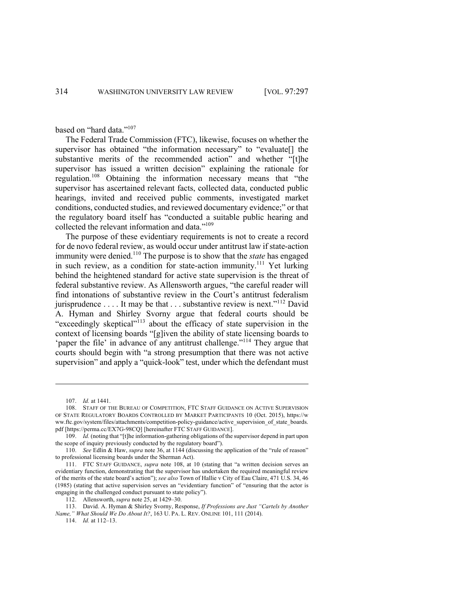based on "hard data."<sup>107</sup>

The Federal Trade Commission (FTC), likewise, focuses on whether the supervisor has obtained "the information necessary" to "evaluate[] the substantive merits of the recommended action" and whether "[t]he supervisor has issued a written decision" explaining the rationale for regulation.108 Obtaining the information necessary means that "the supervisor has ascertained relevant facts, collected data, conducted public hearings, invited and received public comments, investigated market conditions, conducted studies, and reviewed documentary evidence;" or that the regulatory board itself has "conducted a suitable public hearing and collected the relevant information and data."109

The purpose of these evidentiary requirements is not to create a record for de novo federal review, as would occur under antitrust law if state-action immunity were denied.<sup>110</sup> The purpose is to show that the *state* has engaged in such review, as a condition for state-action immunity.<sup>111</sup> Yet lurking behind the heightened standard for active state supervision is the threat of federal substantive review. As Allensworth argues, "the careful reader will find intonations of substantive review in the Court's antitrust federalism jurisprudence . . . . It may be that . . . substantive review is next."<sup>112</sup> David A. Hyman and Shirley Svorny argue that federal courts should be "exceedingly skeptical"<sup>113</sup> about the efficacy of state supervision in the context of licensing boards "[g]iven the ability of state licensing boards to 'paper the file' in advance of any antitrust challenge."<sup>114</sup> They argue that courts should begin with "a strong presumption that there was not active supervision" and apply a "quick-look" test, under which the defendant must

114. *Id.* at 112–13.

<sup>107.</sup> *Id.* at 1441.

<sup>108.</sup> STAFF OF THE BUREAU OF COMPETITION, FTC STAFF GUIDANCE ON ACTIVE SUPERVISION OF STATE REGULATORY BOARDS CONTROLLED BY MARKET PARTICIPANTS 10 (Oct. 2015), https://w ww.ftc.gov/system/files/attachments/competition-policy-guidance/active\_supervision\_of\_state\_boards. pdf [https://perma.cc/EX7G-98CQ] [hereinafter FTC STAFF GUIDANCE].

<sup>109.</sup> *Id.* (noting that "[t]he information-gathering obligations of the supervisor depend in part upon the scope of inquiry previously conducted by the regulatory board").

<sup>110.</sup> *See* Edlin & Haw, *supra* note 36, at 1144 (discussing the application of the "rule of reason" to professional licensing boards under the Sherman Act).

<sup>111.</sup> FTC STAFF GUIDANCE, *supra* note 108, at 10 (stating that "a written decision serves an evidentiary function, demonstrating that the supervisor has undertaken the required meaningful review of the merits of the state board's action"); *see also* Town of Hallie v City of Eau Claire, 471 U.S. 34, 46 (1985) (stating that active supervision serves an "evidentiary function" of "ensuring that the actor is engaging in the challenged conduct pursuant to state policy").

<sup>112.</sup> Allensworth, *supra* note 25, at 1429–30.

<sup>113.</sup> David. A. Hyman & Shirley Svorny, Response, *If Professions are Just "Cartels by Another Name," What Should We Do About It?*, 163 U. PA. L. REV. ONLINE 101, 111 (2014).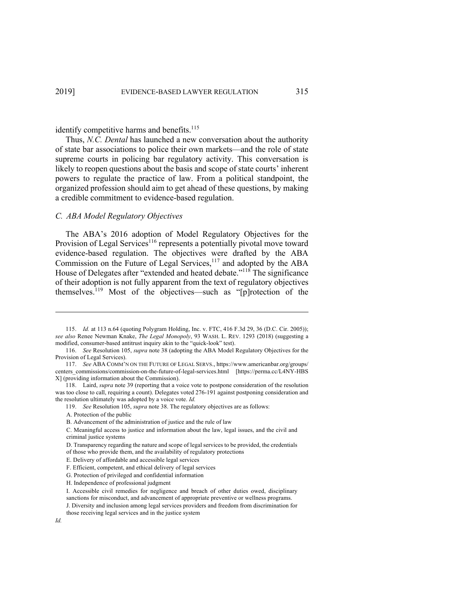# identify competitive harms and benefits.<sup>115</sup>

Thus, *N.C. Dental* has launched a new conversation about the authority of state bar associations to police their own markets—and the role of state supreme courts in policing bar regulatory activity. This conversation is likely to reopen questions about the basis and scope of state courts' inherent powers to regulate the practice of law. From a political standpoint, the organized profession should aim to get ahead of these questions, by making a credible commitment to evidence-based regulation.

#### *C. ABA Model Regulatory Objectives*

The ABA's 2016 adoption of Model Regulatory Objectives for the Provision of Legal Services<sup>116</sup> represents a potentially pivotal move toward evidence-based regulation. The objectives were drafted by the ABA Commission on the Future of Legal Services,<sup>117</sup> and adopted by the ABA House of Delegates after "extended and heated debate."<sup>118</sup> The significance of their adoption is not fully apparent from the text of regulatory objectives themselves.119 Most of the objectives—such as "[p]rotection of the

<sup>115.</sup> *Id.* at 113 n.64 (quoting Polygram Holding, Inc. v. FTC, 416 F.3d 29, 36 (D.C. Cir. 2005)); *see also* Renee Newman Knake, *The Legal Monopoly*, 93 WASH. L. REV. 1293 (2018) (suggesting a modified, consumer-based antitrust inquiry akin to the "quick-look" test).

<sup>116.</sup> *See* Resolution 105, *supra* note 38 (adopting the ABA Model Regulatory Objectives for the Provision of Legal Services).

<sup>117.</sup> *See* ABA COMM'N ON THE FUTURE OF LEGAL SERVS., https://www.americanbar.org/groups/ centers\_commissions/commission-on-the-future-of-legal-services.html [https://perma.cc/L4NY-HBS X] (providing information about the Commission).

<sup>118.</sup> Laird, *supra* note 39 (reporting that a voice vote to postpone consideration of the resolution was too close to call, requiring a count). Delegates voted 276-191 against postponing consideration and the resolution ultimately was adopted by a voice vote. *Id.*

<sup>119.</sup> *See* Resolution 105, *supra* note 38. The regulatory objectives are as follows:

A. Protection of the public

B. Advancement of the administration of justice and the rule of law

C. Meaningful access to justice and information about the law, legal issues, and the civil and criminal justice systems

D. Transparency regarding the nature and scope of legal services to be provided, the credentials of those who provide them, and the availability of regulatory protections

E. Delivery of affordable and accessible legal services

F. Efficient, competent, and ethical delivery of legal services

G. Protection of privileged and confidential information

H. Independence of professional judgment

I. Accessible civil remedies for negligence and breach of other duties owed, disciplinary sanctions for misconduct, and advancement of appropriate preventive or wellness programs.

J. Diversity and inclusion among legal services providers and freedom from discrimination for those receiving legal services and in the justice system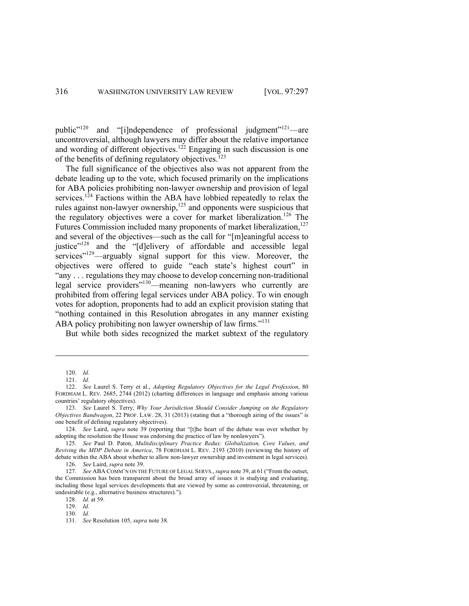public<sup>"120</sup> and "[i]ndependence of professional judgment"<sup>121</sup>—are uncontroversial, although lawyers may differ about the relative importance and wording of different objectives.<sup>122</sup> Engaging in such discussion is one of the benefits of defining regulatory objectives.<sup>123</sup>

The full significance of the objectives also was not apparent from the debate leading up to the vote, which focused primarily on the implications for ABA policies prohibiting non-lawyer ownership and provision of legal services.<sup>124</sup> Factions within the ABA have lobbied repeatedly to relax the rules against non-lawyer ownership,  $^{125}$  and opponents were suspicious that the regulatory objectives were a cover for market liberalization.<sup>126</sup> The Futures Commission included many proponents of market liberalization,<sup>127</sup> and several of the objectives—such as the call for "[m]eaningful access to justice"<sup>128</sup> and the "[d]elivery of affordable and accessible legal services"<sup>129</sup>—arguably signal support for this view. Moreover, the objectives were offered to guide "each state's highest court" in "any . . . regulations they may choose to develop concerning non-traditional legal service providers"130—meaning non-lawyers who currently are prohibited from offering legal services under ABA policy. To win enough votes for adoption, proponents had to add an explicit provision stating that "nothing contained in this Resolution abrogates in any manner existing ABA policy prohibiting non lawyer ownership of law firms."<sup>131</sup>

But while both sides recognized the market subtext of the regulatory

129. *Id.* 130. *Id.*

<sup>120.</sup> *Id.*

<sup>121.</sup> *Id.*

<sup>122.</sup> *See* Laurel S. Terry et al., *Adopting Regulatory Objectives for the Legal Profession*, 80 FORDHAM L. REV. 2685, 2744 (2012) (charting differences in language and emphasis among various countries' regulatory objectives).

<sup>123.</sup> *See* Laurel S. Terry, *Why Your Jurisdiction Should Consider Jumping on the Regulatory Objectives Bandwagon*, 22 PROF. LAW. 28, 31 (2013) (stating that a "thorough airing of the issues" is one benefit of defining regulatory objectives).

<sup>124.</sup> *See* Laird, *supra* note 39 (reporting that "[t]he heart of the debate was over whether by adopting the resolution the House was endorsing the practice of law by nonlawyers").

<sup>125.</sup> *See* Paul D. Paton, *Multidisciplinary Practice Redux: Globalization, Core Values, and Reviving the MDP Debate in America*, 78 FORDHAM L. REV. 2193 (2010) (reviewing the history of debate within the ABA about whether to allow non-lawyer ownership and investment in legal services).

<sup>126.</sup> *See* Laird, *supra* note 39.

<sup>127.</sup> *See* ABA COMM'N ON THE FUTURE OF LEGAL SERVS., *supra* note 39, at 61 ("From the outset, the Commission has been transparent about the broad array of issues it is studying and evaluating, including those legal services developments that are viewed by some as controversial, threatening, or undesirable (e.g., alternative business structures).").

<sup>128.</sup> *Id.* at 59.

<sup>131.</sup> *See* Resolution 105, *supra* note 38.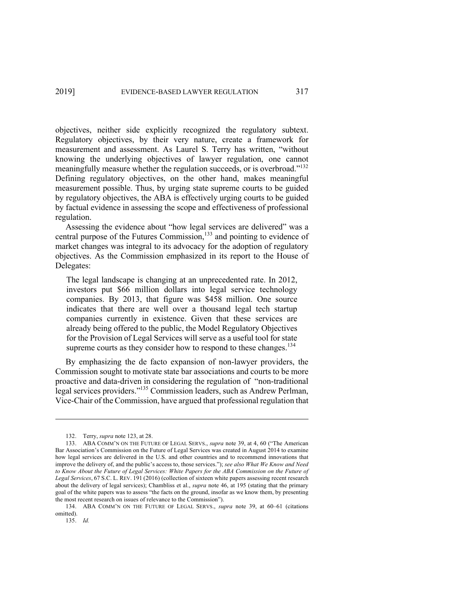objectives, neither side explicitly recognized the regulatory subtext. Regulatory objectives, by their very nature, create a framework for measurement and assessment. As Laurel S. Terry has written, "without knowing the underlying objectives of lawyer regulation, one cannot meaningfully measure whether the regulation succeeds, or is overbroad."<sup>132</sup> Defining regulatory objectives, on the other hand, makes meaningful measurement possible. Thus, by urging state supreme courts to be guided by regulatory objectives, the ABA is effectively urging courts to be guided by factual evidence in assessing the scope and effectiveness of professional regulation.

Assessing the evidence about "how legal services are delivered" was a central purpose of the Futures Commission,<sup>133</sup> and pointing to evidence of market changes was integral to its advocacy for the adoption of regulatory objectives. As the Commission emphasized in its report to the House of Delegates:

The legal landscape is changing at an unprecedented rate. In 2012, investors put \$66 million dollars into legal service technology companies. By 2013, that figure was \$458 million. One source indicates that there are well over a thousand legal tech startup companies currently in existence. Given that these services are already being offered to the public, the Model Regulatory Objectives for the Provision of Legal Services will serve as a useful tool for state supreme courts as they consider how to respond to these changes.<sup>134</sup>

By emphasizing the de facto expansion of non-lawyer providers, the Commission sought to motivate state bar associations and courts to be more proactive and data-driven in considering the regulation of "non-traditional legal services providers."135 Commission leaders, such as Andrew Perlman, Vice-Chair of the Commission, have argued that professional regulation that

<sup>132.</sup> Terry, *supra* note 123, at 28.

<sup>133.</sup> ABA COMM'N ON THE FUTURE OF LEGAL SERVS., *supra* note 39, at 4, 60 ("The American Bar Association's Commission on the Future of Legal Services was created in August 2014 to examine how legal services are delivered in the U.S. and other countries and to recommend innovations that improve the delivery of, and the public's access to, those services."); *see also What We Know and Need to Know About the Future of Legal Services: White Papers for the ABA Commission on the Future of Legal Services*, 67 S.C. L. REV. 191 (2016) (collection of sixteen white papers assessing recent research about the delivery of legal services); Chambliss et al., *supra* note 46, at 195 (stating that the primary goal of the white papers was to assess "the facts on the ground, insofar as we know them, by presenting the most recent research on issues of relevance to the Commission").

<sup>134.</sup> ABA COMM'N ON THE FUTURE OF LEGAL SERVS., *supra* note 39, at 60–61 (citations omitted).

<sup>135.</sup> *Id.*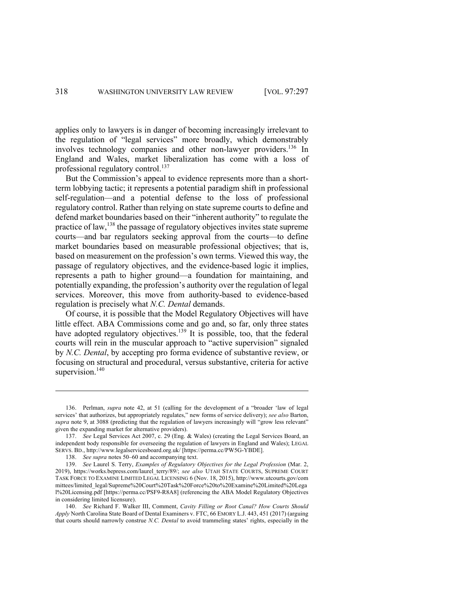applies only to lawyers is in danger of becoming increasingly irrelevant to the regulation of "legal services" more broadly, which demonstrably involves technology companies and other non-lawyer providers.<sup>136</sup> In England and Wales, market liberalization has come with a loss of professional regulatory control.<sup>137</sup>

But the Commission's appeal to evidence represents more than a shortterm lobbying tactic; it represents a potential paradigm shift in professional self-regulation—and a potential defense to the loss of professional regulatory control. Rather than relying on state supreme courts to define and defend market boundaries based on their "inherent authority" to regulate the practice of law,<sup>138</sup> the passage of regulatory objectives invites state supreme courts—and bar regulators seeking approval from the courts—to define market boundaries based on measurable professional objectives; that is, based on measurement on the profession's own terms. Viewed this way, the passage of regulatory objectives, and the evidence-based logic it implies, represents a path to higher ground—a foundation for maintaining, and potentially expanding, the profession's authority over the regulation of legal services. Moreover, this move from authority-based to evidence-based regulation is precisely what *N.C. Dental* demands.

Of course, it is possible that the Model Regulatory Objectives will have little effect. ABA Commissions come and go and, so far, only three states have adopted regulatory objectives.<sup>139</sup> It is possible, too, that the federal courts will rein in the muscular approach to "active supervision" signaled by *N.C. Dental*, by accepting pro forma evidence of substantive review, or focusing on structural and procedural, versus substantive, criteria for active supervision.<sup>140</sup>

<sup>136.</sup> Perlman, *supra* note 42, at 51 (calling for the development of a "broader 'law of legal services' that authorizes, but appropriately regulates," new forms of service delivery); *see also* Barton, *supra* note 9, at 3088 (predicting that the regulation of lawyers increasingly will "grow less relevant" given the expanding market for alternative providers).

<sup>137.</sup> *See* Legal Services Act 2007, c. 29 (Eng. & Wales) (creating the Legal Services Board, an independent body responsible for overseeing the regulation of lawyers in England and Wales); LEGAL SERVS. BD., http://www.legalservicesboard.org.uk/ [https://perma.cc/PW5G-YBDE].

<sup>138.</sup> *See supra* notes 50–60 and accompanying text.

<sup>139.</sup> *See* Laurel S. Terry, *Examples of Regulatory Objectives for the Legal Profession* (Mar. 2, 2019), https://works.bepress.com/laurel\_terry/89/; *see also* UTAH STATE COURTS, SUPREME COURT TASK FORCE TO EXAMINE LIMITED LEGAL LICENSING 6 (Nov. 18, 2015), http://www.utcourts.gov/com mittees/limited\_legal/Supreme%20Court%20Task%20Force%20to%20Examine%20Limited%20Lega l%20Licensing.pdf [https://perma.cc/PSF9-R8A8] (referencing the ABA Model Regulatory Objectives in considering limited licensure).

<sup>140.</sup> *See* Richard F. Walker III, Comment, *Cavity Filling or Root Canal? How Courts Should Apply* North Carolina State Board of Dental Examiners v. FTC, 66 EMORY L.J. 443, 451 (2017) (arguing that courts should narrowly construe *N.C. Dental* to avoid trammeling states' rights, especially in the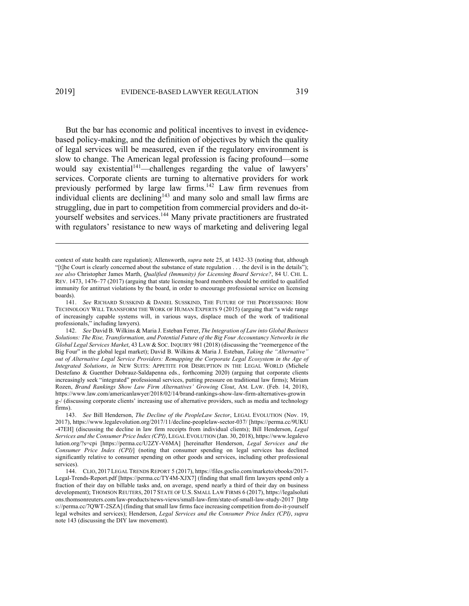But the bar has economic and political incentives to invest in evidencebased policy-making, and the definition of objectives by which the quality of legal services will be measured, even if the regulatory environment is slow to change. The American legal profession is facing profound—some would say existential<sup>141</sup>—challenges regarding the value of lawyers' services. Corporate clients are turning to alternative providers for work previously performed by large law firms.<sup>142</sup> Law firm revenues from individual clients are declining<sup>143</sup> and many solo and small law firms are struggling, due in part to competition from commercial providers and do-ityourself websites and services.<sup>144</sup> Many private practitioners are frustrated with regulators' resistance to new ways of marketing and delivering legal

context of state health care regulation); Allensworth, *supra* note 25, at 1432–33 (noting that, although "[t]he Court is clearly concerned about the substance of state regulation . . . the devil is in the details"); *see also* Christopher James Marth, *Qualified (Immunity) for Licensing Board Service?*, 84 U. CHI. L. REV. 1473, 1476–77 (2017) (arguing that state licensing board members should be entitled to qualified immunity for antitrust violations by the board, in order to encourage professional service on licensing boards).

<sup>141.</sup> *See* RICHARD SUSSKIND & DANIEL SUSSKIND, THE FUTURE OF THE PROFESSIONS: HOW TECHNOLOGY WILL TRANSFORM THE WORK OF HUMAN EXPERTS 9 (2015) (arguing that "a wide range of increasingly capable systems will, in various ways, displace much of the work of traditional professionals," including lawyers).

<sup>142.</sup> *See* David B. Wilkins & Maria J. Esteban Ferrer, *The Integration of Law into Global Business Solutions: The Rise, Transformation, and Potential Future of the Big Four Accountancy Networks in the Global Legal Services Market*, 43 LAW & SOC. INQUIRY 981 (2018) (discussing the "reemergence of the Big Four" in the global legal market); David B. Wilkins & Maria J. Esteban, *Taking the "Alternative" out of Alternative Legal Service Providers: Remapping the Corporate Legal Ecosystem in the Age of Integrated Solutions*, *in* NEW SUITS: APPETITE FOR DISRUPTION IN THE LEGAL WORLD (Michele Destefano & Guenther Dobrauz-Saldapenna eds., forthcoming 2020) (arguing that corporate clients increasingly seek "integrated" professional services, putting pressure on traditional law firms); Miriam Rozen, *Brand Rankings Show Law Firm Alternatives' Growing Clout*, AM. LAW. (Feb. 14, 2018), https://www.law.com/americanlawyer/2018/02/14/brand-rankings-show-law-firm-alternatives-growin g-/ (discussing corporate clients' increasing use of alternative providers, such as media and technology firms).

<sup>143.</sup> *See* Bill Henderson, *The Decline of the PeopleLaw Sector*, LEGAL EVOLUTION (Nov. 19, 2017), https://www.legalevolution.org/2017/11/decline-peoplelaw-sector-037/ [https://perma.cc/9UKU -47EH] (discussing the decline in law firm receipts from individual clients); Bill Henderson, *Legal Services and the Consumer Price Index (CPI)*, LEGAL EVOLUTION (Jan. 30, 2018), https://www.legalevo lution.org/?s=cpi [https://perma.cc/U2ZY-V6MA] [hereinafter Henderson, *Legal Services and the Consumer Price Index (CPI)*] (noting that consumer spending on legal services has declined significantly relative to consumer spending on other goods and services, including other professional services).

<sup>144.</sup> CLIO, 2017 LEGAL TRENDS REPORT 5 (2017), https://files.goclio.com/marketo/ebooks/2017- Legal-Trends-Report.pdf [https://perma.cc/TY4M-XJX7] (finding that small firm lawyers spend only a fraction of their day on billable tasks and, on average, spend nearly a third of their day on business development); THOMSON REUTERS, 2017 STATE OF U.S. SMALL LAW FIRMS 6 (2017), https://legalsoluti ons.thomsonreuters.com/law-products/news-views/small-law-firm/state-of-small-law-study-2017 [http s://perma.cc/7QWT-2SZA] (finding that small law firms face increasing competition from do-it-yourself legal websites and services); Henderson, *Legal Services and the Consumer Price Index (CPI)*, *supra* note 143 (discussing the DIY law movement).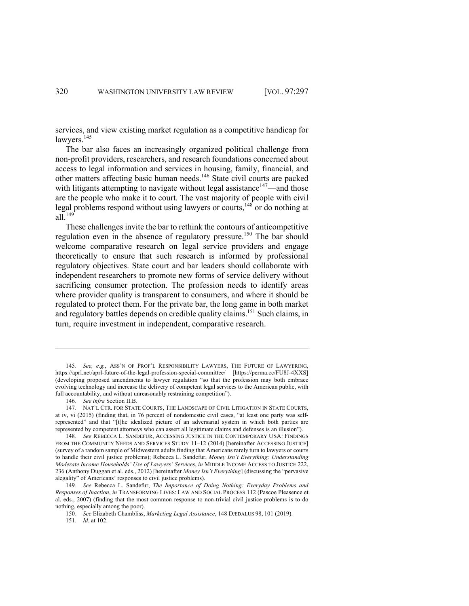services, and view existing market regulation as a competitive handicap for lawyers. 145

The bar also faces an increasingly organized political challenge from non-profit providers, researchers, and research foundations concerned about access to legal information and services in housing, family, financial, and other matters affecting basic human needs.<sup>146</sup> State civil courts are packed with litigants attempting to navigate without legal assistance<sup>147</sup>—and those are the people who make it to court. The vast majority of people with civil legal problems respond without using lawyers or courts,<sup>148</sup> or do nothing at all. $149$ 

These challenges invite the bar to rethink the contours of anticompetitive regulation even in the absence of regulatory pressure.<sup>150</sup> The bar should welcome comparative research on legal service providers and engage theoretically to ensure that such research is informed by professional regulatory objectives. State court and bar leaders should collaborate with independent researchers to promote new forms of service delivery without sacrificing consumer protection. The profession needs to identify areas where provider quality is transparent to consumers, and where it should be regulated to protect them. For the private bar, the long game in both market and regulatory battles depends on credible quality claims.<sup>151</sup> Such claims, in turn, require investment in independent, comparative research.

146. *See infra* Section II.B.

<sup>145.</sup> *See, e.g.*, ASS'N OF PROF'L RESPONSIBILITY LAWYERS, THE FUTURE OF LAWYERING, https://aprl.net/aprl-future-of-the-legal-profession-special-committee/ [https://perma.cc/FU8J-4XXS] (developing proposed amendments to lawyer regulation "so that the profession may both embrace evolving technology and increase the delivery of competent legal services to the American public, with full accountability, and without unreasonably restraining competition").

<sup>147.</sup> NAT'L CTR. FOR STATE COURTS, THE LANDSCAPE OF CIVIL LITIGATION IN STATE COURTS, at iv, vi (2015) (finding that, in 76 percent of nondomestic civil cases, "at least one party was selfrepresented" and that "[t]he idealized picture of an adversarial system in which both parties are represented by competent attorneys who can assert all legitimate claims and defenses is an illusion").

<sup>148.</sup> *See* REBECCA L. SANDEFUR, ACCESSING JUSTICE IN THE CONTEMPORARY USA: FINDINGS FROM THE COMMUNITY NEEDS AND SERVICES STUDY 11–12 (2014) [hereinafter ACCESSING JUSTICE] (survey of a random sample of Midwestern adults finding that Americans rarely turn to lawyers or courts to handle their civil justice problems); Rebecca L. Sandefur, *Money Isn't Everything: Understanding Moderate Income Households' Use of Lawyers' Services*, *in* MIDDLE INCOME ACCESS TO JUSTICE 222, 236 (Anthony Duggan et al. eds., 2012) [hereinafter *Money Isn't Everything*] (discussing the "pervasive alegality" of Americans' responses to civil justice problems).

<sup>149.</sup> *See* Rebecca L. Sandefur, *The Importance of Doing Nothing: Everyday Problems and Responses of Inaction*, *in* TRANSFORMING LIVES: LAW AND SOCIAL PROCESS 112 (Pascoe Pleasence et al. eds., 2007) (finding that the most common response to non-trivial civil justice problems is to do nothing, especially among the poor).

<sup>150.</sup> *See* Elizabeth Chambliss, *Marketing Legal Assistance*, 148 DÆDALUS 98, 101 (2019).

<sup>151.</sup> *Id.* at 102.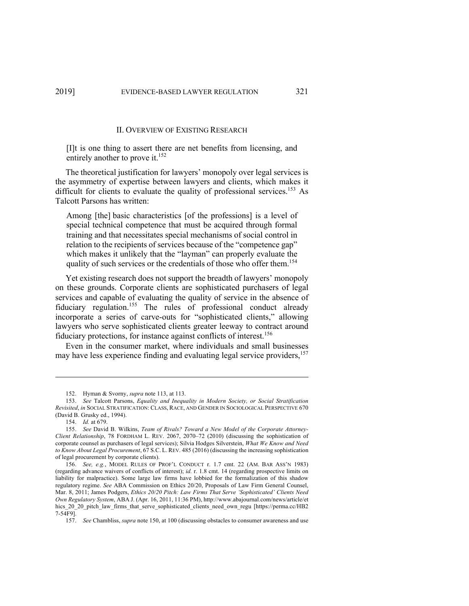# II. OVERVIEW OF EXISTING RESEARCH

[I]t is one thing to assert there are net benefits from licensing, and entirely another to prove it.<sup>152</sup>

The theoretical justification for lawyers' monopoly over legal services is the asymmetry of expertise between lawyers and clients, which makes it difficult for clients to evaluate the quality of professional services.<sup>153</sup> As Talcott Parsons has written:

Among [the] basic characteristics [of the professions] is a level of special technical competence that must be acquired through formal training and that necessitates special mechanisms of social control in relation to the recipients of services because of the "competence gap" which makes it unlikely that the "layman" can properly evaluate the quality of such services or the credentials of those who offer them.<sup>154</sup>

Yet existing research does not support the breadth of lawyers' monopoly on these grounds. Corporate clients are sophisticated purchasers of legal services and capable of evaluating the quality of service in the absence of fiduciary regulation.<sup>155</sup> The rules of professional conduct already incorporate a series of carve-outs for "sophisticated clients," allowing lawyers who serve sophisticated clients greater leeway to contract around fiduciary protections, for instance against conflicts of interest.<sup>156</sup>

Even in the consumer market, where individuals and small businesses may have less experience finding and evaluating legal service providers,<sup>157</sup>

<sup>152.</sup> Hyman & Svorny, *supra* note 113, at 113.

<sup>153.</sup> *See* Talcott Parsons, *Equality and Inequality in Modern Society, or Social Stratification Revisited*, *in* SOCIAL STRATIFICATION: CLASS, RACE, AND GENDER IN SOCIOLOGICAL PERSPECTIVE 670 (David B. Grusky ed., 1994).

<sup>154.</sup> *Id.* at 679.

<sup>155.</sup> *See* David B. Wilkins, *Team of Rivals? Toward a New Model of the Corporate Attorney-Client Relationship*, 78 FORDHAM L. REV. 2067, 2070–72 (2010) (discussing the sophistication of corporate counsel as purchasers of legal services); Silvia Hodges Silverstein, *What We Know and Need to Know About Legal Procurement*, 67 S.C. L. REV. 485 (2016) (discussing the increasing sophistication of legal procurement by corporate clients).

<sup>156.</sup> *See, e.g.*, MODEL RULES OF PROF'L CONDUCT r. 1.7 cmt. 22 (AM. BAR ASS'N 1983) (regarding advance waivers of conflicts of interest); *id.* r. 1.8 cmt. 14 (regarding prospective limits on liability for malpractice). Some large law firms have lobbied for the formalization of this shadow regulatory regime. *See* ABA Commission on Ethics 20/20, Proposals of Law Firm General Counsel, Mar. 8, 2011; James Podgers, *Ethics 20/20 Pitch: Law Firms That Serve 'Sophisticated' Clients Need Own Regulatory System*, ABA J. (Apr. 16, 2011, 11:36 PM), http://www.abajournal.com/news/article/et hics 20\_20\_pitch\_law\_firms\_that\_serve\_sophisticated\_clients\_need\_own\_regu [https://perma.cc/HB2 7-54F9].

<sup>157.</sup> *See* Chambliss, *supra* note 150, at 100 (discussing obstacles to consumer awareness and use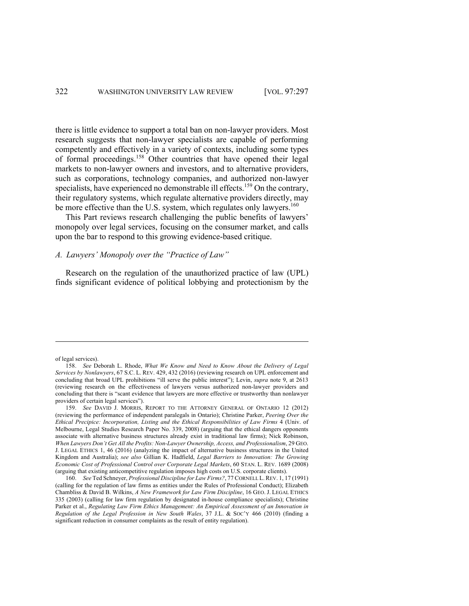there is little evidence to support a total ban on non-lawyer providers. Most research suggests that non-lawyer specialists are capable of performing competently and effectively in a variety of contexts, including some types of formal proceedings.<sup>158</sup> Other countries that have opened their legal markets to non-lawyer owners and investors, and to alternative providers, such as corporations, technology companies, and authorized non-lawyer specialists, have experienced no demonstrable ill effects.<sup>159</sup> On the contrary, their regulatory systems, which regulate alternative providers directly, may be more effective than the U.S. system, which regulates only lawyers.<sup>160</sup>

This Part reviews research challenging the public benefits of lawyers' monopoly over legal services, focusing on the consumer market, and calls upon the bar to respond to this growing evidence-based critique.

# *A. Lawyers' Monopoly over the "Practice of Law"*

Research on the regulation of the unauthorized practice of law (UPL) finds significant evidence of political lobbying and protectionism by the

of legal services).

<sup>158.</sup> *See* Deborah L. Rhode, *What We Know and Need to Know About the Delivery of Legal Services by Nonlawyers*, 67 S.C. L. REV. 429, 432 (2016) (reviewing research on UPL enforcement and concluding that broad UPL prohibitions "ill serve the public interest"); Levin, *supra* note 9, at 2613 (reviewing research on the effectiveness of lawyers versus authorized non-lawyer providers and concluding that there is "scant evidence that lawyers are more effective or trustworthy than nonlawyer providers of certain legal services").

<sup>159.</sup> *See* DAVID J. MORRIS, REPORT TO THE ATTORNEY GENERAL OF ONTARIO 12 (2012) (reviewing the performance of independent paralegals in Ontario); Christine Parker, *Peering Over the Ethical Precipice: Incorporation, Listing and the Ethical Responsibilities of Law Firms* 4 (Univ. of Melbourne, Legal Studies Research Paper No. 339, 2008) (arguing that the ethical dangers opponents associate with alternative business structures already exist in traditional law firms); Nick Robinson, *When Lawyers Don't Get All the Profits: Non-Lawyer Ownership, Access, and Professionalism*, 29 GEO. J. LEGAL ETHICS 1, 46 (2016) (analyzing the impact of alternative business structures in the United Kingdom and Australia); *see also* Gillian K. Hadfield, *Legal Barriers to Innovation: The Growing Economic Cost of Professional Control over Corporate Legal Markets*, 60 STAN. L. REV. 1689 (2008) (arguing that existing anticompetitive regulation imposes high costs on U.S. corporate clients).

<sup>160.</sup> *See* Ted Schneyer, *Professional Discipline for Law Firms?*, 77 CORNELL L.REV. 1, 17 (1991) (calling for the regulation of law firms as entities under the Rules of Professional Conduct); Elizabeth Chambliss & David B. Wilkins, *A New Framework for Law Firm Discipline*, 16 GEO. J. LEGAL ETHICS 335 (2003) (calling for law firm regulation by designated in-house compliance specialists); Christine Parker et al., *Regulating Law Firm Ethics Management: An Empirical Assessment of an Innovation in Regulation of the Legal Profession in New South Wales*, 37 J.L. & SOC'Y 466 (2010) (finding a significant reduction in consumer complaints as the result of entity regulation).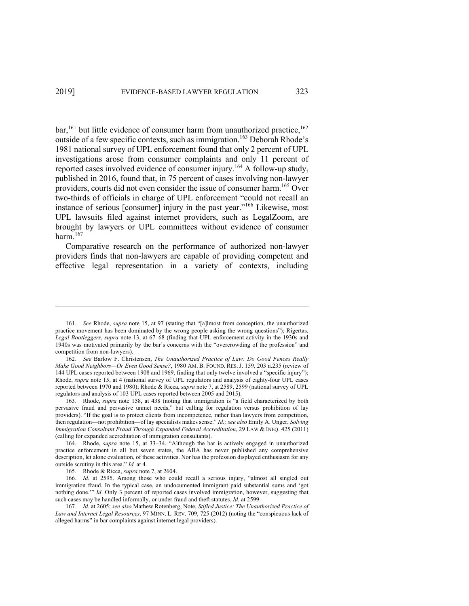bar,<sup>161</sup> but little evidence of consumer harm from unauthorized practice,<sup>162</sup> outside of a few specific contexts, such as immigration.<sup>163</sup> Deborah Rhode's 1981 national survey of UPL enforcement found that only 2 percent of UPL investigations arose from consumer complaints and only 11 percent of reported cases involved evidence of consumer injury.<sup>164</sup> A follow-up study, published in 2016, found that, in 75 percent of cases involving non-lawyer providers, courts did not even consider the issue of consumer harm.<sup>165</sup> Over two-thirds of officials in charge of UPL enforcement "could not recall an instance of serious [consumer] injury in the past year."<sup>166</sup> Likewise, most UPL lawsuits filed against internet providers, such as LegalZoom, are brought by lawyers or UPL committees without evidence of consumer harm. $167$ 

Comparative research on the performance of authorized non-lawyer providers finds that non-lawyers are capable of providing competent and effective legal representation in a variety of contexts, including

<sup>161.</sup> *See* Rhode, *supra* note 15, at 97 (stating that "[a]lmost from conception, the unauthorized practice movement has been dominated by the wrong people asking the wrong questions"); Rigertas, *Legal Bootleggers*, *supra* note 13, at 67–68 (finding that UPL enforcement activity in the 1930s and 1940s was motivated primarily by the bar's concerns with the "overcrowding of the profession" and competition from non-lawyers).

<sup>162.</sup> *See* Barlow F. Christensen, *The Unauthorized Practice of Law: Do Good Fences Really Make Good Neighbors—Or Even Good Sense?*, 1980 AM. B. FOUND. RES. J. 159, 203 n.235 (review of 144 UPL cases reported between 1908 and 1969, finding that only twelve involved a "specific injury"); Rhode, *supra* note 15, at 4 (national survey of UPL regulators and analysis of eighty-four UPL cases reported between 1970 and 1980); Rhode & Ricca, *supra* note 7, at 2589, 2599 (national survey of UPL regulators and analysis of 103 UPL cases reported between 2005 and 2015).

<sup>163.</sup> Rhode, *supra* note 158, at 438 (noting that immigration is "a field characterized by both pervasive fraud and pervasive unmet needs," but calling for regulation versus prohibition of lay providers). "If the goal is to protect clients from incompetence, rather than lawyers from competition, then regulation—not prohibition—of lay specialists makes sense." *Id.; see also* Emily A. Unger, *Solving Immigration Consultant Fraud Through Expanded Federal Accreditation*, 29 LAW & INEQ. 425 (2011) (calling for expanded accreditation of immigration consultants).

<sup>164.</sup> Rhode, *supra* note 15, at 33–34. "Although the bar is actively engaged in unauthorized practice enforcement in all but seven states, the ABA has never published any comprehensive description, let alone evaluation, of these activities. Nor has the profession displayed enthusiasm for any outside scrutiny in this area." *Id.* at 4.

<sup>165.</sup> Rhode & Ricca, *supra* note 7, at 2604.

<sup>166.</sup> *Id.* at 2595. Among those who could recall a serious injury, "almost all singled out immigration fraud. In the typical case, an undocumented immigrant paid substantial sums and 'got nothing done.'" *Id.* Only 3 percent of reported cases involved immigration, however, suggesting that such cases may be handled informally, or under fraud and theft statutes. *Id.* at 2599.

<sup>167.</sup> *Id.* at 2605; *see also* Mathew Rotenberg, Note, *Stifled Justice: The Unauthorized Practice of Law and Internet Legal Resources*, 97 MINN. L. REV. 709, 725 (2012) (noting the "conspicuous lack of alleged harms" in bar complaints against internet legal providers).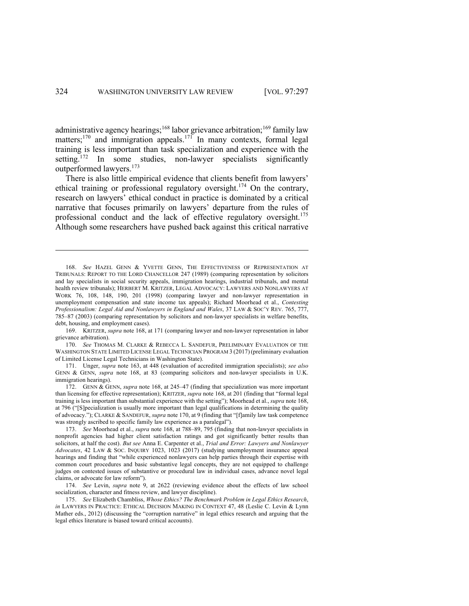administrative agency hearings;<sup>168</sup> labor grievance arbitration;<sup>169</sup> family law matters;<sup>170</sup> and immigration appeals.<sup>171</sup> In many contexts, formal legal training is less important than task specialization and experience with the setting.<sup>172</sup> In some studies, non-lawyer specialists significantly outperformed lawyers.173

There is also little empirical evidence that clients benefit from lawyers' ethical training or professional regulatory oversight.<sup>174</sup> On the contrary, research on lawyers' ethical conduct in practice is dominated by a critical narrative that focuses primarily on lawyers' departure from the rules of professional conduct and the lack of effective regulatory oversight.<sup>175</sup> Although some researchers have pushed back against this critical narrative

169. KRITZER, *supra* note 168, at 171 (comparing lawyer and non-lawyer representation in labor grievance arbitration).

170. *See* THOMAS M. CLARKE & REBECCA L. SANDEFUR, PRELIMINARY EVALUATION OF THE WASHINGTON STATE LIMITED LICENSE LEGAL TECHNICIAN PROGRAM 3 (2017) (preliminary evaluation of Limited License Legal Technicians in Washington State).

171. Unger, *supra* note 163, at 448 (evaluation of accredited immigration specialists); *see also* GENN & GENN, *supra* note 168, at 83 (comparing solicitors and non-lawyer specialists in U.K. immigration hearings).

172. GENN & GENN, *supra* note 168, at 245–47 (finding that specialization was more important than licensing for effective representation); KRITZER, *supra* note 168, at 201 (finding that "formal legal training is less important than substantial experience with the setting"); Moorhead et al., *supra* note 168, at 796 ("[S]pecialization is usually more important than legal qualifications in determining the quality of advocacy."); CLARKE & SANDEFUR, *supra* note 170, at 9 (finding that "[f]amily law task competence was strongly ascribed to specific family law experience as a paralegal").

173. *See* Moorhead et al., *supra* note 168, at 788–89, 795 (finding that non-lawyer specialists in nonprofit agencies had higher client satisfaction ratings and got significantly better results than solicitors, at half the cost). *But see* Anna E. Carpenter et al., *Trial and Error: Lawyers and Nonlawyer Advocates*, 42 LAW & SOC. INQUIRY 1023, 1023 (2017) (studying unemployment insurance appeal hearings and finding that "while experienced nonlawyers can help parties through their expertise with common court procedures and basic substantive legal concepts, they are not equipped to challenge judges on contested issues of substantive or procedural law in individual cases, advance novel legal claims, or advocate for law reform").

174. *See* Levin, *supra* note 9, at 2622 (reviewing evidence about the effects of law school socialization, character and fitness review, and lawyer discipline).

175. *See* Elizabeth Chambliss, *Whose Ethics? The Benchmark Problem in Legal Ethics Research*, *in* LAWYERS IN PRACTICE: ETHICAL DECISION MAKING IN CONTEXT 47, 48 (Leslie C. Levin & Lynn Mather eds., 2012) (discussing the "corruption narrative" in legal ethics research and arguing that the legal ethics literature is biased toward critical accounts).

<sup>168.</sup> *See* HAZEL GENN & YVETTE GENN, THE EFFECTIVENESS OF REPRESENTATION AT TRIBUNALS: REPORT TO THE LORD CHANCELLOR 247 (1989) (comparing representation by solicitors and lay specialists in social security appeals, immigration hearings, industrial tribunals, and mental health review tribunals); HERBERT M. KRITZER, LEGAL ADVOCACY: LAWYERS AND NONLAWYERS AT WORK 76, 108, 148, 190, 201 (1998) (comparing lawyer and non-lawyer representation in unemployment compensation and state income tax appeals); Richard Moorhead et al., *Contesting Professionalism: Legal Aid and Nonlawyers in England and Wales*, 37 LAW & SOC'Y REV. 765, 777, 785–87 (2003) (comparing representation by solicitors and non-lawyer specialists in welfare benefits, debt, housing, and employment cases).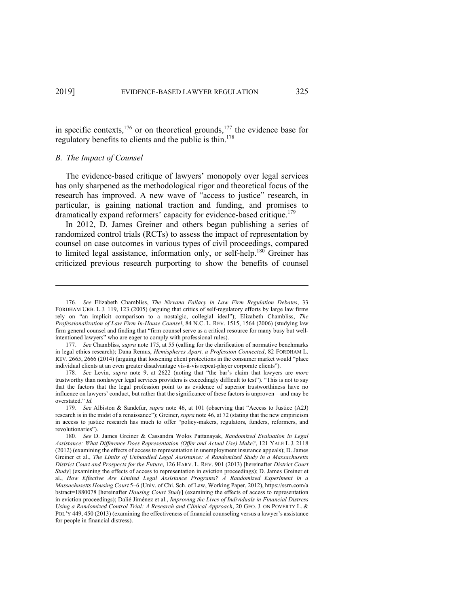in specific contexts,  $176$  or on theoretical grounds,  $177$  the evidence base for regulatory benefits to clients and the public is thin.<sup>178</sup>

# *B. The Impact of Counsel*

The evidence-based critique of lawyers' monopoly over legal services has only sharpened as the methodological rigor and theoretical focus of the research has improved. A new wave of "access to justice" research, in particular, is gaining national traction and funding, and promises to dramatically expand reformers' capacity for evidence-based critique.<sup>179</sup>

In 2012, D. James Greiner and others began publishing a series of randomized control trials (RCTs) to assess the impact of representation by counsel on case outcomes in various types of civil proceedings, compared to limited legal assistance, information only, or self-help.<sup>180</sup> Greiner has criticized previous research purporting to show the benefits of counsel

178. *See* Levin, *supra* note 9, at 2622 (noting that "the bar's claim that lawyers are *more* trustworthy than nonlawyer legal services providers is exceedingly difficult to test"). "This is not to say that the factors that the legal profession point to as evidence of superior trustworthiness have no influence on lawyers' conduct, but rather that the significance of these factors is unproven—and may be overstated." *Id.*

<sup>176.</sup> *See* Elizabeth Chambliss, *The Nirvana Fallacy in Law Firm Regulation Debates*, 33 FORDHAM URB. L.J. 119, 123 (2005) (arguing that critics of self-regulatory efforts by large law firms rely on "an implicit comparison to a nostalgic, collegial ideal"); Elizabeth Chambliss, *The Professionalization of Law Firm In-House Counsel*, 84 N.C. L. REV. 1515, 1564 (2006) (studying law firm general counsel and finding that "firm counsel serve as a critical resource for many busy but wellintentioned lawyers" who are eager to comply with professional rules).

<sup>177.</sup> *See* Chambliss, *supra* note 175, at 55 (calling for the clarification of normative benchmarks in legal ethics research); Dana Remus, *Hemispheres Apart, a Profession Connected*, 82 FORDHAM L. REV. 2665, 2666 (2014) (arguing that loosening client protections in the consumer market would "place individual clients at an even greater disadvantage vis-à-vis repeat-player corporate clients").

<sup>179.</sup> *See* Albiston & Sandefur, *supra* note 46, at 101 (observing that "Access to Justice (A2J) research is in the midst of a renaissance"); Greiner, *supra* note 46, at 72 (stating that the new empiricism in access to justice research has much to offer "policy-makers, regulators, funders, reformers, and revolutionaries").

<sup>180.</sup> *See* D. James Greiner & Cassandra Wolos Pattanayak, *Randomized Evaluation in Legal Assistance: What Difference Does Representation (Offer and Actual Use) Make?*, 121 YALE L.J. 2118 (2012) (examining the effects of access to representation in unemployment insurance appeals); D. James Greiner et al., *The Limits of Unbundled Legal Assistance: A Randomized Study in a Massachusetts District Court and Prospects for the Future*, 126 HARV. L. REV. 901 (2013) [hereinafter *District Court Study*] (examining the effects of access to representation in eviction proceedings); D. James Greiner et al., *How Effective Are Limited Legal Assistance Programs? A Randomized Experiment in a Massachusetts Housing Court* 5–6 (Univ. of Chi. Sch. of Law, Working Paper, 2012), https://ssrn.com/a bstract=1880078 [hereinafter *Housing Court Study*] (examining the effects of access to representation in eviction proceedings); Dalié Jiménez et al., *Improving the Lives of Individuals in Financial Distress Using a Randomized Control Trial: A Research and Clinical Approach*, 20 GEO. J. ON POVERTY L. & POL'Y 449, 450 (2013) (examining the effectiveness of financial counseling versus a lawyer's assistance for people in financial distress).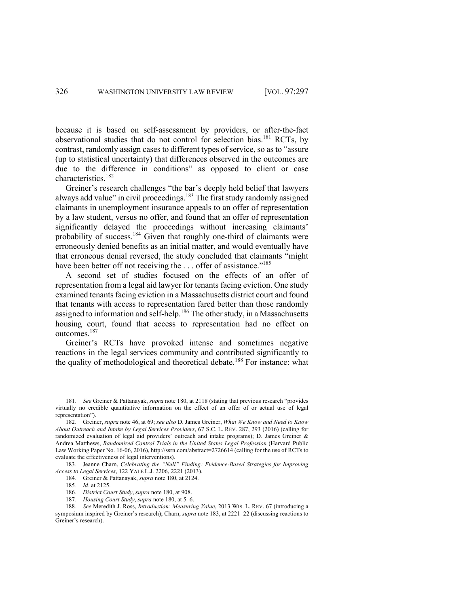because it is based on self-assessment by providers, or after-the-fact observational studies that do not control for selection bias.181 RCTs, by contrast, randomly assign cases to different types of service, so as to "assure (up to statistical uncertainty) that differences observed in the outcomes are due to the difference in conditions" as opposed to client or case characteristics.<sup>182</sup>

Greiner's research challenges "the bar's deeply held belief that lawyers always add value" in civil proceedings.<sup>183</sup> The first study randomly assigned claimants in unemployment insurance appeals to an offer of representation by a law student, versus no offer, and found that an offer of representation significantly delayed the proceedings without increasing claimants' probability of success.<sup>184</sup> Given that roughly one-third of claimants were erroneously denied benefits as an initial matter, and would eventually have that erroneous denial reversed, the study concluded that claimants "might have been better off not receiving the ... offer of assistance."<sup>185</sup>

A second set of studies focused on the effects of an offer of representation from a legal aid lawyer for tenants facing eviction. One study examined tenants facing eviction in a Massachusetts district court and found that tenants with access to representation fared better than those randomly assigned to information and self-help.<sup>186</sup> The other study, in a Massachusetts housing court, found that access to representation had no effect on outcomes.187

Greiner's RCTs have provoked intense and sometimes negative reactions in the legal services community and contributed significantly to the quality of methodological and theoretical debate.<sup>188</sup> For instance: what

<sup>181.</sup> *See* Greiner & Pattanayak, *supra* note 180, at 2118 (stating that previous research "provides virtually no credible quantitative information on the effect of an offer of or actual use of legal representation").

<sup>182.</sup> Greiner, *supra* note 46, at 69; *see also* D. James Greiner, *What We Know and Need to Know About Outreach and Intake by Legal Services Providers*, 67 S.C. L. REV. 287, 293 (2016) (calling for randomized evaluation of legal aid providers' outreach and intake programs); D. James Greiner & Andrea Matthews, *Randomized Control Trials in the United States Legal Profession* (Harvard Public Law Working Paper No. 16-06, 2016), http://ssrn.com/abstract=2726614 (calling for the use of RCTs to evaluate the effectiveness of legal interventions).

<sup>183.</sup> Jeanne Charn, *Celebrating the "Null" Finding: Evidence-Based Strategies for Improving Access to Legal Services*, 122 YALE L.J. 2206, 2221 (2013).

<sup>184.</sup> Greiner & Pattanayak, *supra* note 180, at 2124.

<sup>185.</sup> *Id.* at 2125.

<sup>186.</sup> *District Court Study*, *supra* note 180, at 908.

<sup>187.</sup> *Housing Court Study*, *supra* note 180, at 5–6.

<sup>188.</sup> *See* Meredith J. Ross, *Introduction: Measuring Value*, 2013 WIS. L. REV. 67 (introducing a symposium inspired by Greiner's research); Charn, *supra* note 183, at 2221–22 (discussing reactions to Greiner's research).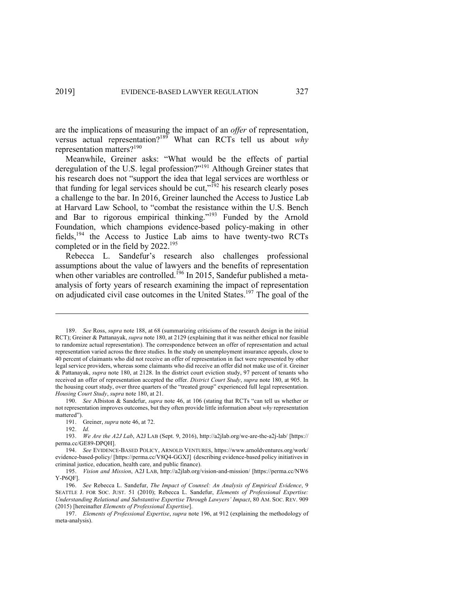are the implications of measuring the impact of an *offer* of representation, versus actual representation?<sup>189</sup> What can RCTs tell us about *why* representation matters?190

Meanwhile, Greiner asks: "What would be the effects of partial deregulation of the U.S. legal profession?"191 Although Greiner states that his research does not "support the idea that legal services are worthless or that funding for legal services should be cut,"<sup>192</sup> his research clearly poses a challenge to the bar. In 2016, Greiner launched the Access to Justice Lab at Harvard Law School, to "combat the resistance within the U.S. Bench and Bar to rigorous empirical thinking."<sup>193</sup> Funded by the Arnold Foundation, which champions evidence-based policy-making in other fields,194 the Access to Justice Lab aims to have twenty-two RCTs completed or in the field by 2022.<sup>195</sup>

Rebecca L. Sandefur's research also challenges professional assumptions about the value of lawyers and the benefits of representation when other variables are controlled.<sup>196</sup> In 2015, Sandefur published a metaanalysis of forty years of research examining the impact of representation on adjudicated civil case outcomes in the United States.<sup>197</sup> The goal of the

190. *See* Albiston & Sandefur, *supra* note 46, at 106 (stating that RCTs "can tell us whether or not representation improves outcomes, but they often provide little information about *why* representation mattered").

192. *Id.*

<sup>189.</sup> *See* Ross, *supra* note 188, at 68 (summarizing criticisms of the research design in the initial RCT); Greiner & Pattanayak, *supra* note 180, at 2129 (explaining that it was neither ethical nor feasible to randomize actual representation). The correspondence between an offer of representation and actual representation varied across the three studies. In the study on unemployment insurance appeals, close to 40 percent of claimants who did not receive an offer of representation in fact were represented by other legal service providers, whereas some claimants who did receive an offer did not make use of it. Greiner & Pattanayak, *supra* note 180, at 2128. In the district court eviction study, 97 percent of tenants who received an offer of representation accepted the offer. *District Court Study*, *supra* note 180, at 905. In the housing court study, over three quarters of the "treated group" experienced full legal representation. *Housing Court Study*, *supra* note 180, at 21.

<sup>191.</sup> Greiner, *supra* note 46, at 72.

<sup>193.</sup> *We Are the A2J Lab*, A2J LAB (Sept. 9, 2016), http://a2jlab.org/we-are-the-a2j-lab/ [https:// perma.cc/GE89-DPQH].

<sup>194.</sup> *See* EVIDENCE-BASED POLICY, ARNOLD VENTURES, https://www.arnoldventures.org/work/ evidence-based-policy/ [https://perma.cc/V8Q4-GGXJ] (describing evidence-based policy initiatives in criminal justice, education, health care, and public finance).

<sup>195.</sup> *Vision and Mission*, A2J LAB, http://a2jlab.org/vision-and-mission/ [https://perma.cc/NW6 Y-P6QF].

<sup>196.</sup> *See* Rebecca L. Sandefur, *The Impact of Counsel: An Analysis of Empirical Evidence*, 9 SEATTLE J. FOR SOC. JUST. 51 (2010); Rebecca L. Sandefur, *Elements of Professional Expertise: Understanding Relational and Substantive Expertise Through Lawyers' Impact*, 80 AM. SOC. REV. 909 (2015) [hereinafter *Elements of Professional Expertise*].

<sup>197.</sup> *Elements of Professional Expertise*, *supra* note 196, at 912 (explaining the methodology of meta-analysis).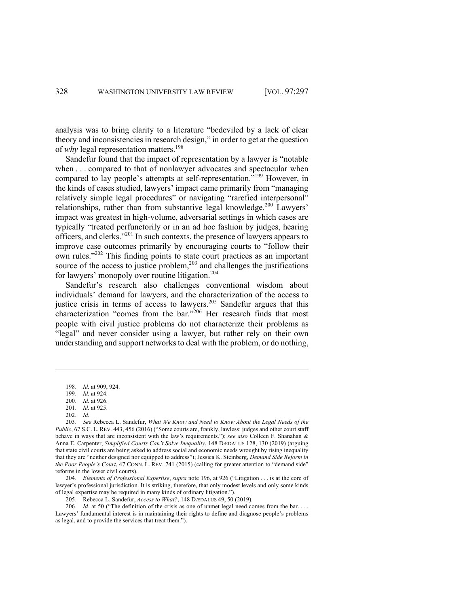analysis was to bring clarity to a literature "bedeviled by a lack of clear theory and inconsistencies in research design," in order to get at the question of *why* legal representation matters. 198

Sandefur found that the impact of representation by a lawyer is "notable when . . . compared to that of nonlawyer advocates and spectacular when compared to lay people's attempts at self-representation."<sup>199</sup> However, in the kinds of cases studied, lawyers' impact came primarily from "managing relatively simple legal procedures" or navigating "rarefied interpersonal" relationships, rather than from substantive legal knowledge.<sup>200</sup> Lawyers' impact was greatest in high-volume, adversarial settings in which cases are typically "treated perfunctorily or in an ad hoc fashion by judges, hearing officers, and clerks."<sup>201</sup> In such contexts, the presence of lawyers appears to improve case outcomes primarily by encouraging courts to "follow their own rules."<sup>202</sup> This finding points to state court practices as an important source of the access to justice problem, $^{203}$  and challenges the justifications for lawyers' monopoly over routine litigation.<sup>204</sup>

Sandefur's research also challenges conventional wisdom about individuals' demand for lawyers, and the characterization of the access to justice crisis in terms of access to lawyers.<sup>205</sup> Sandefur argues that this characterization "comes from the bar."<sup>206</sup> Her research finds that most people with civil justice problems do not characterize their problems as "legal" and never consider using a lawyer, but rather rely on their own understanding and support networks to deal with the problem, or do nothing,

202. *Id.*

204. *Elements of Professional Expertise*, *supra* note 196, at 926 ("Litigation . . . is at the core of lawyer's professional jurisdiction. It is striking, therefore, that only modest levels and only some kinds of legal expertise may be required in many kinds of ordinary litigation.").

205. Rebecca L. Sandefur, *Access to What?*, 148 DÆDALUS 49, 50 (2019).

206. *Id.* at 50 ("The definition of the crisis as one of unmet legal need comes from the bar... Lawyers' fundamental interest is in maintaining their rights to define and diagnose people's problems as legal, and to provide the services that treat them.").

<sup>198.</sup> *Id.* at 909, 924.

<sup>199.</sup> *Id.* at 924.

<sup>200.</sup> *Id.* at 926.

<sup>201.</sup> *Id.* at 925.

<sup>203.</sup> *See* Rebecca L. Sandefur, *What We Know and Need to Know About the Legal Needs of the Public*, 67 S.C. L. REV. 443, 456 (2016) ("Some courts are, frankly, lawless: judges and other court staff behave in ways that are inconsistent with the law's requirements."); *see also* Colleen F. Shanahan & Anna E. Carpenter, *Simplified Courts Can't Solve Inequality*, 148 DÆDALUS 128, 130 (2019) (arguing that state civil courts are being asked to address social and economic needs wrought by rising inequality that they are "neither designed nor equipped to address"); Jessica K. Steinberg, *Demand Side Reform in the Poor People's Court*, 47 CONN. L. REV. 741 (2015) (calling for greater attention to "demand side" reforms in the lower civil courts).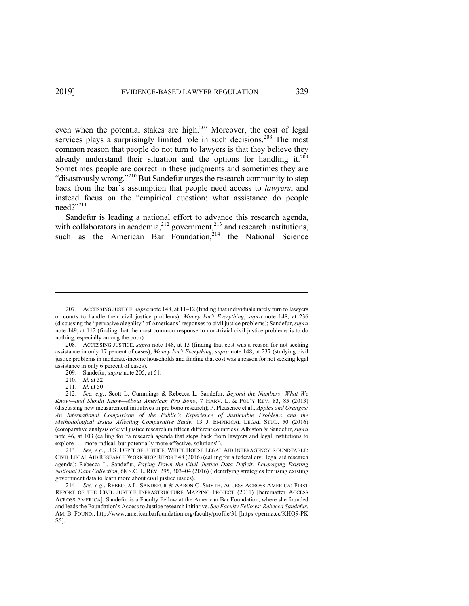even when the potential stakes are high.<sup>207</sup> Moreover, the cost of legal services plays a surprisingly limited role in such decisions.<sup>208</sup> The most common reason that people do not turn to lawyers is that they believe they already understand their situation and the options for handling it.<sup>209</sup> Sometimes people are correct in these judgments and sometimes they are "disastrously wrong."<sup>210</sup> But Sandefur urges the research community to step back from the bar's assumption that people need access to *lawyers*, and instead focus on the "empirical question: what assistance do people  $need?$ <sup>211</sup>

Sandefur is leading a national effort to advance this research agenda, with collaborators in academia, $^{212}$  government, $^{213}$  and research institutions, such as the American Bar Foundation, $214$  the National Science

<sup>207.</sup> ACCESSING JUSTICE, *supra* note 148, at 11–12 (finding that individuals rarely turn to lawyers or courts to handle their civil justice problems); *Money Isn't Everything*, *supra* note 148, at 236 (discussing the "pervasive alegality" of Americans' responses to civil justice problems); Sandefur, *supra* note 149, at 112 (finding that the most common response to non-trivial civil justice problems is to do nothing, especially among the poor).

<sup>208.</sup> ACCESSING JUSTICE, *supra* note 148, at 13 (finding that cost was a reason for not seeking assistance in only 17 percent of cases); *Money Isn't Everything*, *supra* note 148, at 237 (studying civil justice problems in moderate-income households and finding that cost was a reason for not seeking legal assistance in only 6 percent of cases).

<sup>209.</sup> Sandefur, *supra* note 205, at 51.

<sup>210.</sup> *Id.* at 52.

<sup>211.</sup> *Id.* at 50.

<sup>212.</sup> *See, e.g.*, Scott L. Cummings & Rebecca L. Sandefur, *Beyond the Numbers: What We Know—and Should Know—About American Pro Bono*, 7 HARV. L. & POL'Y REV. 83, 85 (2013) (discussing new measurement initiatives in pro bono research); P. Pleasence et al., *Apples and Oranges: An International Comparison of the Public's Experience of Justiciable Problems and the Methodological Issues Affecting Comparative Study*, 13 J. EMPIRICAL LEGAL STUD. 50 (2016) (comparative analysis of civil justice research in fifteen different countries); Albiston & Sandefur, *supra* note 46, at 103 (calling for "a research agenda that steps back from lawyers and legal institutions to explore . . . more radical, but potentially more effective, solutions").

<sup>213.</sup> *See, e.g.*, U.S. DEP'T OF JUSTICE, WHITE HOUSE LEGAL AID INTERAGENCY ROUNDTABLE: CIVIL LEGAL AID RESEARCH WORKSHOP REPORT 48 (2016) (calling for a federal civil legal aid research agenda); Rebecca L. Sandefur, *Paying Down the Civil Justice Data Deficit: Leveraging Existing National Data Collection*, 68 S.C. L. REV. 295, 303–04 (2016) (identifying strategies for using existing government data to learn more about civil justice issues).

<sup>214.</sup> *See, e.g.*, REBECCA L. SANDEFUR & AARON C. SMYTH, ACCESS ACROSS AMERICA: FIRST REPORT OF THE CIVIL JUSTICE INFRASTRUCTURE MAPPING PROJECT (2011) [hereinafter ACCESS ACROSS AMERICA]. Sandefur is a Faculty Fellow at the American Bar Foundation, where she founded and leads the Foundation's Access to Justice research initiative. *See Faculty Fellows: Rebecca Sandefur*, AM. B. FOUND., http://www.americanbarfoundation.org/faculty/profile/31 [https://perma.cc/KHQ9-PK S5].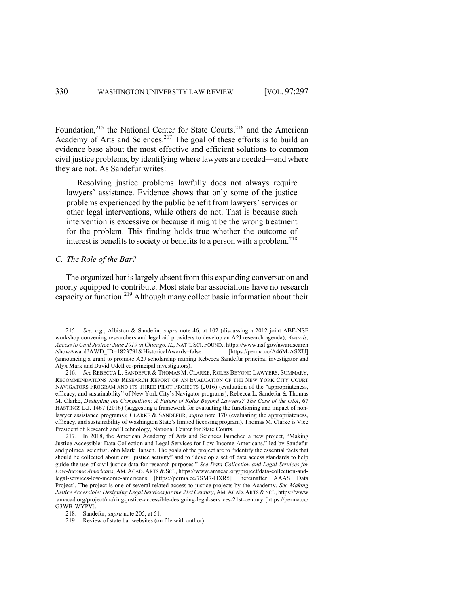Foundation,<sup>215</sup> the National Center for State Courts,<sup>216</sup> and the American Academy of Arts and Sciences.<sup>217</sup> The goal of these efforts is to build an evidence base about the most effective and efficient solutions to common civil justice problems, by identifying where lawyers are needed—and where they are not. As Sandefur writes:

Resolving justice problems lawfully does not always require lawyers' assistance. Evidence shows that only some of the justice problems experienced by the public benefit from lawyers' services or other legal interventions, while others do not. That is because such intervention is excessive or because it might be the wrong treatment for the problem. This finding holds true whether the outcome of interest is benefits to society or benefits to a person with a problem.<sup>218</sup>

#### *C. The Role of the Bar?*

The organized bar is largely absent from this expanding conversation and poorly equipped to contribute. Most state bar associations have no research capacity or function.<sup>219</sup> Although many collect basic information about their

<sup>215.</sup> *See, e.g.*, Albiston & Sandefur, *supra* note 46, at 102 (discussing a 2012 joint ABF-NSF workshop convening researchers and legal aid providers to develop an A2J research agenda); *Awards, Access to Civil Justice; June 2019 in Chicago, IL*, NAT'L SCI. FOUND., https://www.nsf.gov/awardsearch /showAward?AWD\_ID=1823791&HistoricalAwards=false [https://perma.cc/A46M-ASXU] (announcing a grant to promote A2J scholarship naming Rebecca Sandefur principal investigator and Alyx Mark and David Udell co-principal investigators).

<sup>216.</sup> *See* REBECCA L. SANDEFUR & THOMAS M. CLARKE, ROLES BEYOND LAWYERS: SUMMARY, RECOMMENDATIONS AND RESEARCH REPORT OF AN EVALUATION OF THE NEW YORK CITY COURT NAVIGATORS PROGRAM AND ITS THREE PILOT PROJECTS (2016) (evaluation of the "appropriateness, efficacy, and sustainability" of New York City's Navigator programs); Rebecca L. Sandefur & Thomas M. Clarke, *Designing the Competition: A Future of Roles Beyond Lawyers? The Case of the USA*, 67 HASTINGS L.J. 1467 (2016) (suggesting a framework for evaluating the functioning and impact of nonlawyer assistance programs); CLARKE & SANDEFUR, *supra* note 170 (evaluating the appropriateness, efficacy, and sustainability of Washington State's limited licensing program). Thomas M. Clarke is Vice President of Research and Technology, National Center for State Courts.

<sup>217.</sup> In 2018, the American Academy of Arts and Sciences launched a new project, "Making Justice Accessible: Data Collection and Legal Services for Low-Income Americans," led by Sandefur and political scientist John Mark Hansen. The goals of the project are to "identify the essential facts that should be collected about civil justice activity" and to "develop a set of data access standards to help guide the use of civil justice data for research purposes." *See Data Collection and Legal Services for Low-Income Americans*, AM. ACAD. ARTS & SCI., https://www.amacad.org/project/data-collection-andlegal-services-low-income-americans [https://perma.cc/7SM7-HXR5] [hereinafter AAAS Data Project]. The project is one of several related access to justice projects by the Academy. *See Making Justice Accessible: Designing Legal Services for the 21st Century*, AM. ACAD. ARTS & SCI., https://www .amacad.org/project/making-justice-accessible-designing-legal-services-21st-century [https://perma.cc/ G3WB-WYPV].

<sup>218.</sup> Sandefur, *supra* note 205, at 51.

<sup>219.</sup> Review of state bar websites (on file with author).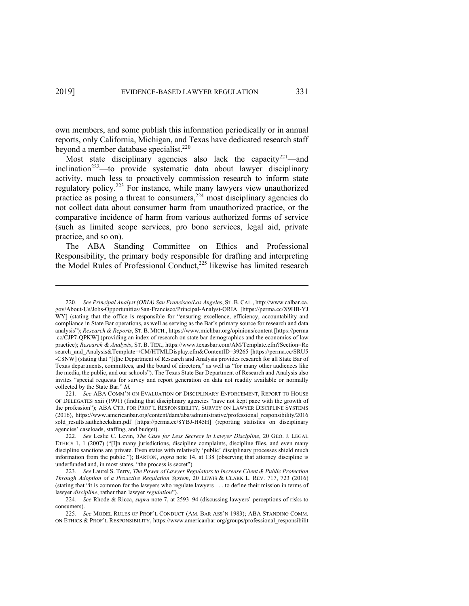own members, and some publish this information periodically or in annual reports, only California, Michigan, and Texas have dedicated research staff beyond a member database specialist.<sup>220</sup>

Most state disciplinary agencies also lack the capacity<sup>221</sup>—and  $inclination<sup>222</sup>$ —to provide systematic data about lawyer disciplinary activity, much less to proactively commission research to inform state regulatory policy.<sup>223</sup> For instance, while many lawyers view unauthorized practice as posing a threat to consumers,<sup>224</sup> most disciplinary agencies do not collect data about consumer harm from unauthorized practice, or the comparative incidence of harm from various authorized forms of service (such as limited scope services, pro bono services, legal aid, private practice, and so on).

The ABA Standing Committee on Ethics and Professional Responsibility, the primary body responsible for drafting and interpreting the Model Rules of Professional Conduct,<sup>225</sup> likewise has limited research

<sup>220.</sup> *See Principal Analyst (ORIA) San Francisco/Los Angeles*, ST.B.CAL., http://www.calbar.ca. gov/About-Us/Jobs-Opportunities/San-Francisco/Principal-Analyst-ORIA [https://perma.cc/X9HB-YJ WY] (stating that the office is responsible for "ensuring excellence, efficiency, accountability and compliance in State Bar operations, as well as serving as the Bar's primary source for research and data analysis"); *Research & Reports*, ST. B. MICH., https://www.michbar.org/opinions/content [https://perma .cc/CJP7-QPKW] (providing an index of research on state bar demographics and the economics of law practice); *Research & Analysis*, ST. B. TEX., https://www.texasbar.com/AM/Template.cfm?Section=Re search\_and\_Analysis&Template=/CM/HTMLDisplay.cfm&ContentID=39265 [https://perma.cc/SRU5 -C8NW] (stating that "[t]he Department of Research and Analysis provides research for all State Bar of Texas departments, committees, and the board of directors," as well as "for many other audiences like the media, the public, and our schools"). The Texas State Bar Department of Research and Analysis also invites "special requests for survey and report generation on data not readily available or normally collected by the State Bar." *Id.*

<sup>221.</sup> *See* ABA COMM'N ON EVALUATION OF DISCIPLINARY ENFORCEMENT, REPORT TO HOUSE OF DELEGATES xxii (1991) (finding that disciplinary agencies "have not kept pace with the growth of the profession"); ABA CTR. FOR PROF'L RESPONSIBILITY, SURVEY ON LAWYER DISCIPLINE SYSTEMS (2016), https://www.americanbar.org/content/dam/aba/administrative/professional\_responsibility/2016 sold results.authcheckdam.pdf [https://perma.cc/8YBJ-H45H] (reporting statistics on disciplinary agencies' caseloads, staffing, and budget).

<sup>222.</sup> *See* Leslie C. Levin, *The Case for Less Secrecy in Lawyer Discipline*, 20 GEO. J. LEGAL ETHICS 1, 1 (2007) ("[I]n many jurisdictions, discipline complaints, discipline files, and even many discipline sanctions are private. Even states with relatively 'public' disciplinary processes shield much information from the public."); BARTON, *supra* note 14, at 138 (observing that attorney discipline is underfunded and, in most states, "the process is secret").

<sup>223.</sup> *See* Laurel S. Terry, *The Power of Lawyer Regulators to Increase Client & Public Protection Through Adoption of a Proactive Regulation System*, 20 LEWIS & CLARK L. REV. 717, 723 (2016) (stating that "it is common for the lawyers who regulate lawyers . . . to define their mission in terms of lawyer *discipline*, rather than lawyer *regulation*").

<sup>224.</sup> *See* Rhode & Ricca, *supra* note 7, at 2593–94 (discussing lawyers' perceptions of risks to consumers).

<sup>225.</sup> *See* MODEL RULES OF PROF'L CONDUCT (AM. BAR ASS'N 1983); ABA STANDING COMM. ON ETHICS & PROF'L RESPONSIBILITY, https://www.americanbar.org/groups/professional\_responsibilit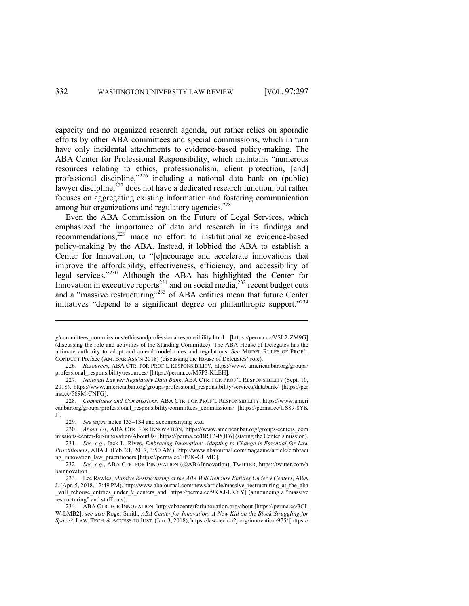capacity and no organized research agenda, but rather relies on sporadic efforts by other ABA committees and special commissions, which in turn have only incidental attachments to evidence-based policy-making. The ABA Center for Professional Responsibility, which maintains "numerous resources relating to ethics, professionalism, client protection, [and] professional discipline,"<sup>226</sup> including a national data bank on (public) lawyer discipline,<sup>227</sup> does not have a dedicated research function, but rather focuses on aggregating existing information and fostering communication among bar organizations and regulatory agencies.<sup>228</sup>

Even the ABA Commission on the Future of Legal Services, which emphasized the importance of data and research in its findings and recommendations, $229$  made no effort to institutionalize evidence-based policy-making by the ABA. Instead, it lobbied the ABA to establish a Center for Innovation, to "[e]ncourage and accelerate innovations that improve the affordability, effectiveness, efficiency, and accessibility of legal services."<sup>230</sup> Although the ABA has highlighted the Center for Innovation in executive reports<sup>231</sup> and on social media,  $2^{32}$  recent budget cuts and a "massive restructuring"<sup>233</sup> of ABA entities mean that future Center initiatives "depend to a significant degree on philanthropic support."<sup>234</sup>

y/committees\_commissions/ethicsandprofessionalresponsibility.html [https://perma.cc/VSL2-ZM9G] (discussing the role and activities of the Standing Committee). The ABA House of Delegates has the ultimate authority to adopt and amend model rules and regulations. *See* MODEL RULES OF PROF'L CONDUCT Preface (AM. BAR ASS'N 2018) (discussing the House of Delegates' role).

<sup>226.</sup> *Resources*, ABA CTR. FOR PROF'L RESPONSIBILITY, https://www. americanbar.org/groups/ professional\_responsibility/resources/ [https://perma.cc/M5P3-KLEH].

<sup>227.</sup> *National Lawyer Regulatory Data Bank*, ABA CTR. FOR PROF'L RESPONSIBILITY (Sept. 10, 2018), https://www.americanbar.org/groups/professional\_responsibility/services/databank/ [https://per ma.cc/569M-CNFG].

<sup>228.</sup> *Committees and Commissions*, ABA CTR. FOR PROF'L RESPONSIBILITY, https://www.ameri canbar.org/groups/professional\_responsibility/committees\_commissions/ [https://perma.cc/US89-8YK J].

<sup>229.</sup> *See supra* notes 133–134 and accompanying text.

<sup>230.</sup> *About Us*, ABA CTR. FOR INNOVATION, https://www.americanbar.org/groups/centers\_com missions/center-for-innovation/AboutUs/ [https://perma.cc/BRT2-PQF6] (stating the Center's mission).

<sup>231.</sup> *See, e.g.*, Jack L. Rives, *Embracing Innovation: Adapting to Change is Essential for Law Practitioners*, ABA J. (Feb. 21, 2017, 3:50 AM), http://www.abajournal.com/magazine/article/embraci ng\_innovation\_law\_practitioners [https://perma.cc/FP2K-GUMD].

<sup>232.</sup> *See, e.g.*, ABA CTR. FOR INNOVATION (@ABAInnovation), TWITTER, https://twitter.com/a bainnovation.

<sup>233.</sup> Lee Rawles, *Massive Restructuring at the ABA Will Rehouse Entities Under 9 Centers*, ABA J. (Apr. 5, 2018, 12:49 PM), http://www.abajournal.com/news/article/massive\_restructuring\_at\_the\_aba \_will\_rehouse\_entities\_under\_9\_centers\_and [https://perma.cc/9KXJ-LKYY] (announcing a "massive restructuring" and staff cuts).

<sup>234.</sup> ABA CTR. FOR INNOVATION, http://abacenterforinnovation.org/about [https://perma.cc/3CL W-LMB2]; *see also* Roger Smith, *ABA Center for Innovation: A New Kid on the Block Struggling for Space?*, LAW, TECH. & ACCESS TO JUST. (Jan. 3, 2018), https://law-tech-a2j.org/innovation/975/ [https://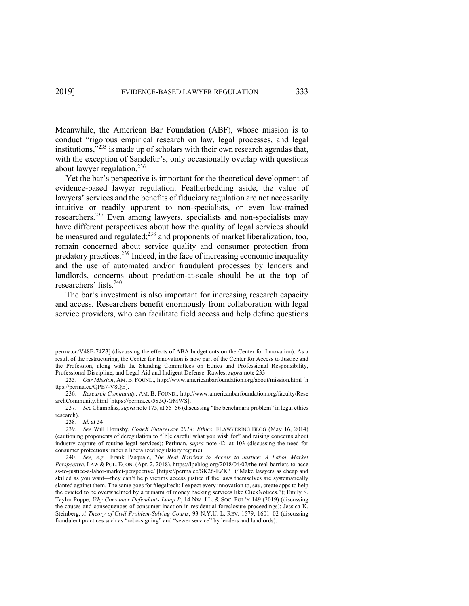Meanwhile, the American Bar Foundation (ABF), whose mission is to conduct "rigorous empirical research on law, legal processes, and legal institutions,<sup>"235</sup> is made up of scholars with their own research agendas that, with the exception of Sandefur's, only occasionally overlap with questions about lawyer regulation. $^{236}$ 

Yet the bar's perspective is important for the theoretical development of evidence-based lawyer regulation. Featherbedding aside, the value of lawyers' services and the benefits of fiduciary regulation are not necessarily intuitive or readily apparent to non-specialists, or even law-trained researchers.<sup>237</sup> Even among lawyers, specialists and non-specialists may have different perspectives about how the quality of legal services should be measured and regulated;<sup>238</sup> and proponents of market liberalization, too, remain concerned about service quality and consumer protection from predatory practices.<sup>239</sup> Indeed, in the face of increasing economic inequality and the use of automated and/or fraudulent processes by lenders and landlords, concerns about predation-at-scale should be at the top of researchers' lists.240

The bar's investment is also important for increasing research capacity and access. Researchers benefit enormously from collaboration with legal service providers, who can facilitate field access and help define questions

perma.cc/V48E-74Z3] (discussing the effects of ABA budget cuts on the Center for Innovation). As a result of the restructuring, the Center for Innovation is now part of the Center for Access to Justice and the Profession, along with the Standing Committees on Ethics and Professional Responsibility, Professional Discipline, and Legal Aid and Indigent Defense. Rawles, *supra* note 233.

<sup>235.</sup> *Our Mission*, AM. B. FOUND., http://www.americanbarfoundation.org/about/mission.html [h ttps://perma.cc/QPE7-V8QE].

<sup>236.</sup> *Research Community*, AM. B. FOUND., http://www.americanbarfoundation.org/faculty/Rese archCommunity.html [https://perma.cc/5S5Q-GMWS].

<sup>237.</sup> *See* Chambliss, *supra* note 175, at 55–56 (discussing "the benchmark problem" in legal ethics research).

<sup>238.</sup> *Id.* at 54.

<sup>239.</sup> *See* Will Hornsby, *CodeX FutureLaw 2014: Ethics*, ELAWYERING BLOG (May 16, 2014) (cautioning proponents of deregulation to "[b]e careful what you wish for" and raising concerns about industry capture of routine legal services); Perlman, *supra* note 42, at 103 (discussing the need for consumer protections under a liberalized regulatory regime).

<sup>240.</sup> *See, e.g.*, Frank Pasquale, *The Real Barriers to Access to Justice: A Labor Market Perspective*, LAW & POL. ECON. (Apr. 2, 2018), https://lpeblog.org/2018/04/02/the-real-barriers-to-acce ss-to-justice-a-labor-market-perspective/ [https://perma.cc/SK26-EZK3] ("Make lawyers as cheap and skilled as you want—they can't help victims access justice if the laws themselves are systematically slanted against them. The same goes for #legaltech: I expect every innovation to, say, create apps to help the evicted to be overwhelmed by a tsunami of money backing services like ClickNotices."); Emily S. Taylor Poppe, *Why Consumer Defendants Lump It*, 14 NW. J.L. & SOC. POL'Y 149 (2019) (discussing the causes and consequences of consumer inaction in residential foreclosure proceedings); Jessica K. Steinberg, *A Theory of Civil Problem-Solving Courts*, 93 N.Y.U. L. REV. 1579, 1601–02 (discussing fraudulent practices such as "robo-signing" and "sewer service" by lenders and landlords).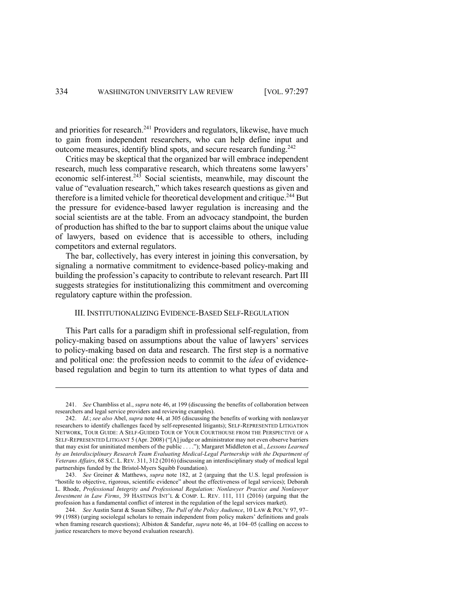and priorities for research.<sup>241</sup> Providers and regulators, likewise, have much to gain from independent researchers, who can help define input and outcome measures, identify blind spots, and secure research funding.242

Critics may be skeptical that the organized bar will embrace independent research, much less comparative research, which threatens some lawyers' economic self-interest. $243$  Social scientists, meanwhile, may discount the value of "evaluation research," which takes research questions as given and therefore is a limited vehicle for theoretical development and critique.<sup>244</sup> But the pressure for evidence-based lawyer regulation is increasing and the social scientists are at the table. From an advocacy standpoint, the burden of production has shifted to the bar to support claims about the unique value of lawyers, based on evidence that is accessible to others, including competitors and external regulators.

The bar, collectively, has every interest in joining this conversation, by signaling a normative commitment to evidence-based policy-making and building the profession's capacity to contribute to relevant research. Part III suggests strategies for institutionalizing this commitment and overcoming regulatory capture within the profession.

# III. INSTITUTIONALIZING EVIDENCE-BASED SELF-REGULATION

This Part calls for a paradigm shift in professional self-regulation, from policy-making based on assumptions about the value of lawyers' services to policy-making based on data and research. The first step is a normative and political one: the profession needs to commit to the *idea* of evidencebased regulation and begin to turn its attention to what types of data and

<sup>241.</sup> *See* Chambliss et al., *supra* note 46, at 199 (discussing the benefits of collaboration between researchers and legal service providers and reviewing examples).

<sup>242.</sup> *Id.*; *see also* Abel, *supra* note 44, at 305 (discussing the benefits of working with nonlawyer researchers to identify challenges faced by self-represented litigants); SELF-REPRESENTED LITIGATION NETWORK, TOUR GUIDE: A SELF-GUIDED TOUR OF YOUR COURTHOUSE FROM THE PERSPECTIVE OF A SELF-REPRESENTED LITIGANT 5 (Apr. 2008) ("[A] judge or administrator may not even observe barriers that may exist for uninitiated members of the public . . . ."); Margaret Middleton et al., *Lessons Learned by an Interdisciplinary Research Team Evaluating Medical-Legal Partnership with the Department of Veterans Affairs*, 68 S.C. L. REV. 311, 312 (2016) (discussing an interdisciplinary study of medical legal partnerships funded by the Bristol-Myers Squibb Foundation).

<sup>243.</sup> *See* Greiner & Matthews, *supra* note 182, at 2 (arguing that the U.S. legal profession is "hostile to objective, rigorous, scientific evidence" about the effectiveness of legal services); Deborah L. Rhode, *Professional Integrity and Professional Regulation: Nonlawyer Practice and Nonlawyer Investment in Law Firms*, 39 HASTINGS INT'L & COMP. L. REV. 111, 111 (2016) (arguing that the profession has a fundamental conflict of interest in the regulation of the legal services market).

<sup>244.</sup> *See* Austin Sarat & Susan Silbey, *The Pull of the Policy Audience*, 10 LAW & POL'Y 97, 97– 99 (1988) (urging sociolegal scholars to remain independent from policy makers' definitions and goals when framing research questions); Albiston & Sandefur, *supra* note 46, at 104–05 (calling on access to justice researchers to move beyond evaluation research).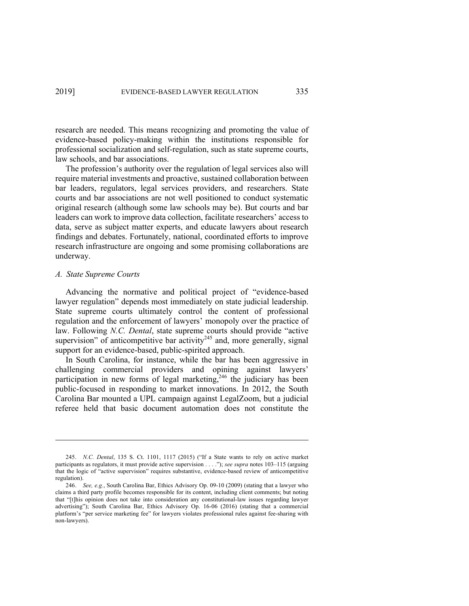research are needed. This means recognizing and promoting the value of evidence-based policy-making within the institutions responsible for professional socialization and self-regulation, such as state supreme courts, law schools, and bar associations.

The profession's authority over the regulation of legal services also will require material investments and proactive, sustained collaboration between bar leaders, regulators, legal services providers, and researchers. State courts and bar associations are not well positioned to conduct systematic original research (although some law schools may be). But courts and bar leaders can work to improve data collection, facilitate researchers' access to data, serve as subject matter experts, and educate lawyers about research findings and debates. Fortunately, national, coordinated efforts to improve research infrastructure are ongoing and some promising collaborations are underway.

### *A. State Supreme Courts*

Advancing the normative and political project of "evidence-based lawyer regulation" depends most immediately on state judicial leadership. State supreme courts ultimately control the content of professional regulation and the enforcement of lawyers' monopoly over the practice of law. Following *N.C. Dental*, state supreme courts should provide "active supervision" of anticompetitive bar activity<sup>245</sup> and, more generally, signal support for an evidence-based, public-spirited approach.

In South Carolina, for instance, while the bar has been aggressive in challenging commercial providers and opining against lawyers' participation in new forms of legal marketing,<sup>246</sup> the judiciary has been public-focused in responding to market innovations. In 2012, the South Carolina Bar mounted a UPL campaign against LegalZoom, but a judicial referee held that basic document automation does not constitute the

<sup>245.</sup> *N.C. Dental*, 135 S. Ct. 1101, 1117 (2015) ("If a State wants to rely on active market participants as regulators, it must provide active supervision . . . ."); *see supra* notes 103–115 (arguing that the logic of "active supervision" requires substantive, evidence-based review of anticompetitive regulation).

<sup>246.</sup> *See, e.g.*, South Carolina Bar, Ethics Advisory Op. 09-10 (2009) (stating that a lawyer who claims a third party profile becomes responsible for its content, including client comments; but noting that "[t]his opinion does not take into consideration any constitutional-law issues regarding lawyer advertising"); South Carolina Bar, Ethics Advisory Op. 16-06 (2016) (stating that a commercial platform's "per service marketing fee" for lawyers violates professional rules against fee-sharing with non-lawyers).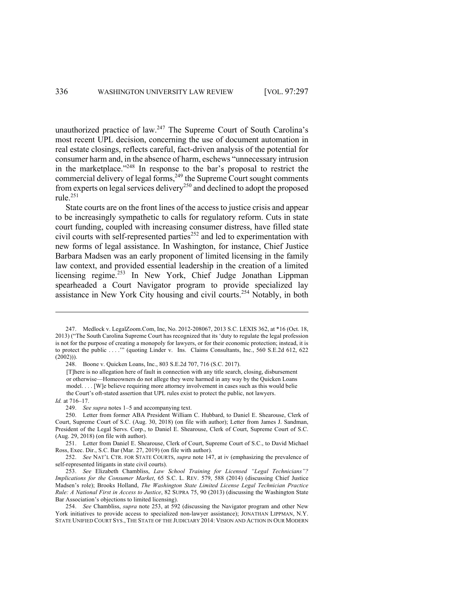unauthorized practice of law.<sup>247</sup> The Supreme Court of South Carolina's most recent UPL decision, concerning the use of document automation in real estate closings, reflects careful, fact-driven analysis of the potential for consumer harm and, in the absence of harm, eschews "unnecessary intrusion in the marketplace."248 In response to the bar's proposal to restrict the commercial delivery of legal forms,<sup>249</sup> the Supreme Court sought comments from experts on legal services delivery<sup>250</sup> and declined to adopt the proposed rule. 251

State courts are on the front lines of the access to justice crisis and appear to be increasingly sympathetic to calls for regulatory reform. Cuts in state court funding, coupled with increasing consumer distress, have filled state civil courts with self-represented parties<sup>252</sup> and led to experimentation with new forms of legal assistance. In Washington, for instance, Chief Justice Barbara Madsen was an early proponent of limited licensing in the family law context, and provided essential leadership in the creation of a limited licensing regime.<sup>253</sup> In New York, Chief Judge Jonathan Lippman spearheaded a Court Navigator program to provide specialized lay assistance in New York City housing and civil courts.254 Notably, in both

<sup>247.</sup> Medlock v. LegalZoom.Com, Inc, No. 2012-208067, 2013 S.C. LEXIS 362, at \*16 (Oct. 18, 2013) ("The South Carolina Supreme Court has recognized that its 'duty to regulate the legal profession is not for the purpose of creating a monopoly for lawyers, or for their economic protection; instead, it is to protect the public . . . .'" (quoting Linder v. Ins. Claims Consultants, Inc., 560 S.E.2d 612, 622  $(2002))$ ).

<sup>248.</sup> Boone v. Quicken Loans, Inc., 803 S.E.2d 707, 716 (S.C. 2017).

<sup>[</sup>T]here is no allegation here of fault in connection with any title search, closing, disbursement or otherwise—Homeowners do not allege they were harmed in any way by the Quicken Loans model. . . . [W]e believe requiring more attorney involvement in cases such as this would belie the Court's oft-stated assertion that UPL rules exist to protect the public, not lawyers.

*Id.* at 716–17.

<sup>249.</sup> *See supra* notes 1–5 and accompanying text.

<sup>250.</sup> Letter from former ABA President William C. Hubbard, to Daniel E. Shearouse, Clerk of Court, Supreme Court of S.C. (Aug. 30, 2018) (on file with author); Letter from James J. Sandman, President of the Legal Servs. Corp., to Daniel E. Shearouse, Clerk of Court, Supreme Court of S.C. (Aug. 29, 2018) (on file with author).

<sup>251.</sup> Letter from Daniel E. Shearouse, Clerk of Court, Supreme Court of S.C., to David Michael Ross, Exec. Dir., S.C. Bar (Mar. 27, 2019) (on file with author).

<sup>252.</sup> *See* NAT'L CTR. FOR STATE COURTS, *supra* note 147, at iv (emphasizing the prevalence of self-represented litigants in state civil courts).

<sup>253.</sup> *See* Elizabeth Chambliss, *Law School Training for Licensed "Legal Technicians"? Implications for the Consumer Market*, 65 S.C. L. REV. 579, 588 (2014) (discussing Chief Justice Madsen's role); Brooks Holland, *The Washington State Limited License Legal Technician Practice Rule: A National First in Access to Justice*, 82 SUPRA 75, 90 (2013) (discussing the Washington State Bar Association's objections to limited licensing).

<sup>254.</sup> *See* Chambliss, *supra* note 253, at 592 (discussing the Navigator program and other New York initiatives to provide access to specialized non-lawyer assistance); JONATHAN LIPPMAN, N.Y. STATE UNIFIED COURT SYS., THE STATE OF THE JUDICIARY 2014: VISION AND ACTION IN OUR MODERN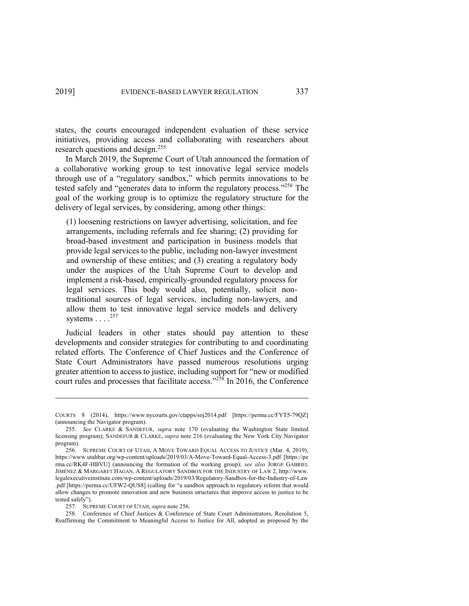states, the courts encouraged independent evaluation of these service initiatives, providing access and collaborating with researchers about research questions and design.<sup>255</sup>

In March 2019, the Supreme Court of Utah announced the formation of a collaborative working group to test innovative legal service models through use of a "regulatory sandbox," which permits innovations to be tested safely and "generates data to inform the regulatory process."<sup>256</sup> The goal of the working group is to optimize the regulatory structure for the delivery of legal services, by considering, among other things:

(1) loosening restrictions on lawyer advertising, solicitation, and fee arrangements, including referrals and fee sharing; (2) providing for broad-based investment and participation in business models that provide legal services to the public, including non-lawyer investment and ownership of these entities; and (3) creating a regulatory body under the auspices of the Utah Supreme Court to develop and implement a risk-based, empirically-grounded regulatory process for legal services. This body would also, potentially, solicit nontraditional sources of legal services, including non-lawyers, and allow them to test innovative legal service models and delivery systems  $\ldots$ .<sup>257</sup>

Judicial leaders in other states should pay attention to these developments and consider strategies for contributing to and coordinating related efforts. The Conference of Chief Justices and the Conference of State Court Administrators have passed numerous resolutions urging greater attention to access to justice, including support for "new or modified court rules and processes that facilitate access." $^{258}$  In 2016, the Conference

258. Conference of Chief Justices & Conference of State Court Administrators, Resolution 5, Reaffirming the Commitment to Meaningful Access to Justice for All, adopted as proposed by the

COURTS 8 (2014), https://www.nycourts.gov/ctapps/soj2014.pdf [https://perma.cc/FYT5-79QZ] (announcing the Navigator program).

<sup>255.</sup> *See* CLARKE & SANDEFUR, *supra* note 170 (evaluating the Washington State limited licensing program); SANDEFUR & CLARKE, *supra* note 216 (evaluating the New York City Navigator program).

<sup>256.</sup> SUPREME COURT OF UTAH, A MOVE TOWARD EQUAL ACCESS TO JUSTICE (Mar. 4, 2019), https://www.utahbar.org/wp-content/uploads/2019/03/A-Move-Toward-Equal-Access-3.pdf [https://pe rma.cc/RK4F-HBVU] (announcing the formation of the working group); *see also* JORGE GABRIEL JIMÉNEZ & MARGARET HAGAN, A REGULATORY SANDBOX FOR THE INDUSTRY OF LAW 2, http://www. legalexecutiveinstitute.com/wp-content/uploads/2019/03/Regulatory-Sandbox-for-the-Industry-of-Law .pdf [https://perma.cc/UFW2-QUS8] (calling for "a sandbox approach to regulatory reform that would allow changes to promote innovation and new business structures that improve access to justice to be tested safely").

<sup>257.</sup> SUPREME COURT OF UTAH, *supra* note 256.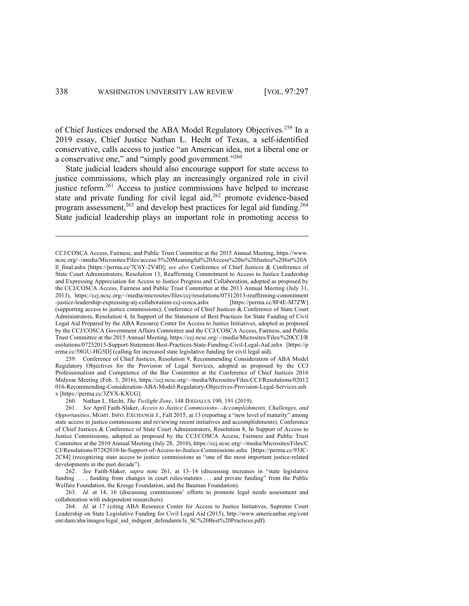of Chief Justices endorsed the ABA Model Regulatory Objectives.<sup>259</sup> In a 2019 essay, Chief Justice Nathan L. Hecht of Texas, a self-identified conservative, calls access to justice "an American idea, not a liberal one or a conservative one," and "simply good government."<sup>260</sup>

State judicial leaders should also encourage support for state access to justice commissions, which play an increasingly organized role in civil justice reform.261 Access to justice commissions have helped to increase state and private funding for civil legal aid,<sup>262</sup> promote evidence-based program assessment,<sup>263</sup> and develop best practices for legal aid funding.<sup>264</sup> State judicial leadership plays an important role in promoting access to

259. Conference of Chief Justices, Resolution 9, Recommending Consideration of ABA Model Regulatory Objectives for the Provision of Legal Services, adopted as proposed by the CCJ Professionalism and Competence of the Bar Committee at the Conference of Chief Justices 2016 Midyear Meeting (Feb. 3, 2016), https://ccj.ncsc.org/~/media/Microsites/Files/CCJ/Resolutions/02012 016-Recommending-Consideration-ABA-Model-Regulatory-Objectives-Provision-Legal-Services.ash x [https://perma.cc/3ZYX-KXUG].

260. Nathan L. Hecht, *The Twilight Zone*, 148 DÆDALUS 190, 191 (2019).

CCJ/COSCA Access, Fairness, and Public Trust Committee at the 2015 Annual Meeting, https://www. ncsc.org/~/media/Microsites/Files/access/5%20Meaningful%20Access%20to%20Justice%20for%20A ll\_final.ashx [https://perma.cc/7C6Y-2V4D]; *see also* Conference of Chief Justices & Conference of State Court Administrators, Resolution 13, Reaffirming Commitment to Access to Justice Leadership and Expressing Appreciation for Access to Justice Progress and Collaboration, adopted as proposed by the CCJ/COSCA Access, Fairness and Public Trust Committee at the 2013 Annual Meeting (July 31, 2013), https://ccj.ncsc.org/~/media/microsites/files/ccj/resolutions/07312013-reaffirming-commitment -justice-leadership-expressing-atj-collaboration-ccj-cosca.ashx [https://perma.cc/8F4E-M7ZW] (supporting access to justice commissions); Conference of Chief Justices & Conference of State Court Administrators, Resolution 4, In Support of the Statement of Best Practices for State Funding of Civil Legal Aid Prepared by the ABA Resource Center for Access to Justice Initiatives, adopted as proposed by the CCJ/COSCA Government Affairs Committee and the CCJ/COSCA Access, Fairness, and Public Trust Committee at the 2015 Annual Meeting, https://ccj.ncsc.org/~/media/Microsites/Files/%20CCJ/R esolutions/07252015-Support-Statement-Best-Practices-State-Funding-Civil-Legal-Aid.ashx [https://p erma.cc/58GU-HG5D] (calling for increased state legislative funding for civil legal aid).

<sup>261.</sup> *See* April Faith-Slaker, *Access to Justice Commissions—Accomplishments, Challenges, and Opportunities*, MGMT. INFO. EXCHANGE J., Fall 2015, at 13 (reporting a "new level of maturity" among state access to justice commissions and reviewing recent initiatives and accomplishments); Conference of Chief Justices & Conference of State Court Administrators, Resolution 8, In Support of Access to Justice Commissions, adopted as proposed by the CCJ/COSCA Access, Fairness and Public Trust Committee at the 2010 Annual Meeting (July 28, 2010), https://ccj.ncsc.org/~/media/Microsites/Files/C CJ/Resolutions/07282010-In-Support-of-Access-to-Justice-Commissions.ashx [https://perma.cc/93JC-2C84] (recognizing state access to justice commissions as "one of the most important justice-related developments in the past decade").

<sup>262.</sup> *See* Faith-Slaker, *supra* note 261, at 13–14 (discussing increases in "state legislative funding . . . , funding from changes in court rules/statutes . . . and private funding" from the Public Welfare Foundation, the Kresge Foundation, and the Bauman Foundation).

<sup>263.</sup> *Id.* at 14, 16 (discussing commissions' efforts to promote legal needs assessment and collaboration with independent researchers).

<sup>264.</sup> *Id.* at 17 (citing ABA Resource Center for Access to Justice Initiatives, Supreme Court Leadership on State Legislative Funding for Civil Legal Aid (2015), http://www.americanbar.org/cont ent/dam/aba/images/legal\_aid\_indigent\_defendants/ls\_SC%20Best%20Practices.pdf).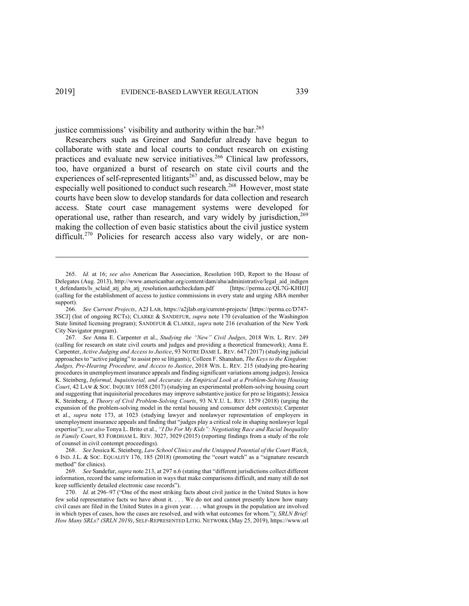justice commissions' visibility and authority within the bar.<sup>265</sup>

Researchers such as Greiner and Sandefur already have begun to collaborate with state and local courts to conduct research on existing practices and evaluate new service initiatives.<sup>266</sup> Clinical law professors, too, have organized a burst of research on state civil courts and the experiences of self-represented litigants<sup>267</sup> and, as discussed below, may be especially well positioned to conduct such research.<sup>268</sup> However, most state courts have been slow to develop standards for data collection and research access. State court case management systems were developed for operational use, rather than research, and vary widely by jurisdiction,<sup>269</sup> making the collection of even basic statistics about the civil justice system difficult.<sup>270</sup> Policies for research access also vary widely, or are non-

<sup>265.</sup> *Id.* at 16; *see also* American Bar Association, Resolution 10D, Report to the House of Delegates (Aug. 2013), http://www.americanbar.org/content/dam/aba/administrative/legal\_aid\_indigen t\_defendants/ls\_sclaid\_atj\_aba\_atj\_resolution.authcheckdam.pdf [https://perma.cc/QL7G-KHHJ] (calling for the establishment of access to justice commissions in every state and urging ABA member support).

<sup>266.</sup> *See Current Projects*, A2J LAB, https://a2jlab.org/current-projects/ [https://perma.cc/D747- 3SCJ] (list of ongoing RCTs); CLARKE & SANDEFUR, *supra* note 170 (evaluation of the Washington State limited licensing program); SANDEFUR & CLARKE, *supra* note 216 (evaluation of the New York City Navigator program).

<sup>267.</sup> *See* Anna E. Carpenter et al., *Studying the "New" Civil Judges*, 2018 WIS. L. REV. 249 (calling for research on state civil courts and judges and providing a theoretical framework); Anna E. Carpenter, *Active Judging and Access to Justice*, 93 NOTRE DAME L. REV. 647 (2017) (studying judicial approaches to "active judging" to assist pro se litigants); Colleen F. Shanahan, *The Keys to the Kingdom: Judges, Pre-Hearing Procedure, and Access to Justice*, 2018 WIS. L. REV. 215 (studying pre-hearing procedures in unemployment insurance appeals and finding significant variations among judges); Jessica K. Steinberg, *Informal, Inquisitorial, and Accurate: An Empirical Look at a Problem-Solving Housing Court*, 42 LAW & SOC. INQUIRY 1058 (2017) (studying an experimental problem-solving housing court and suggesting that inquisitorial procedures may improve substantive justice for pro se litigants); Jessica K. Steinberg, *A Theory of Civil Problem-Solving Courts*, 93 N.Y.U. L. REV. 1579 (2018) (urging the expansion of the problem-solving model in the rental housing and consumer debt contexts); Carpenter et al., *supra* note 173, at 1023 (studying lawyer and nonlawyer representation of employers in unemployment insurance appeals and finding that "judges play a critical role in shaping nonlawyer legal expertise"); *see also* Tonya L. Brito et al., *"I Do For My Kids": Negotiating Race and Racial Inequality in Family Court*, 83 FORDHAM L. REV. 3027, 3029 (2015) (reporting findings from a study of the role of counsel in civil contempt proceedings).

<sup>268.</sup> *See* Jessica K. Steinberg, *Law School Clinics and the Untapped Potential of the Court Watch*, 6 IND. J.L. & SOC. EQUALITY 176, 185 (2018) (promoting the "court watch" as a "signature research method" for clinics).

<sup>269.</sup> *See* Sandefur, *supra* note 213, at 297 n.6 (stating that "different jurisdictions collect different information, record the same information in ways that make comparisons difficult, and many still do not keep sufficiently detailed electronic case records").

<sup>270.</sup> *Id.* at 296–97 ("One of the most striking facts about civil justice in the United States is how few solid representative facts we have about it. . . . We do not and cannot presently know how many civil cases are filed in the United States in a given year. . . . what groups in the population are involved in which types of cases, how the cases are resolved, and with what outcomes for whom."); *SRLN Brief: How Many SRLs? (SRLN 2019)*, SELF-REPRESENTED LITIG. NETWORK (May 25, 2019), https://www.srl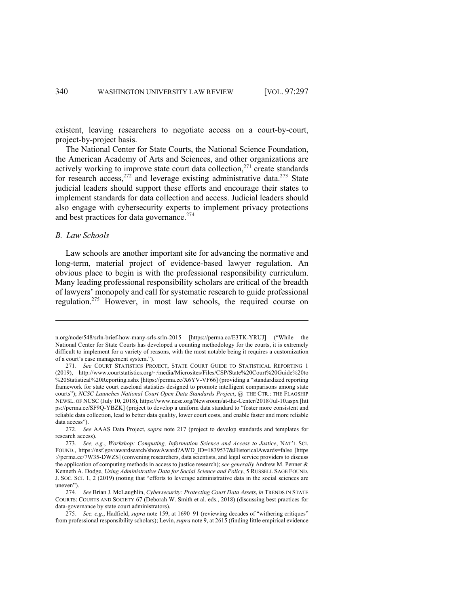existent, leaving researchers to negotiate access on a court-by-court, project-by-project basis.

The National Center for State Courts, the National Science Foundation, the American Academy of Arts and Sciences, and other organizations are actively working to improve state court data collection, $^{271}$  create standards for research access,<sup>272</sup> and leverage existing administrative data.<sup>273</sup> State judicial leaders should support these efforts and encourage their states to implement standards for data collection and access. Judicial leaders should also engage with cybersecurity experts to implement privacy protections and best practices for data governance.<sup>274</sup>

# *B. Law Schools*

Law schools are another important site for advancing the normative and long-term, material project of evidence-based lawyer regulation. An obvious place to begin is with the professional responsibility curriculum. Many leading professional responsibility scholars are critical of the breadth of lawyers' monopoly and call for systematic research to guide professional regulation.<sup>275</sup> However, in most law schools, the required course on

n.org/node/548/srln-brief-how-many-srls-srln-2015 [https://perma.cc/E3TK-YRUJ] ("While the National Center for State Courts has developed a counting methodology for the courts, it is extremely difficult to implement for a variety of reasons, with the most notable being it requires a customization of a court's case management system.").

<sup>271.</sup> *See* COURT STATISTICS PROJECT, STATE COURT GUIDE TO STATISTICAL REPORTING 1 (2019), http://www.courtstatistics.org/~/media/Microsites/Files/CSP/State%20Court%20Guide%20to %20Statistical%20Reporting.ashx [https://perma.cc/X6YV-VF66] (providing a "standardized reporting framework for state court caseload statistics designed to promote intelligent comparisons among state courts"); *NCSC Launches National Court Open Data Standards Project*, @ THE CTR.: THE FLAGSHIP NEWSL. OF NCSC (July 10, 2018), https://www.ncsc.org/Newsroom/at-the-Center/2018/Jul-10.aspx [htt ps://perma.cc/SF9Q-YBZK] (project to develop a uniform data standard to "foster more consistent and reliable data collection, lead to better data quality, lower court costs, and enable faster and more reliable data access").

<sup>272.</sup> *See* AAAS Data Project, *supra* note 217 (project to develop standards and templates for research access).

<sup>273.</sup> *See, e.g.*, *Workshop: Computing, Information Science and Access to Justice*, NAT'L SCI. FOUND., https://nsf.gov/awardsearch/showAward?AWD\_ID=1839537&HistoricalAwards=false [https ://perma.cc/7W35-DWZS] (convening researchers, data scientists, and legal service providers to discuss the application of computing methods in access to justice research); *see generally* Andrew M. Penner & Kenneth A. Dodge, *Using Administrative Data for Social Science and Policy*, 5 RUSSELL SAGE FOUND. J. SOC. SCI. 1, 2 (2019) (noting that "efforts to leverage administrative data in the social sciences are uneven").

<sup>274.</sup> *See* Brian J. McLaughlin, *Cybersecurity: Protecting Court Data Assets*, *in* TRENDS IN STATE COURTS: COURTS AND SOCIETY 67 (Deborah W. Smith et al. eds., 2018) (discussing best practices for data-governance by state court administrators).

<sup>275.</sup> *See, e.g.*, Hadfield, *supra* note 159, at 1690–91 (reviewing decades of "withering critiques" from professional responsibility scholars); Levin, *supra* note 9, at 2615 (finding little empirical evidence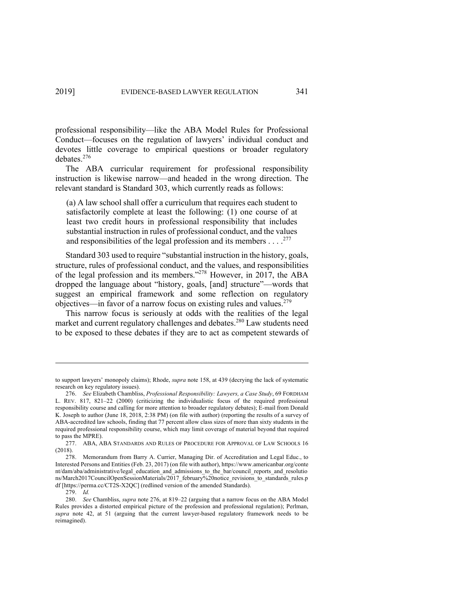professional responsibility—like the ABA Model Rules for Professional Conduct—focuses on the regulation of lawyers' individual conduct and devotes little coverage to empirical questions or broader regulatory debates. 276

The ABA curricular requirement for professional responsibility instruction is likewise narrow—and headed in the wrong direction. The relevant standard is Standard 303, which currently reads as follows:

(a) A law school shall offer a curriculum that requires each student to satisfactorily complete at least the following: (1) one course of at least two credit hours in professional responsibility that includes substantial instruction in rules of professional conduct, and the values and responsibilities of the legal profession and its members . . .  $.^{277}$ 

Standard 303 used to require "substantial instruction in the history, goals, structure, rules of professional conduct, and the values, and responsibilities of the legal profession and its members."278 However, in 2017, the ABA dropped the language about "history, goals, [and] structure"—words that suggest an empirical framework and some reflection on regulatory objectives—in favor of a narrow focus on existing rules and values.<sup>279</sup>

This narrow focus is seriously at odds with the realities of the legal market and current regulatory challenges and debates. <sup>280</sup> Law students need to be exposed to these debates if they are to act as competent stewards of

to support lawyers' monopoly claims); Rhode, *supra* note 158, at 439 (decrying the lack of systematic research on key regulatory issues).

<sup>276.</sup> *See* Elizabeth Chambliss, *Professional Responsibility: Lawyers, a Case Study*, 69 FORDHAM L. REV. 817, 821–22 (2000) (criticizing the individualistic focus of the required professional responsibility course and calling for more attention to broader regulatory debates); E-mail from Donald K. Joseph to author (June 18, 2018, 2:38 PM) (on file with author) (reporting the results of a survey of ABA-accredited law schools, finding that 77 percent allow class sizes of more than sixty students in the required professional responsibility course, which may limit coverage of material beyond that required to pass the MPRE).

<sup>277.</sup> ABA, ABA STANDARDS AND RULES OF PROCEDURE FOR APPROVAL OF LAW SCHOOLS 16 (2018).

<sup>278.</sup> Memorandum from Barry A. Currier, Managing Dir. of Accreditation and Legal Educ., to Interested Persons and Entities (Feb. 23, 2017) (on file with author), https://www.americanbar.org/conte nt/dam/aba/administrative/legal\_education\_and\_admissions\_to\_the\_bar/council\_reports\_and\_resolutio ns/March2017CouncilOpenSessionMaterials/2017\_february%20notice\_revisions\_to\_standards\_rules.p df [https://perma.cc/CT2S-X2QC] (redlined version of the amended Standards).

<sup>279.</sup> *Id.*

<sup>280.</sup> *See* Chambliss, *supra* note 276, at 819–22 (arguing that a narrow focus on the ABA Model Rules provides a distorted empirical picture of the profession and professional regulation); Perlman, *supra* note 42, at 51 (arguing that the current lawyer-based regulatory framework needs to be reimagined).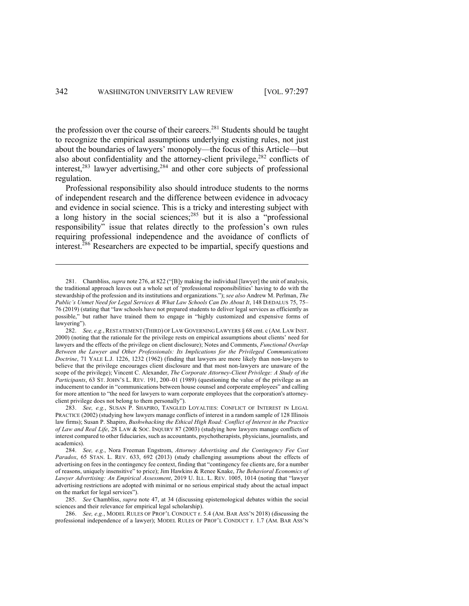the profession over the course of their careers.<sup>281</sup> Students should be taught to recognize the empirical assumptions underlying existing rules, not just about the boundaries of lawyers' monopoly—the focus of this Article—but also about confidentiality and the attorney-client privilege, $282$  conflicts of interest, $283$  lawyer advertising, $284$  and other core subjects of professional regulation.

Professional responsibility also should introduce students to the norms of independent research and the difference between evidence in advocacy and evidence in social science. This is a tricky and interesting subject with a long history in the social sciences;<sup>285</sup> but it is also a "professional" responsibility" issue that relates directly to the profession's own rules requiring professional independence and the avoidance of conflicts of interest.<sup>286</sup> Researchers are expected to be impartial, specify questions and

<sup>281.</sup> Chambliss, *supra* note 276, at 822 ("[B]y making the individual [lawyer] the unit of analysis, the traditional approach leaves out a whole set of 'professional responsibilities' having to do with the stewardship of the profession and its institutions and organizations."); *see also* Andrew M. Perlman, *The Public's Unmet Need for Legal Services & What Law Schools Can Do About It*, 148 DÆDALUS 75, 75– 76 (2019) (stating that "law schools have not prepared students to deliver legal services as efficiently as possible," but rather have trained them to engage in "highly customized and expensive forms of lawyering").

<sup>282.</sup> *See, e.g.*, RESTATEMENT (THIRD) OF LAW GOVERNING LAWYERS § 68 cmt. c (AM. LAW INST. 2000) (noting that the rationale for the privilege rests on empirical assumptions about clients' need for lawyers and the effects of the privilege on client disclosure); Notes and Comments, *Functional Overlap Between the Lawyer and Other Professionals: Its Implications for the Privileged Communications Doctrine*, 71 YALE L.J. 1226, 1232 (1962) (finding that lawyers are more likely than non-lawyers to believe that the privilege encourages client disclosure and that most non-lawyers are unaware of the scope of the privilege); Vincent C. Alexander, *The Corporate Attorney-Client Privilege: A Study of the Participants*, 63 ST. JOHN'S L. REV. 191, 200–01 (1989) (questioning the value of the privilege as an inducement to candor in "communications between house counsel and corporate employees" and calling for more attention to "the need for lawyers to warn corporate employees that the corporation's attorneyclient privilege does not belong to them personally").

<sup>283.</sup> *See, e.g.*, SUSAN P. SHAPIRO, TANGLED LOYALTIES: CONFLICT OF INTEREST IN LEGAL PRACTICE (2002) (studying how lawyers manage conflicts of interest in a random sample of 128 Illinois law firms); Susan P. Shapiro, *Bushwhacking the Ethical High Road: Conflict of Interest in the Practice of Law and Real Life*, 28 LAW & SOC. INQUIRY 87 (2003) (studying how lawyers manage conflicts of interest compared to other fiduciaries, such as accountants, psychotherapists, physicians, journalists, and academics).

<sup>284.</sup> *See, e.g.*, Nora Freeman Engstrom, *Attorney Advertising and the Contingency Fee Cost Paradox*, 65 STAN. L. REV. 633, 692 (2013) (study challenging assumptions about the effects of advertising on fees in the contingency fee context, finding that "contingency fee clients are, for a number of reasons, uniquely insensitive" to price); Jim Hawkins & Renee Knake, *The Behavioral Economics of Lawyer Advertising: An Empirical Assessment*, 2019 U. ILL. L. REV. 1005, 1014 (noting that "lawyer advertising restrictions are adopted with minimal or no serious empirical study about the actual impact on the market for legal services").

<sup>285.</sup> *See* Chambliss, *supra* note 47, at 34 (discussing epistemological debates within the social sciences and their relevance for empirical legal scholarship).

<sup>286.</sup> *See, e.g.*, MODEL RULES OF PROF'L CONDUCT r. 5.4 (AM. BAR ASS'N 2018) (discussing the professional independence of a lawyer); MODEL RULES OF PROF'L CONDUCT r. 1.7 (AM. BAR ASS'N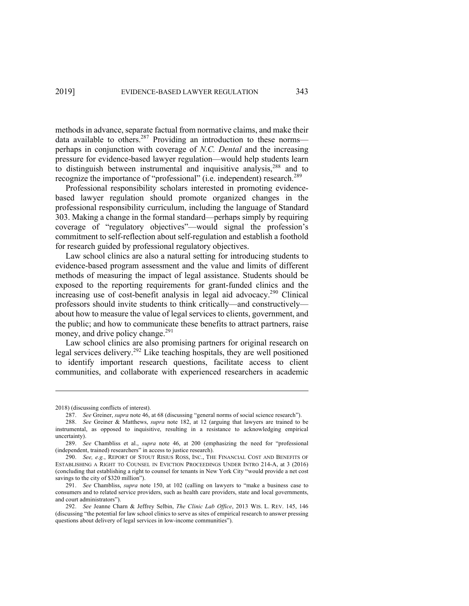methods in advance, separate factual from normative claims, and make their data available to others.<sup>287</sup> Providing an introduction to these normsperhaps in conjunction with coverage of *N.C. Dental* and the increasing pressure for evidence-based lawyer regulation—would help students learn to distinguish between instrumental and inquisitive analysis,<sup>288</sup> and to recognize the importance of "professional" (i.e. independent) research.<sup>289</sup>

Professional responsibility scholars interested in promoting evidencebased lawyer regulation should promote organized changes in the professional responsibility curriculum, including the language of Standard 303. Making a change in the formal standard—perhaps simply by requiring coverage of "regulatory objectives"—would signal the profession's commitment to self-reflection about self-regulation and establish a foothold for research guided by professional regulatory objectives.

Law school clinics are also a natural setting for introducing students to evidence-based program assessment and the value and limits of different methods of measuring the impact of legal assistance. Students should be exposed to the reporting requirements for grant-funded clinics and the increasing use of cost-benefit analysis in legal aid advocacy. <sup>290</sup> Clinical professors should invite students to think critically—and constructively about how to measure the value of legal services to clients, government, and the public; and how to communicate these benefits to attract partners, raise money, and drive policy change.<sup>291</sup>

Law school clinics are also promising partners for original research on legal services delivery. <sup>292</sup> Like teaching hospitals, they are well positioned to identify important research questions, facilitate access to client communities, and collaborate with experienced researchers in academic

<sup>2018) (</sup>discussing conflicts of interest).

<sup>287.</sup> *See* Greiner, *supra* note 46, at 68 (discussing "general norms of social science research").

<sup>288.</sup> *See* Greiner & Matthews, *supra* note 182, at 12 (arguing that lawyers are trained to be instrumental, as opposed to inquisitive, resulting in a resistance to acknowledging empirical uncertainty).

<sup>289.</sup> *See* Chambliss et al., *supra* note 46, at 200 (emphasizing the need for "professional (independent, trained) researchers" in access to justice research).

<sup>290.</sup> *See, e.g.*, REPORT OF STOUT RISIUS ROSS, INC., THE FINANCIAL COST AND BENEFITS OF ESTABLISHING A RIGHT TO COUNSEL IN EVICTION PROCEEDINGS UNDER INTRO 214-A, at 3 (2016) (concluding that establishing a right to counsel for tenants in New York City "would provide a net cost savings to the city of \$320 million").

<sup>291.</sup> *See* Chambliss, *supra* note 150, at 102 (calling on lawyers to "make a business case to consumers and to related service providers, such as health care providers, state and local governments, and court administrators").

<sup>292.</sup> *See* Jeanne Charn & Jeffrey Selbin, *The Clinic Lab Office*, 2013 WIS. L. REV. 145, 146 (discussing "the potential for law school clinics to serve as sites of empirical research to answer pressing questions about delivery of legal services in low-income communities").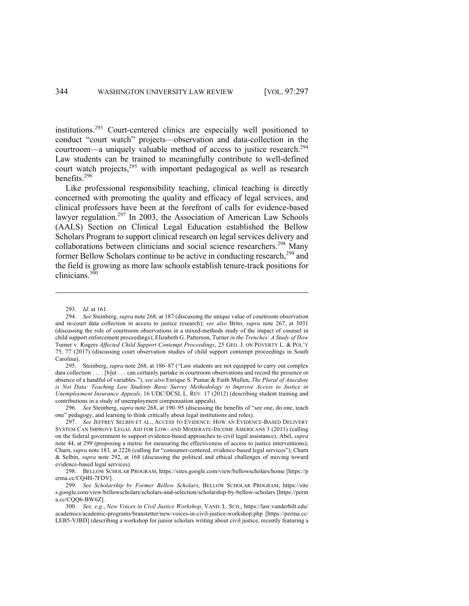institutions.293 Court-centered clinics are especially well positioned to conduct "court watch" projects—observation and data-collection in the courtroom—a uniquely valuable method of access to justice research.<sup>294</sup> Law students can be trained to meaningfully contribute to well-defined court watch projects,<sup>295</sup> with important pedagogical as well as research benefits. 296

Like professional responsibility teaching, clinical teaching is directly concerned with promoting the quality and efficacy of legal services, and clinical professors have been at the forefront of calls for evidence-based lawyer regulation.<sup>297</sup> In 2003, the Association of American Law Schools (AALS) Section on Clinical Legal Education established the Bellow Scholars Program to support clinical research on legal services delivery and collaborations between clinicians and social science researchers. <sup>298</sup> Many former Bellow Scholars continue to be active in conducting research, $^{299}$  and the field is growing as more law schools establish tenure-track positions for clinicians.<sup>300</sup>

295. Steinberg, *supra* note 268, at 186–87 ("Law students are not equipped to carry out complex data collection . . . . [b]ut . . . can certainly partake in courtroom observations and record the presence or absence of a handful of variables."); *see also* Enrique S. Pumar & Faith Mullen, *The Plural of Anecdote is Not Data: Teaching Law Students Basic Survey Methodology to Improve Access to Justice in Unemployment Insurance Appeals*, 16 UDC/DCSL L. REV. 17 (2012) (describing student training and contributions in a study of unemployment compensation appeals).

296. *See* Steinberg, *supra* note 268, at 190–95 (discussing the benefits of "see one, do one, teach one" pedagogy, and learning to think critically about legal institutions and roles).

297. *See* JEFFREY SELBIN ET AL., ACCESS TO EVIDENCE: HOW AN EVIDENCE-BASED DELIVERY SYSTEM CAN IMPROVE LEGAL AID FOR LOW- AND MODERATE-INCOME AMERICANS 3 (2011) (calling on the federal government to support evidence-based approaches to civil legal assistance); Abel, *supra* note 44, at 299 (proposing a metric for measuring the effectiveness of access to justice interventions); Charn, *supra* note 183, at 2226 (calling for "consumer-centered, evidence-based legal services"); Charn & Selbin, *supra* note 292, at 168 (discussing the political and ethical challenges of moving toward evidence-based legal services).

298. BELLOW SCHOLAR PROGRAM, https://sites.google.com/view/bellowscholars/home [https://p erma.cc/CQ4H-7FDV].

299. *See Scholarship by Former Bellow Scholars*, BELLOW SCHOLAR PROGRAM, https://site s.google.com/view/bellowscholars/scholars-and-selection/scholarship-by-bellow-scholars [https://perm a.cc/CQQ6-BW6Z].

300. *See, e.g.*, *New Voices in Civil Justice Workshop*, VAND. L. SCH., https://law.vanderbilt.edu/ academics/academic-programs/branstetter/new-voices-in-civil-justice-workshop.php [https://perma.cc/ LEB5-VJBD] (describing a workshop for junior scholars writing about civil justice, recently featuring a

<sup>293.</sup> *Id.* at 161.

<sup>294.</sup> *See* Steinberg, *supra* note 268, at 187 (discussing the unique value of courtroom observation and in-court data collection in access to justice research); *see also* Brito, *supra* note 267, at 3031 (discussing the role of courtroom observations in a mixed-methods study of the impact of counsel in child support enforcement proceedings); Elizabeth G. Patterson, Turner *in the Trenches: A Study of How*  Turner v. Rogers *Affected Child Support Contempt Proceedings*, 25 GEO. J. ON POVERTY L. & POL'Y 75, 77 (2017) (discussing court observation studies of child support contempt proceedings in South Carolina).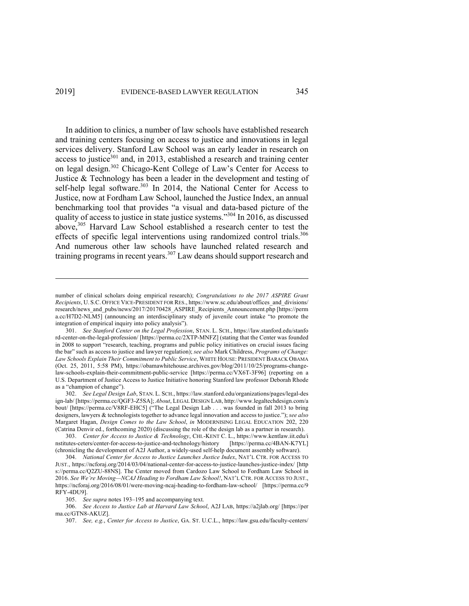In addition to clinics, a number of law schools have established research and training centers focusing on access to justice and innovations in legal services delivery. Stanford Law School was an early leader in research on access to justice<sup>301</sup> and, in 2013, established a research and training center on legal design.<sup>302</sup> Chicago-Kent College of Law's Center for Access to Justice & Technology has been a leader in the development and testing of self-help legal software.<sup>303</sup> In 2014, the National Center for Access to Justice, now at Fordham Law School, launched the Justice Index, an annual benchmarking tool that provides "a visual and data-based picture of the quality of access to justice in state justice systems."<sup>304</sup> In 2016, as discussed above,<sup>305</sup> Harvard Law School established a research center to test the effects of specific legal interventions using randomized control trials.<sup>306</sup> And numerous other law schools have launched related research and training programs in recent years.<sup>307</sup> Law deans should support research and

302. *See Legal Design Lab*, STAN. L. SCH., https://law.stanford.edu/organizations/pages/legal-des ign-lab/ [https://perma.cc/QGF3-Z5SA]; *About*, LEGAL DESIGN LAB, http://www.legaltechdesign.com/a bout/ [https://perma.cc/V8RF-EHC5] ("The Legal Design Lab . . . was founded in fall 2013 to bring designers, lawyers & technologists together to advance legal innovation and access to justice."); *see also* Margaret Hagan, *Design Comes to the Law School*, *in* MODERNISING LEGAL EDUCATION 202, 220 (Catrina Denvir ed., forthcoming 2020) (discussing the role of the design lab as a partner in research).

304. *National Center for Access to Justice Launches Justice Index*, NAT'L CTR. FOR ACCESS TO JUST., https://ncforaj.org/2014/03/04/national-center-for-access-to-justice-launches-justice-index/ [http s://perma.cc/Q2ZU-88NS]. The Center moved from Cardozo Law School to Fordham Law School in 2016. *See We're Moving—NCAJ Heading to Fordham Law School!*, NAT'L CTR. FOR ACCESS TO JUST., https://ncforaj.org/2016/08/01/were-moving-ncaj-heading-to-fordham-law-school/ [https://perma.cc/9 RFY-4DU9].

305. *See supra* notes 193–195 and accompanying text.

306. *See Access to Justice Lab at Harvard Law School*, A2J LAB, https://a2jlab.org/ [https://per ma.cc/GTN8-AKUZ].

307. *See, e.g.*, *Center for Access to Justice*, GA. ST. U.C.L., https://law.gsu.edu/faculty-centers/

number of clinical scholars doing empirical research); *Congratulations to the 2017 ASPIRE Grant Recipients*, U. S.C. OFFICE VICE-PRESIDENT FOR RES., https://www.sc.edu/about/offices\_and\_divisions/ research/news\_and\_pubs/news/2017/20170428\_ASPIRE\_Recipients\_Announcement.php [https://perm a.cc/H7D2-NLM5] (announcing an interdisciplinary study of juvenile court intake "to promote the integration of empirical inquiry into policy analysis").

<sup>301.</sup> *See Stanford Center on the Legal Profession*, STAN. L. SCH., https://law.stanford.edu/stanfo rd-center-on-the-legal-profession/ [https://perma.cc/2XTP-MNFZ] (stating that the Center was founded in 2008 to support "research, teaching, programs and public policy initiatives on crucial issues facing the bar" such as access to justice and lawyer regulation); *see also* Mark Childress, *Programs of Change: Law Schools Explain Their Commitment to Public Service*, WHITE HOUSE: PRESIDENT BARACK OBAMA (Oct. 25, 2011, 5:58 PM), https://obamawhitehouse.archives.gov/blog/2011/10/25/programs-changelaw-schools-explain-their-commitment-public-service [https://perma.cc/VX6T-3F96] (reporting on a U.S. Department of Justice Access to Justice Initiative honoring Stanford law professor Deborah Rhode as a "champion of change").

<sup>303.</sup> *Center for Access to Justice & Technology*, CHI.-KENT C. L., https://www.kentlaw.iit.edu/i nstitutes-ceters/center-for-access-to-justice-and-technology/history [https://perma.cc/4BAN-K7YL] (chronicling the development of A2J Author, a widely-used self-help document assembly software).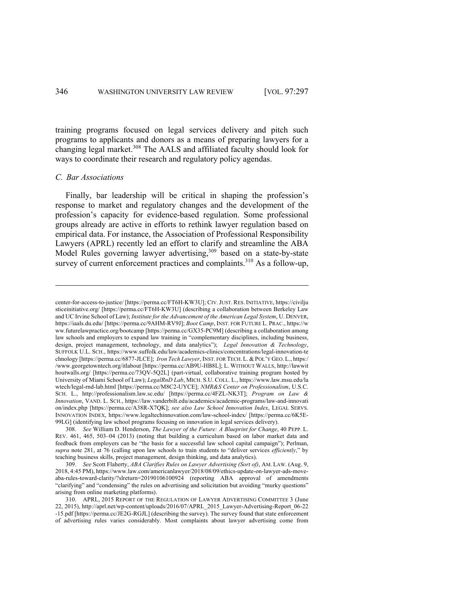training programs focused on legal services delivery and pitch such programs to applicants and donors as a means of preparing lawyers for a changing legal market.<sup>308</sup> The AALS and affiliated faculty should look for ways to coordinate their research and regulatory policy agendas.

# *C. Bar Associations*

Finally, bar leadership will be critical in shaping the profession's response to market and regulatory changes and the development of the profession's capacity for evidence-based regulation. Some professional groups already are active in efforts to rethink lawyer regulation based on empirical data. For instance, the Association of Professional Responsibility Lawyers (APRL) recently led an effort to clarify and streamline the ABA Model Rules governing lawyer advertising,<sup>309</sup> based on a state-by-state survey of current enforcement practices and complaints.<sup>310</sup> As a follow-up,

center-for-access-to-justice/ [https://perma.cc/FT6H-KW3U]; CIV.JUST. RES. INITIATIVE, https://civilju sticeinitiative.org/ [https://perma.cc/FT6H-KW3U] (describing a collaboration between Berkeley Law and UC Irvine School of Law); *Institute for the Advancement of the American Legal System*, U. DENVER, https://iaals.du.edu/ [https://perma.cc/9AHM-RV9J]; *Boot Camp*, INST. FOR FUTURE L. PRAC., https://w ww.futurelawpractice.org/bootcamp [https://perma.cc/GX35-PC9M] (describing a collaboration among law schools and employers to expand law training in "complementary disciplines, including business, design, project management, technology, and data analytics"); *Legal Innovation & Technology*, SUFFOLK U.L. SCH., https://www.suffolk.edu/law/academics-clinics/concentrations/legal-innovation-te chnology [https://perma.cc/6877-JLCE]; *Iron Tech Lawyer*, INST. FOR TECH. L. & POL'Y GEO. L., https:/ /www.georgetowntech.org/itlabout [https://perma.cc/AB9U-HB8L]; L. WITHOUT WALLS, http://lawwit houtwalls.org/ [https://perma.cc/73QV-5Q2L] (part-virtual, collaborative training program hosted by University of Miami School of Law); *LegalRnD Lab*, MICH. S.U. COLL. L., https://www.law.msu.edu/la wtech/legal-rnd-lab.html [https://perma.cc/M8C2-UYCE]; *NMR&S Center on Professionalism*, U.S.C. SCH. L., http://professionalism.law.sc.edu/ [https://perma.cc/4FZL-NK3T]; *Program on Law & Innovation*, VAND. L. SCH., https://law.vanderbilt.edu/academics/academic-programs/law-and-innovati on/index.php [https://perma.cc/A38R-X7QK]; *see also Law School Innovation Index*, LEGAL SERVS. INNOVATION INDEX, https://www.legaltechinnovation.com/law-school-index/ [https://perma.cc/6K5E-99LG] (identifying law school programs focusing on innovation in legal services delivery).

<sup>308.</sup> *See* William D. Henderson, *The Lawyer of the Future: A Blueprint for Change*, 40 PEPP. L. REV. 461, 465, 503–04 (2013) (noting that building a curriculum based on labor market data and feedback from employers can be "the basis for a successful law school capital campaign"); Perlman, *supra* note 281, at 76 (calling upon law schools to train students to "deliver services *efficiently*," by teaching business skills, project management, design thinking, and data analytics).

<sup>309.</sup> *See* Scott Flaherty, *ABA Clarifies Rules on Lawyer Advertising (Sort of)*, AM. LAW. (Aug. 9, 2018, 4:45 PM), https://www.law.com/americanlawyer/2018/08/09/ethics-update-on-lawyer-ads-moveaba-rules-toward-clarity/?slreturn=20190106100924 (reporting ABA approval of amendments "clarifying" and "condensing" the rules on advertising and solicitation but avoiding "murky questions" arising from online marketing platforms).

<sup>310.</sup> APRL, 2015 REPORT OF THE REGULATION OF LAWYER ADVERTISING COMMITTEE 3 (June 22, 2015), http://aprl.net/wp-content/uploads/2016/07/APRL\_2015\_Lawyer-Advertising-Report\_06-22 -15.pdf [https://perma.cc/JE2G-RGJL] (describing the survey). The survey found that state enforcement of advertising rules varies considerably. Most complaints about lawyer advertising come from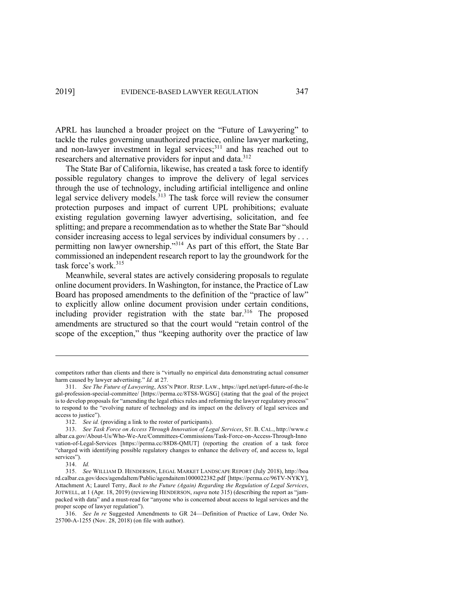APRL has launched a broader project on the "Future of Lawyering" to tackle the rules governing unauthorized practice, online lawyer marketing, and non-lawyer investment in legal services;<sup>311</sup> and has reached out to researchers and alternative providers for input and data.<sup>312</sup>

The State Bar of California, likewise, has created a task force to identify possible regulatory changes to improve the delivery of legal services through the use of technology, including artificial intelligence and online legal service delivery models.<sup>313</sup> The task force will review the consumer protection purposes and impact of current UPL prohibitions; evaluate existing regulation governing lawyer advertising, solicitation, and fee splitting; and prepare a recommendation as to whether the State Bar "should consider increasing access to legal services by individual consumers by . . . permitting non lawyer ownership."<sup>314</sup> As part of this effort, the State Bar commissioned an independent research report to lay the groundwork for the task force's work. 315

Meanwhile, several states are actively considering proposals to regulate online document providers. In Washington, for instance, the Practice of Law Board has proposed amendments to the definition of the "practice of law" to explicitly allow online document provision under certain conditions, including provider registration with the state bar. <sup>316</sup> The proposed amendments are structured so that the court would "retain control of the scope of the exception," thus "keeping authority over the practice of law

competitors rather than clients and there is "virtually no empirical data demonstrating actual consumer harm caused by lawyer advertising." *Id.* at 27.

<sup>311.</sup> *See The Future of Lawyering*, ASS'N PROF. RESP. LAW., https://aprl.net/aprl-future-of-the-le gal-profession-special-committee/ [https://perma.cc/8TS8-WGSG] (stating that the goal of the project is to develop proposals for "amending the legal ethics rules and reforming the lawyer regulatory process" to respond to the "evolving nature of technology and its impact on the delivery of legal services and access to justice").

<sup>312.</sup> *See id.* (providing a link to the roster of participants).

<sup>313.</sup> *See Task Force on Access Through Innovation of Legal Services*, ST. B. CAL., http://www.c albar.ca.gov/About-Us/Who-We-Are/Committees-Commissions/Task-Force-on-Access-Through-Inno vation-of-Legal-Services [https://perma.cc/88D8-QMUT] (reporting the creation of a task force "charged with identifying possible regulatory changes to enhance the delivery of, and access to, legal services").

<sup>314.</sup> *Id.*

<sup>315.</sup> *See* WILLIAM D. HENDERSON, LEGAL MARKET LANDSCAPE REPORT (July 2018), http://boa rd.calbar.ca.gov/docs/agendaItem/Public/agendaitem1000022382.pdf [https://perma.cc/96TV-NYKY], Attachment A; Laurel Terry, *Back to the Future (Again) Regarding the Regulation of Legal Services*, JOTWELL, at 1 (Apr. 18, 2019) (reviewing HENDERSON, *supra* note 315) (describing the report as "jampacked with data" and a must-read for "anyone who is concerned about access to legal services and the proper scope of lawyer regulation").

<sup>316.</sup> *See In re* Suggested Amendments to GR 24—Definition of Practice of Law, Order No. 25700-A-1255 (Nov. 28, 2018) (on file with author).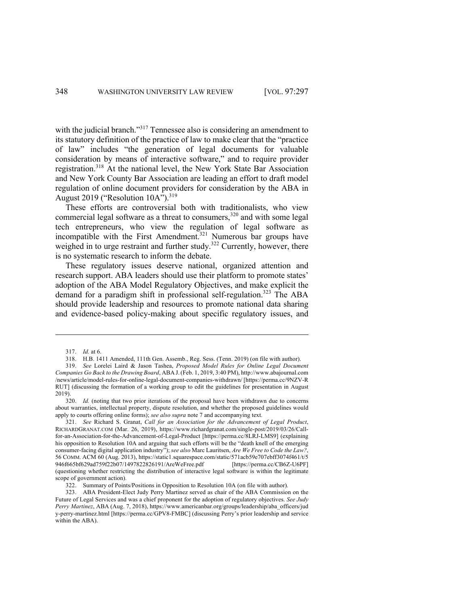with the judicial branch."<sup>317</sup> Tennessee also is considering an amendment to its statutory definition of the practice of law to make clear that the "practice of law" includes "the generation of legal documents for valuable consideration by means of interactive software," and to require provider registration.318 At the national level, the New York State Bar Association and New York County Bar Association are leading an effort to draft model regulation of online document providers for consideration by the ABA in August 2019 ("Resolution 10A").<sup>319</sup>

These efforts are controversial both with traditionalists, who view commercial legal software as a threat to consumers, $320$  and with some legal tech entrepreneurs, who view the regulation of legal software as incompatible with the First Amendment. <sup>321</sup> Numerous bar groups have weighed in to urge restraint and further study.<sup>322</sup> Currently, however, there is no systematic research to inform the debate.

These regulatory issues deserve national, organized attention and research support. ABA leaders should use their platform to promote states' adoption of the ABA Model Regulatory Objectives, and make explicit the demand for a paradigm shift in professional self-regulation.<sup>323</sup> The ABA should provide leadership and resources to promote national data sharing and evidence-based policy-making about specific regulatory issues, and

<sup>317.</sup> *Id.* at 6.

<sup>318.</sup> H.B. 1411 Amended, 111th Gen. Assemb., Reg. Sess. (Tenn. 2019) (on file with author).

<sup>319.</sup> *See* Lorelei Laird & Jason Tashea, *Proposed Model Rules for Online Legal Document Companies Go Back to the Drawing Board*, ABA J.(Feb. 1, 2019, 3:40 PM), http://www.abajournal.com /news/article/model-rules-for-online-legal-document-companies-withdrawn/ [https://perma.cc/9NZV-R RUT] (discussing the formation of a working group to edit the guidelines for presentation in August 2019).

<sup>320.</sup> *Id.* (noting that two prior iterations of the proposal have been withdrawn due to concerns about warranties, intellectual property, dispute resolution, and whether the proposed guidelines would apply to courts offering online forms); *see also supra* note 7 and accompanying text.

<sup>321.</sup> *See* Richard S. Granat, *Call for an Association for the Advancement of Legal Product*, RICHARDGRANAT.COM (Mar. 26, 2019), https://www.richardgranat.com/single-post/2019/03/26/Callfor-an-Association-for-the-Advancement-of-Legal-Product [https://perma.cc/8LRJ-LMS9] (explaining his opposition to Resolution 10A and arguing that such efforts will be the "death knell of the emerging consumer-facing digital application industry"); *see also* Marc Lauritsen, *Are We Free to Code the Law?*, 56 COMM. ACM 60 (Aug. 2013), https://static1.squarespace.com/static/571acb59e707ebff3074f461/t/5 946f665bf629ad759f22b07/1497822826191/AreWeFree.pdf [https://perma.cc/CB6Z-U6PF] (questioning whether restricting the distribution of interactive legal software is within the legitimate scope of government action).

<sup>322.</sup> Summary of Points/Positions in Opposition to Resolution 10A (on file with author).

<sup>323.</sup> ABA President-Elect Judy Perry Martinez served as chair of the ABA Commission on the Future of Legal Services and was a chief proponent for the adoption of regulatory objectives. *See Judy Perry Martinez*, ABA (Aug. 7, 2018), https://www.americanbar.org/groups/leadership/aba\_officers/jud y-perry-martinez.html [https://perma.cc/GPV8-FMBC] (discussing Perry's prior leadership and service within the ABA).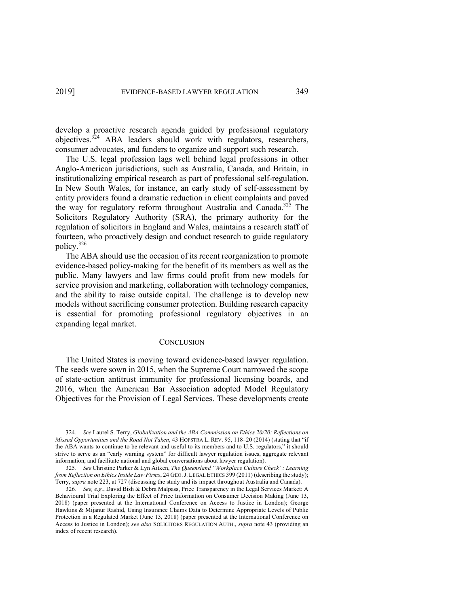develop a proactive research agenda guided by professional regulatory objectives.<sup>324</sup> ABA leaders should work with regulators, researchers, consumer advocates, and funders to organize and support such research.

The U.S. legal profession lags well behind legal professions in other Anglo-American jurisdictions, such as Australia, Canada, and Britain, in institutionalizing empirical research as part of professional self-regulation. In New South Wales, for instance, an early study of self-assessment by entity providers found a dramatic reduction in client complaints and paved the way for regulatory reform throughout Australia and Canada.<sup>325</sup> The Solicitors Regulatory Authority (SRA), the primary authority for the regulation of solicitors in England and Wales, maintains a research staff of fourteen, who proactively design and conduct research to guide regulatory policy.326

The ABA should use the occasion of its recent reorganization to promote evidence-based policy-making for the benefit of its members as well as the public. Many lawyers and law firms could profit from new models for service provision and marketing, collaboration with technology companies, and the ability to raise outside capital. The challenge is to develop new models without sacrificing consumer protection. Building research capacity is essential for promoting professional regulatory objectives in an expanding legal market.

#### **CONCLUSION**

The United States is moving toward evidence-based lawyer regulation. The seeds were sown in 2015, when the Supreme Court narrowed the scope of state-action antitrust immunity for professional licensing boards, and 2016, when the American Bar Association adopted Model Regulatory Objectives for the Provision of Legal Services. These developments create

<sup>324.</sup> *See* Laurel S. Terry, *Globalization and the ABA Commission on Ethics 20/20: Reflections on Missed Opportunities and the Road Not Taken*, 43 HOFSTRA L. REV. 95, 118–20 (2014) (stating that "if the ABA wants to continue to be relevant and useful to its members and to U.S. regulators," it should strive to serve as an "early warning system" for difficult lawyer regulation issues, aggregate relevant information, and facilitate national and global conversations about lawyer regulation).

<sup>325.</sup> *See* Christine Parker & Lyn Aitken, *The Queensland "Workplace Culture Check": Learning from Reflection on Ethics Inside Law Firms*, 24 GEO. J. LEGAL ETHICS 399 (2011) (describing the study); Terry, *supra* note 223, at 727 (discussing the study and its impact throughout Australia and Canada).

<sup>326.</sup> *See, e.g.*, David Bish & Debra Malpass, Price Transparency in the Legal Services Market: A Behavioural Trial Exploring the Effect of Price Information on Consumer Decision Making (June 13, 2018) (paper presented at the International Conference on Access to Justice in London); George Hawkins & Mijanur Rashid, Using Insurance Claims Data to Determine Appropriate Levels of Public Protection in a Regulated Market (June 13, 2018) (paper presented at the International Conference on Access to Justice in London); *see also* SOLICITORS REGULATION AUTH., *supra* note 43 (providing an index of recent research).